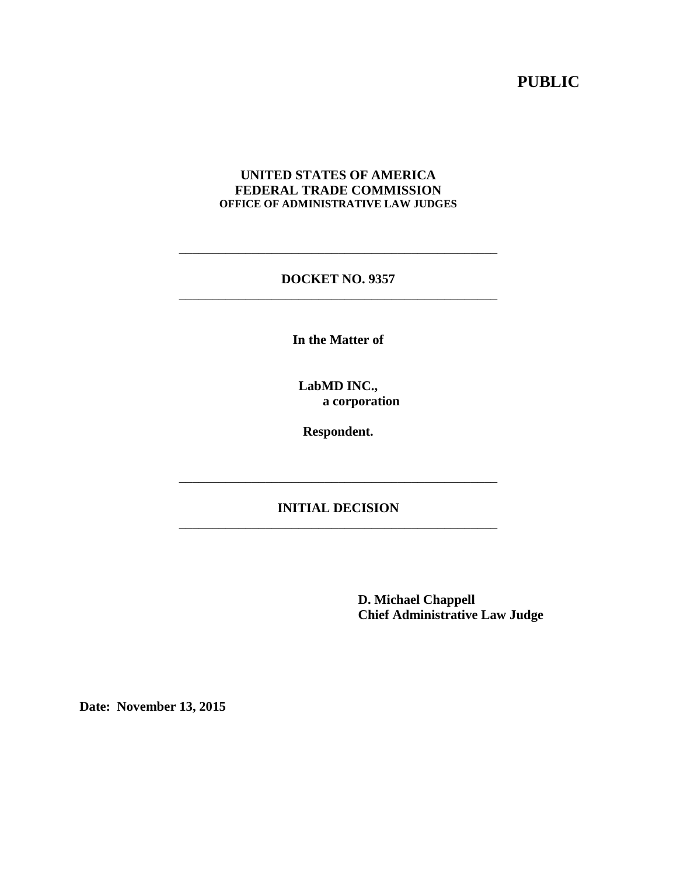# **PUBLIC**

#### **UNITED STATES OF AMERICA FEDERAL TRADE COMMISSION OFFICE OF ADMINISTRATIVE LAW JUDGES**

#### **DOCKET NO. 9357** \_\_\_\_\_\_\_\_\_\_\_\_\_\_\_\_\_\_\_\_\_\_\_\_\_\_\_\_\_\_\_\_\_\_\_\_\_\_\_\_\_\_\_\_\_\_\_\_

\_\_\_\_\_\_\_\_\_\_\_\_\_\_\_\_\_\_\_\_\_\_\_\_\_\_\_\_\_\_\_\_\_\_\_\_\_\_\_\_\_\_\_\_\_\_\_\_

**In the Matter of**

**LabMD INC., a corporation**

**Respondent.**

### **INITIAL DECISION** \_\_\_\_\_\_\_\_\_\_\_\_\_\_\_\_\_\_\_\_\_\_\_\_\_\_\_\_\_\_\_\_\_\_\_\_\_\_\_\_\_\_\_\_\_\_\_\_

\_\_\_\_\_\_\_\_\_\_\_\_\_\_\_\_\_\_\_\_\_\_\_\_\_\_\_\_\_\_\_\_\_\_\_\_\_\_\_\_\_\_\_\_\_\_\_\_

**D. Michael Chappell Chief Administrative Law Judge**

**Date: November 13, 2015**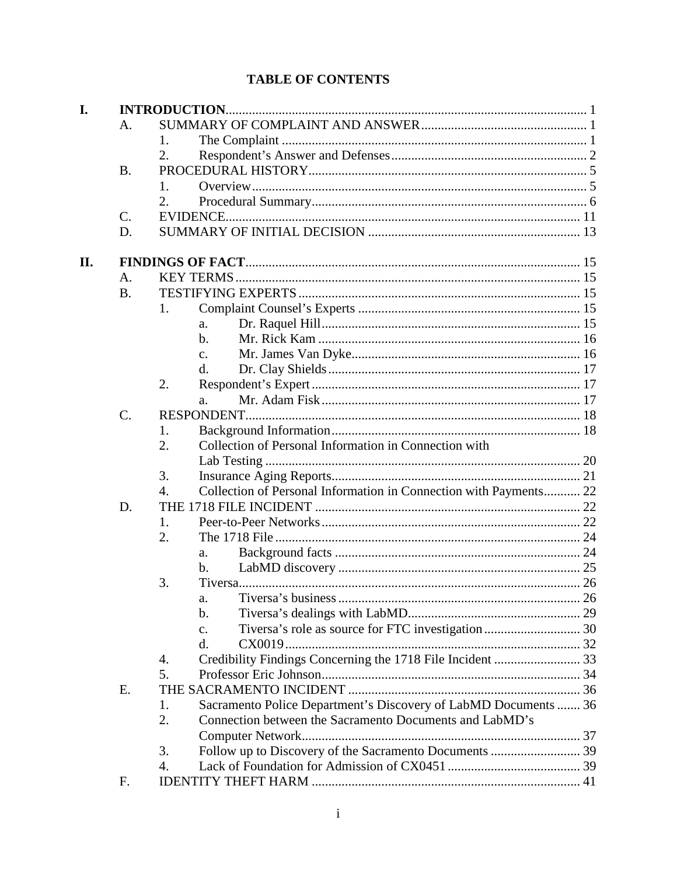# **TABLE OF CONTENTS**

| I.  |           |                                                                         |  |  |  |  |
|-----|-----------|-------------------------------------------------------------------------|--|--|--|--|
|     | A.        |                                                                         |  |  |  |  |
|     |           | 1.                                                                      |  |  |  |  |
|     |           | 2.                                                                      |  |  |  |  |
|     | <b>B.</b> |                                                                         |  |  |  |  |
|     |           | 1.                                                                      |  |  |  |  |
|     |           | 2.                                                                      |  |  |  |  |
|     | C.        | <b>EVIDENCE.</b>                                                        |  |  |  |  |
|     | D.        |                                                                         |  |  |  |  |
|     |           |                                                                         |  |  |  |  |
| II. |           |                                                                         |  |  |  |  |
|     | A.        |                                                                         |  |  |  |  |
|     | <b>B.</b> |                                                                         |  |  |  |  |
|     |           | 1.                                                                      |  |  |  |  |
|     |           | a.                                                                      |  |  |  |  |
|     |           | $\mathbf{b}$ .                                                          |  |  |  |  |
|     |           | $\mathbf{c}$ .                                                          |  |  |  |  |
|     |           | d.                                                                      |  |  |  |  |
|     |           | 2.                                                                      |  |  |  |  |
|     |           | a.                                                                      |  |  |  |  |
|     | $C$ .     | RESPONDENT                                                              |  |  |  |  |
|     |           | 1.                                                                      |  |  |  |  |
|     |           | Collection of Personal Information in Connection with<br>2.             |  |  |  |  |
|     |           |                                                                         |  |  |  |  |
|     |           | 3.                                                                      |  |  |  |  |
|     |           | Collection of Personal Information in Connection with Payments 22<br>4. |  |  |  |  |
|     | D.        |                                                                         |  |  |  |  |
|     |           | 1.                                                                      |  |  |  |  |
|     |           | 2.                                                                      |  |  |  |  |
|     |           | a.                                                                      |  |  |  |  |
|     |           | $\mathbf b$ .                                                           |  |  |  |  |
|     |           | 3.                                                                      |  |  |  |  |
|     |           | a.                                                                      |  |  |  |  |
|     |           | b.                                                                      |  |  |  |  |
|     |           | c.                                                                      |  |  |  |  |
|     |           | d.                                                                      |  |  |  |  |
|     |           | 4.                                                                      |  |  |  |  |
|     |           | 5.                                                                      |  |  |  |  |
|     | E.        |                                                                         |  |  |  |  |
|     |           | Sacramento Police Department's Discovery of LabMD Documents  36<br>1.   |  |  |  |  |
|     |           | Connection between the Sacramento Documents and LabMD's<br>2.           |  |  |  |  |
|     |           |                                                                         |  |  |  |  |
|     |           | 3.                                                                      |  |  |  |  |
|     |           | 4.                                                                      |  |  |  |  |
|     | F.        |                                                                         |  |  |  |  |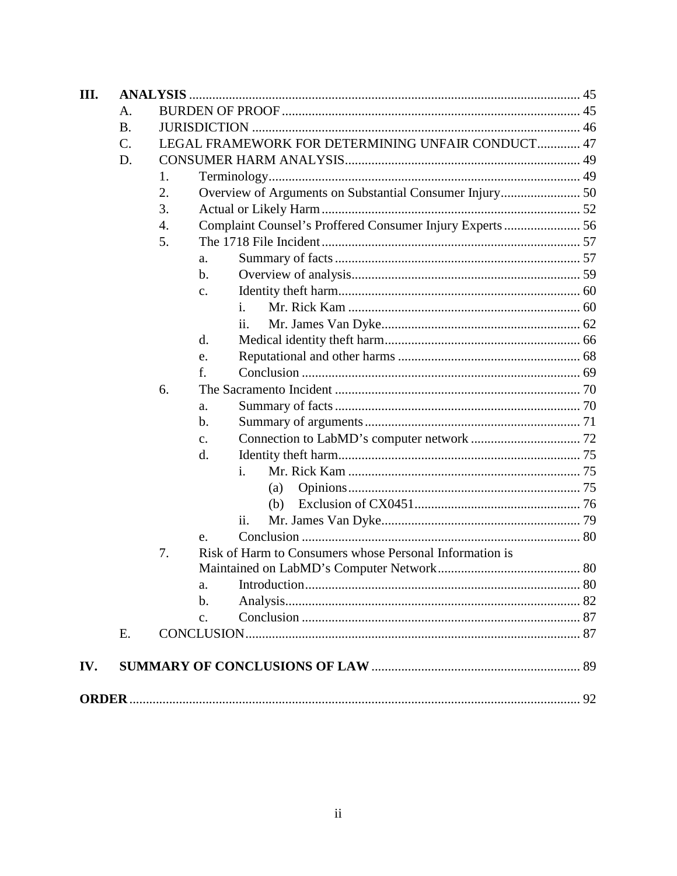| III. |           |    |                                                          |  |
|------|-----------|----|----------------------------------------------------------|--|
|      | А.        |    |                                                          |  |
|      | <b>B.</b> |    |                                                          |  |
|      | C.        |    | LEGAL FRAMEWORK FOR DETERMINING UNFAIR CONDUCT 47        |  |
|      | D.        |    |                                                          |  |
|      |           | 1. |                                                          |  |
|      |           | 2. |                                                          |  |
|      |           | 3. |                                                          |  |
|      |           | 4. | Complaint Counsel's Proffered Consumer Injury Experts 56 |  |
|      |           | 5. |                                                          |  |
|      |           |    | a.                                                       |  |
|      |           |    | b.                                                       |  |
|      |           |    | $\mathbf{c}$ .                                           |  |
|      |           |    | $\mathbf{1}$ .                                           |  |
|      |           |    | 11.                                                      |  |
|      |           |    | d.                                                       |  |
|      |           |    | e.                                                       |  |
|      |           |    | f.                                                       |  |
|      |           | 6. |                                                          |  |
|      |           |    | a.                                                       |  |
|      |           |    | b.                                                       |  |
|      |           |    | c.                                                       |  |
|      |           |    | d.                                                       |  |
|      |           |    | $\mathbf{i}$ .                                           |  |
|      |           |    | (a)                                                      |  |
|      |           |    | (b)                                                      |  |
|      |           |    | ii.                                                      |  |
|      |           |    | e.                                                       |  |
|      |           | 7. | Risk of Harm to Consumers whose Personal Information is  |  |
|      |           |    |                                                          |  |
|      |           |    | a.                                                       |  |
|      |           |    | b.                                                       |  |
|      |           |    | $\mathbf{c}$ .                                           |  |
|      | E.        |    |                                                          |  |
| IV.  |           |    |                                                          |  |
|      |           |    |                                                          |  |
|      |           |    |                                                          |  |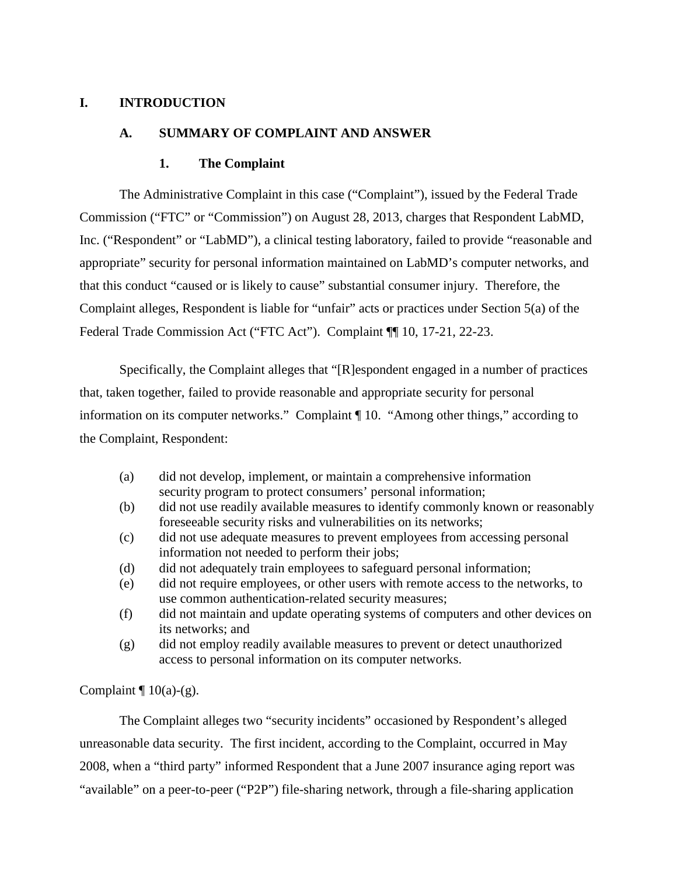#### **I. INTRODUCTION**

#### **A. SUMMARY OF COMPLAINT AND ANSWER**

#### **1. The Complaint**

The Administrative Complaint in this case ("Complaint"), issued by the Federal Trade Commission ("FTC" or "Commission") on August 28, 2013, charges that Respondent LabMD, Inc. ("Respondent" or "LabMD"), a clinical testing laboratory, failed to provide "reasonable and appropriate" security for personal information maintained on LabMD's computer networks, and that this conduct "caused or is likely to cause" substantial consumer injury. Therefore, the Complaint alleges, Respondent is liable for "unfair" acts or practices under Section 5(a) of the Federal Trade Commission Act ("FTC Act"). Complaint ¶ 10, 17-21, 22-23.

Specifically, the Complaint alleges that "[R]espondent engaged in a number of practices that, taken together, failed to provide reasonable and appropriate security for personal information on its computer networks." Complaint ¶ 10. "Among other things," according to the Complaint, Respondent:

- (a) did not develop, implement, or maintain a comprehensive information security program to protect consumers' personal information;
- (b) did not use readily available measures to identify commonly known or reasonably foreseeable security risks and vulnerabilities on its networks;
- (c) did not use adequate measures to prevent employees from accessing personal information not needed to perform their jobs;
- (d) did not adequately train employees to safeguard personal information;
- (e) did not require employees, or other users with remote access to the networks, to use common authentication-related security measures;
- (f) did not maintain and update operating systems of computers and other devices on its networks; and
- (g) did not employ readily available measures to prevent or detect unauthorized access to personal information on its computer networks.

Complaint  $\P$  10(a)-(g).

The Complaint alleges two "security incidents" occasioned by Respondent's alleged unreasonable data security. The first incident, according to the Complaint, occurred in May 2008, when a "third party" informed Respondent that a June 2007 insurance aging report was "available" on a peer-to-peer ("P2P") file-sharing network, through a file-sharing application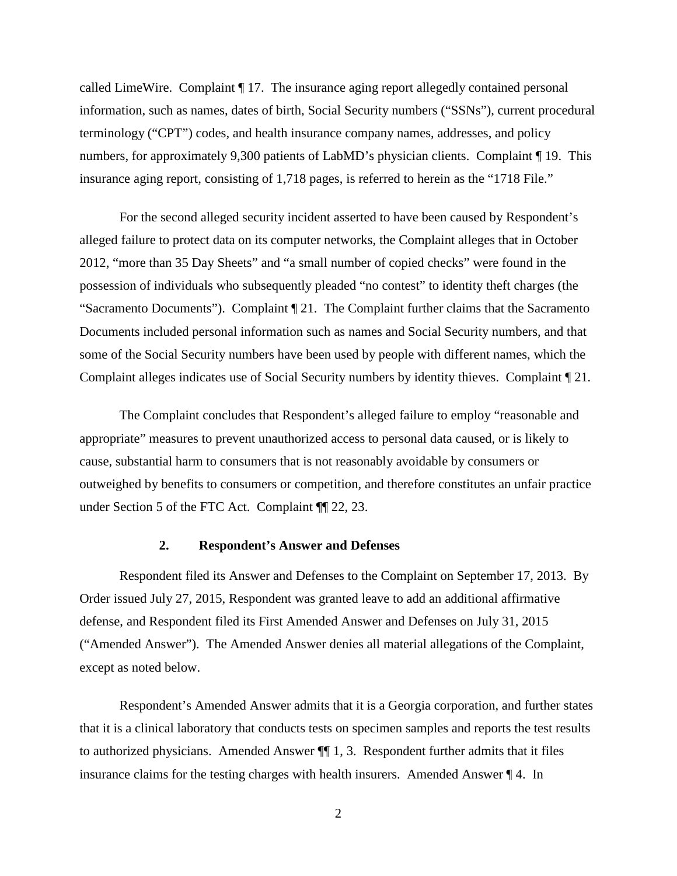called LimeWire. Complaint ¶ 17. The insurance aging report allegedly contained personal information, such as names, dates of birth, Social Security numbers ("SSNs"), current procedural terminology ("CPT") codes, and health insurance company names, addresses, and policy numbers, for approximately 9,300 patients of LabMD's physician clients. Complaint ¶ 19. This insurance aging report, consisting of 1,718 pages, is referred to herein as the "1718 File."

For the second alleged security incident asserted to have been caused by Respondent's alleged failure to protect data on its computer networks, the Complaint alleges that in October 2012, "more than 35 Day Sheets" and "a small number of copied checks" were found in the possession of individuals who subsequently pleaded "no contest" to identity theft charges (the "Sacramento Documents"). Complaint ¶ 21. The Complaint further claims that the Sacramento Documents included personal information such as names and Social Security numbers, and that some of the Social Security numbers have been used by people with different names, which the Complaint alleges indicates use of Social Security numbers by identity thieves. Complaint ¶ 21*.*

The Complaint concludes that Respondent's alleged failure to employ "reasonable and appropriate" measures to prevent unauthorized access to personal data caused, or is likely to cause, substantial harm to consumers that is not reasonably avoidable by consumers or outweighed by benefits to consumers or competition, and therefore constitutes an unfair practice under Section 5 of the FTC Act. Complaint ¶¶ 22, 23.

#### **2. Respondent's Answer and Defenses**

Respondent filed its Answer and Defenses to the Complaint on September 17, 2013. By Order issued July 27, 2015, Respondent was granted leave to add an additional affirmative defense, and Respondent filed its First Amended Answer and Defenses on July 31, 2015 ("Amended Answer"). The Amended Answer denies all material allegations of the Complaint, except as noted below.

Respondent's Amended Answer admits that it is a Georgia corporation, and further states that it is a clinical laboratory that conducts tests on specimen samples and reports the test results to authorized physicians. Amended Answer ¶¶ 1, 3. Respondent further admits that it files insurance claims for the testing charges with health insurers. Amended Answer ¶ 4. In

2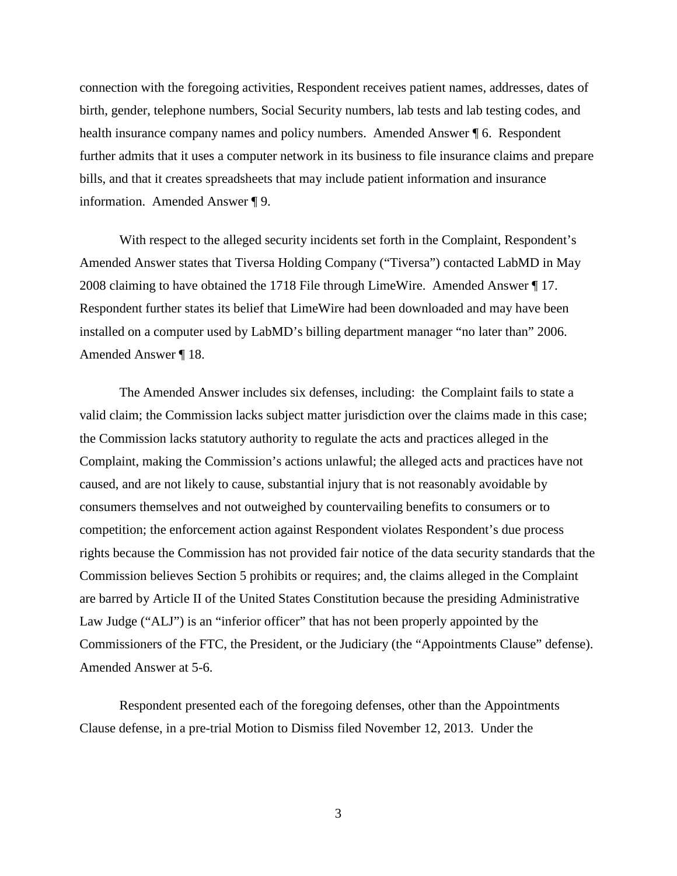connection with the foregoing activities, Respondent receives patient names, addresses, dates of birth, gender, telephone numbers, Social Security numbers, lab tests and lab testing codes, and health insurance company names and policy numbers. Amended Answer ¶ 6. Respondent further admits that it uses a computer network in its business to file insurance claims and prepare bills, and that it creates spreadsheets that may include patient information and insurance information. Amended Answer ¶ 9.

With respect to the alleged security incidents set forth in the Complaint, Respondent's Amended Answer states that Tiversa Holding Company ("Tiversa") contacted LabMD in May 2008 claiming to have obtained the 1718 File through LimeWire. Amended Answer ¶ 17. Respondent further states its belief that LimeWire had been downloaded and may have been installed on a computer used by LabMD's billing department manager "no later than" 2006. Amended Answer ¶ 18.

The Amended Answer includes six defenses, including: the Complaint fails to state a valid claim; the Commission lacks subject matter jurisdiction over the claims made in this case; the Commission lacks statutory authority to regulate the acts and practices alleged in the Complaint, making the Commission's actions unlawful; the alleged acts and practices have not caused, and are not likely to cause, substantial injury that is not reasonably avoidable by consumers themselves and not outweighed by countervailing benefits to consumers or to competition; the enforcement action against Respondent violates Respondent's due process rights because the Commission has not provided fair notice of the data security standards that the Commission believes Section 5 prohibits or requires; and, the claims alleged in the Complaint are barred by Article II of the United States Constitution because the presiding Administrative Law Judge ("ALJ") is an "inferior officer" that has not been properly appointed by the Commissioners of the FTC, the President, or the Judiciary (the "Appointments Clause" defense). Amended Answer at 5-6.

Respondent presented each of the foregoing defenses, other than the Appointments Clause defense, in a pre-trial Motion to Dismiss filed November 12, 2013. Under the

3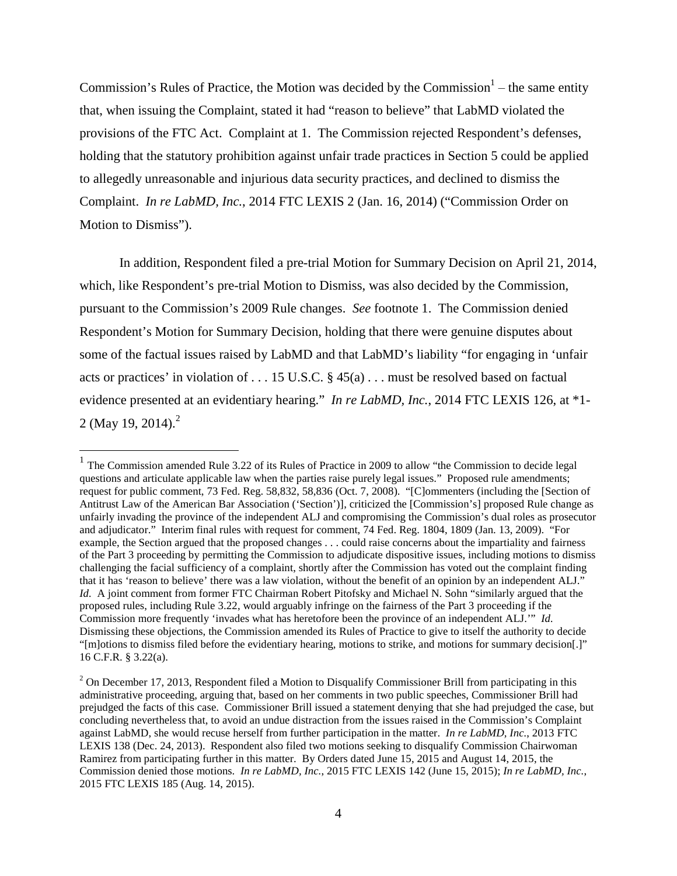Commission's Rules of Practice, the Motion was decided by the Commission<sup>1</sup> – the same entity that, when issuing the Complaint, stated it had "reason to believe" that LabMD violated the provisions of the FTC Act. Complaint at 1. The Commission rejected Respondent's defenses, holding that the statutory prohibition against unfair trade practices in Section 5 could be applied to allegedly unreasonable and injurious data security practices, and declined to dismiss the Complaint. *In re LabMD, Inc.*, 2014 FTC LEXIS 2 (Jan. 16, 2014) ("Commission Order on Motion to Dismiss").

In addition, Respondent filed a pre-trial Motion for Summary Decision on April 21, 2014, which, like Respondent's pre-trial Motion to Dismiss, was also decided by the Commission, pursuant to the Commission's 2009 Rule changes. *See* footnote 1. The Commission denied Respondent's Motion for Summary Decision, holding that there were genuine disputes about some of the factual issues raised by LabMD and that LabMD's liability "for engaging in 'unfair acts or practices' in violation of . . . 15 U.S.C. § 45(a) . . . must be resolved based on factual evidence presented at an evidentiary hearing." *In re LabMD, Inc.*, 2014 FTC LEXIS 126, at \*1- 2 (May 19, 2014).<sup>2</sup>

<sup>&</sup>lt;sup>1</sup> The Commission amended Rule 3.22 of its Rules of Practice in 2009 to allow "the Commission to decide legal questions and articulate applicable law when the parties raise purely legal issues." Proposed rule amendments; request for public comment, 73 Fed. Reg. 58,832, 58,836 (Oct. 7, 2008). "[C]ommenters (including the [Section of Antitrust Law of the American Bar Association ('Section')], criticized the [Commission's] proposed Rule change as unfairly invading the province of the independent ALJ and compromising the Commission's dual roles as prosecutor and adjudicator." Interim final rules with request for comment, 74 Fed. Reg. 1804, 1809 (Jan. 13, 2009). "For example, the Section argued that the proposed changes . . . could raise concerns about the impartiality and fairness of the Part 3 proceeding by permitting the Commission to adjudicate dispositive issues, including motions to dismiss challenging the facial sufficiency of a complaint, shortly after the Commission has voted out the complaint finding that it has 'reason to believe' there was a law violation, without the benefit of an opinion by an independent ALJ." *Id.* A joint comment from former FTC Chairman Robert Pitofsky and Michael N. Sohn "similarly argued that the proposed rules, including Rule 3.22, would arguably infringe on the fairness of the Part 3 proceeding if the Commission more frequently 'invades what has heretofore been the province of an independent ALJ.'" *Id.*  Dismissing these objections, the Commission amended its Rules of Practice to give to itself the authority to decide "[m]otions to dismiss filed before the evidentiary hearing, motions to strike, and motions for summary decision[.]" 16 C.F.R. § 3.22(a).

 $2$  On December 17, 2013, Respondent filed a Motion to Disqualify Commissioner Brill from participating in this administrative proceeding, arguing that, based on her comments in two public speeches, Commissioner Brill had prejudged the facts of this case. Commissioner Brill issued a statement denying that she had prejudged the case, but concluding nevertheless that, to avoid an undue distraction from the issues raised in the Commission's Complaint against LabMD, she would recuse herself from further participation in the matter. *In re LabMD, Inc.*, 2013 FTC LEXIS 138 (Dec. 24, 2013). Respondent also filed two motions seeking to disqualify Commission Chairwoman Ramirez from participating further in this matter. By Orders dated June 15, 2015 and August 14, 2015, the Commission denied those motions. *In re LabMD, Inc.*, 2015 FTC LEXIS 142 (June 15, 2015); *In re LabMD, Inc.*, 2015 FTC LEXIS 185 (Aug. 14, 2015).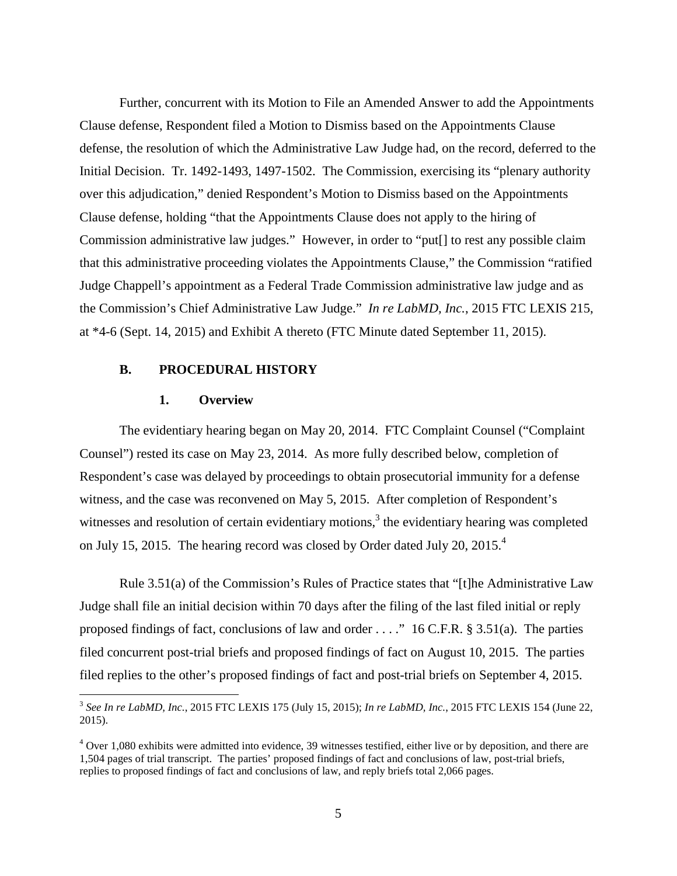Further, concurrent with its Motion to File an Amended Answer to add the Appointments Clause defense, Respondent filed a Motion to Dismiss based on the Appointments Clause defense, the resolution of which the Administrative Law Judge had, on the record, deferred to the Initial Decision. Tr. 1492-1493, 1497-1502. The Commission, exercising its "plenary authority over this adjudication," denied Respondent's Motion to Dismiss based on the Appointments Clause defense, holding "that the Appointments Clause does not apply to the hiring of Commission administrative law judges." However, in order to "put[] to rest any possible claim that this administrative proceeding violates the Appointments Clause," the Commission "ratified Judge Chappell's appointment as a Federal Trade Commission administrative law judge and as the Commission's Chief Administrative Law Judge." *In re LabMD, Inc.*, 2015 FTC LEXIS 215, at \*4-6 (Sept. 14, 2015) and Exhibit A thereto (FTC Minute dated September 11, 2015).

#### **B. PROCEDURAL HISTORY**

#### **1. Overview**

The evidentiary hearing began on May 20, 2014. FTC Complaint Counsel ("Complaint Counsel") rested its case on May 23, 2014. As more fully described below, completion of Respondent's case was delayed by proceedings to obtain prosecutorial immunity for a defense witness, and the case was reconvened on May 5, 2015. After completion of Respondent's witnesses and resolution of certain evidentiary motions, $3$  the evidentiary hearing was completed on July 15, 2015. The hearing record was closed by Order dated July 20, 2015.<sup>4</sup>

Rule 3.51(a) of the Commission's Rules of Practice states that "[t]he Administrative Law Judge shall file an initial decision within 70 days after the filing of the last filed initial or reply proposed findings of fact, conclusions of law and order . . . ." 16 C.F.R. § 3.51(a). The parties filed concurrent post-trial briefs and proposed findings of fact on August 10, 2015. The parties filed replies to the other's proposed findings of fact and post-trial briefs on September 4, 2015.

 <sup>3</sup> *See In re LabMD, Inc.*, 2015 FTC LEXIS 175 (July 15, 2015); *In re LabMD, Inc.*, 2015 FTC LEXIS 154 (June 22, 2015).

 $4$  Over 1,080 exhibits were admitted into evidence, 39 witnesses testified, either live or by deposition, and there are 1,504 pages of trial transcript. The parties' proposed findings of fact and conclusions of law, post-trial briefs, replies to proposed findings of fact and conclusions of law, and reply briefs total 2,066 pages.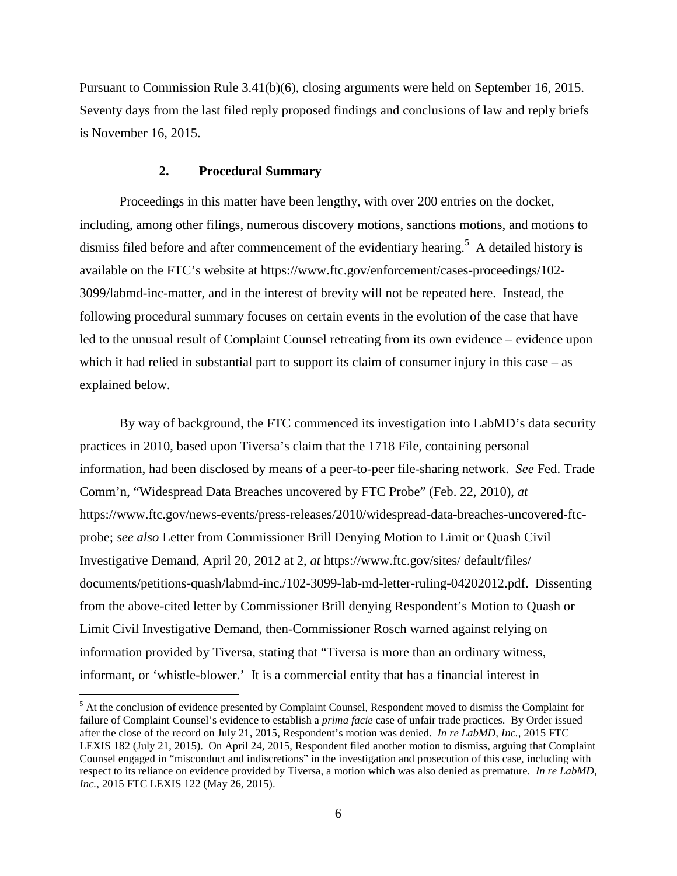Pursuant to Commission Rule 3.41(b)(6), closing arguments were held on September 16, 2015. Seventy days from the last filed reply proposed findings and conclusions of law and reply briefs is November 16, 2015.

#### **2. Procedural Summary**

Proceedings in this matter have been lengthy, with over 200 entries on the docket, including, among other filings, numerous discovery motions, sanctions motions, and motions to dismiss filed before and after commencement of the evidentiary hearing.<sup>5</sup> A detailed history is available on the FTC's website at https://www.ftc.gov/enforcement/cases-proceedings/102- 3099/labmd-inc-matter, and in the interest of brevity will not be repeated here. Instead, the following procedural summary focuses on certain events in the evolution of the case that have led to the unusual result of Complaint Counsel retreating from its own evidence – evidence upon which it had relied in substantial part to support its claim of consumer injury in this case – as explained below.

By way of background, the FTC commenced its investigation into LabMD's data security practices in 2010, based upon Tiversa's claim that the 1718 File, containing personal information, had been disclosed by means of a peer-to-peer file-sharing network. *See* Fed. Trade Comm'n, "Widespread Data Breaches uncovered by FTC Probe" (Feb. 22, 2010), *at*  https://www.ftc.gov/news-events/press-releases/2010/widespread-data-breaches-uncovered-ftcprobe; *see also* Letter from Commissioner Brill Denying Motion to Limit or Quash Civil Investigative Demand, April 20, 2012 at 2, *at* https://www.ftc.gov/sites/ default/files/ documents/petitions-quash/labmd-inc./102-3099-lab-md-letter-ruling-04202012.pdf. Dissenting from the above-cited letter by Commissioner Brill denying Respondent's Motion to Quash or Limit Civil Investigative Demand, then-Commissioner Rosch warned against relying on information provided by Tiversa, stating that "Tiversa is more than an ordinary witness, informant, or 'whistle-blower.' It is a commercial entity that has a financial interest in

 <sup>5</sup> At the conclusion of evidence presented by Complaint Counsel, Respondent moved to dismiss the Complaint for failure of Complaint Counsel's evidence to establish a *prima facie* case of unfair trade practices. By Order issued after the close of the record on July 21, 2015, Respondent's motion was denied. *In re LabMD, Inc.*, 2015 FTC LEXIS 182 (July 21, 2015). On April 24, 2015, Respondent filed another motion to dismiss, arguing that Complaint Counsel engaged in "misconduct and indiscretions" in the investigation and prosecution of this case, including with respect to its reliance on evidence provided by Tiversa, a motion which was also denied as premature. *In re LabMD, Inc.*, 2015 FTC LEXIS 122 (May 26, 2015).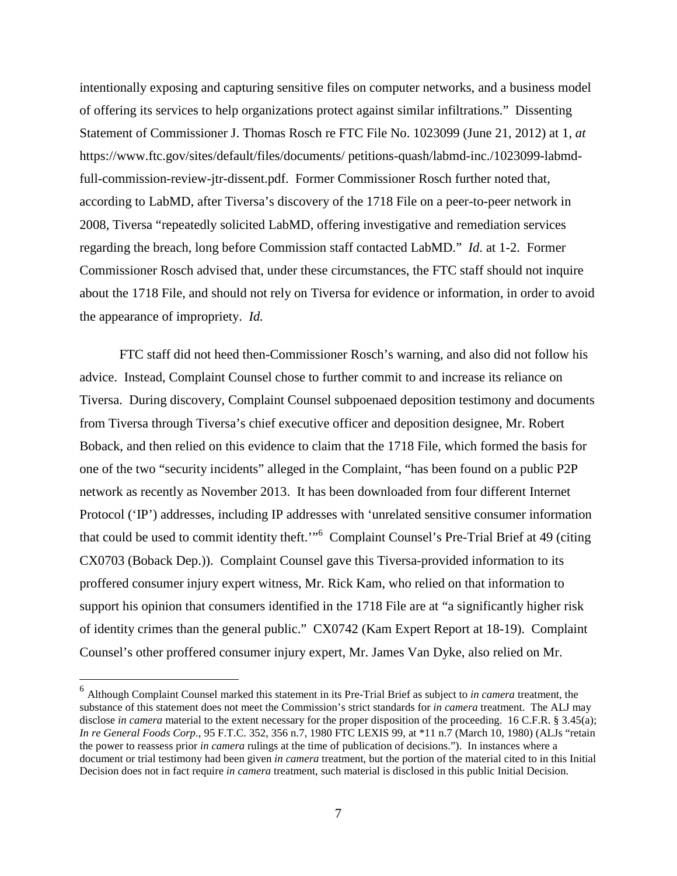intentionally exposing and capturing sensitive files on computer networks, and a business model of offering its services to help organizations protect against similar infiltrations." Dissenting Statement of Commissioner J. Thomas Rosch re FTC File No. 1023099 (June 21, 2012) at 1, *at* https://www.ftc.gov/sites/default/files/documents/ petitions-quash/labmd-inc./1023099-labmdfull-commission-review-jtr-dissent.pdf. Former Commissioner Rosch further noted that, according to LabMD, after Tiversa's discovery of the 1718 File on a peer-to-peer network in 2008, Tiversa "repeatedly solicited LabMD, offering investigative and remediation services regarding the breach, long before Commission staff contacted LabMD." *Id.* at 1-2. Former Commissioner Rosch advised that, under these circumstances, the FTC staff should not inquire about the 1718 File, and should not rely on Tiversa for evidence or information, in order to avoid the appearance of impropriety. *Id.*

FTC staff did not heed then-Commissioner Rosch's warning, and also did not follow his advice. Instead, Complaint Counsel chose to further commit to and increase its reliance on Tiversa. During discovery, Complaint Counsel subpoenaed deposition testimony and documents from Tiversa through Tiversa's chief executive officer and deposition designee, Mr. Robert Boback, and then relied on this evidence to claim that the 1718 File, which formed the basis for one of the two "security incidents" alleged in the Complaint, "has been found on a public P2P network as recently as November 2013. It has been downloaded from four different Internet Protocol ('IP') addresses, including IP addresses with 'unrelated sensitive consumer information that could be used to commit identity theft.'"<sup>6</sup> Complaint Counsel's Pre-Trial Brief at 49 (citing CX0703 (Boback Dep.)). Complaint Counsel gave this Tiversa-provided information to its proffered consumer injury expert witness, Mr. Rick Kam, who relied on that information to support his opinion that consumers identified in the 1718 File are at "a significantly higher risk of identity crimes than the general public." CX0742 (Kam Expert Report at 18-19). Complaint Counsel's other proffered consumer injury expert, Mr. James Van Dyke, also relied on Mr.

 <sup>6</sup> Although Complaint Counsel marked this statement in its Pre-Trial Brief as subject to *in camera* treatment, the substance of this statement does not meet the Commission's strict standards for *in camera* treatment. The ALJ may disclose *in camera* material to the extent necessary for the proper disposition of the proceeding. 16 C.F.R. § 3.45(a); *In re General Foods Corp*., 95 F.T.C. 352, 356 n.7, 1980 FTC LEXIS 99, at \*11 n.7 (March 10, 1980) (ALJs "retain the power to reassess prior *in camera* rulings at the time of publication of decisions."). In instances where a document or trial testimony had been given *in camera* treatment, but the portion of the material cited to in this Initial Decision does not in fact require *in camera* treatment, such material is disclosed in this public Initial Decision.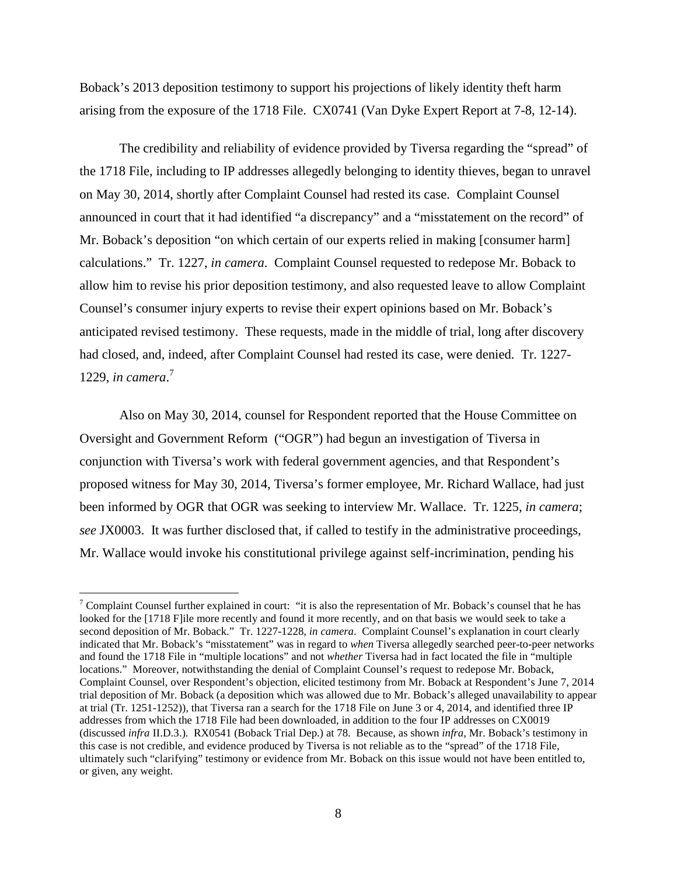Boback's 2013 deposition testimony to support his projections of likely identity theft harm arising from the exposure of the 1718 File. CX0741 (Van Dyke Expert Report at 7-8, 12-14).

The credibility and reliability of evidence provided by Tiversa regarding the "spread" of the 1718 File, including to IP addresses allegedly belonging to identity thieves, began to unravel on May 30, 2014, shortly after Complaint Counsel had rested its case. Complaint Counsel announced in court that it had identified "a discrepancy" and a "misstatement on the record" of Mr. Boback's deposition "on which certain of our experts relied in making [consumer harm] calculations." Tr. 1227, *in camera*. Complaint Counsel requested to redepose Mr. Boback to allow him to revise his prior deposition testimony, and also requested leave to allow Complaint Counsel's consumer injury experts to revise their expert opinions based on Mr. Boback's anticipated revised testimony. These requests, made in the middle of trial, long after discovery had closed, and, indeed, after Complaint Counsel had rested its case, were denied. Tr. 1227- 1229, *in camera*. 7

Also on May 30, 2014, counsel for Respondent reported that the House Committee on Oversight and Government Reform ("OGR") had begun an investigation of Tiversa in conjunction with Tiversa's work with federal government agencies, and that Respondent's proposed witness for May 30, 2014, Tiversa's former employee, Mr. Richard Wallace, had just been informed by OGR that OGR was seeking to interview Mr. Wallace. Tr. 1225, *in camera*; *see* JX0003. It was further disclosed that, if called to testify in the administrative proceedings, Mr. Wallace would invoke his constitutional privilege against self-incrimination, pending his

<sup>&</sup>lt;sup>7</sup> Complaint Counsel further explained in court: "it is also the representation of Mr. Boback's counsel that he has looked for the [1718 F]ile more recently and found it more recently, and on that basis we would seek to take a second deposition of Mr. Boback." Tr. 1227-1228*, in camera*. Complaint Counsel's explanation in court clearly indicated that Mr. Boback's "misstatement" was in regard to *when* Tiversa allegedly searched peer-to-peer networks and found the 1718 File in "multiple locations" and not *whether* Tiversa had in fact located the file in "multiple locations." Moreover, notwithstanding the denial of Complaint Counsel's request to redepose Mr. Boback, Complaint Counsel, over Respondent's objection, elicited testimony from Mr. Boback at Respondent's June 7, 2014 trial deposition of Mr. Boback (a deposition which was allowed due to Mr. Boback's alleged unavailability to appear at trial (Tr. 1251-1252)), that Tiversa ran a search for the 1718 File on June 3 or 4, 2014, and identified three IP addresses from which the 1718 File had been downloaded, in addition to the four IP addresses on CX0019 (discussed *infra* II.D.3.). RX0541 (Boback Trial Dep.) at 78. Because, as shown *infra*, Mr. Boback's testimony in this case is not credible, and evidence produced by Tiversa is not reliable as to the "spread" of the 1718 File, ultimately such "clarifying" testimony or evidence from Mr. Boback on this issue would not have been entitled to, or given, any weight.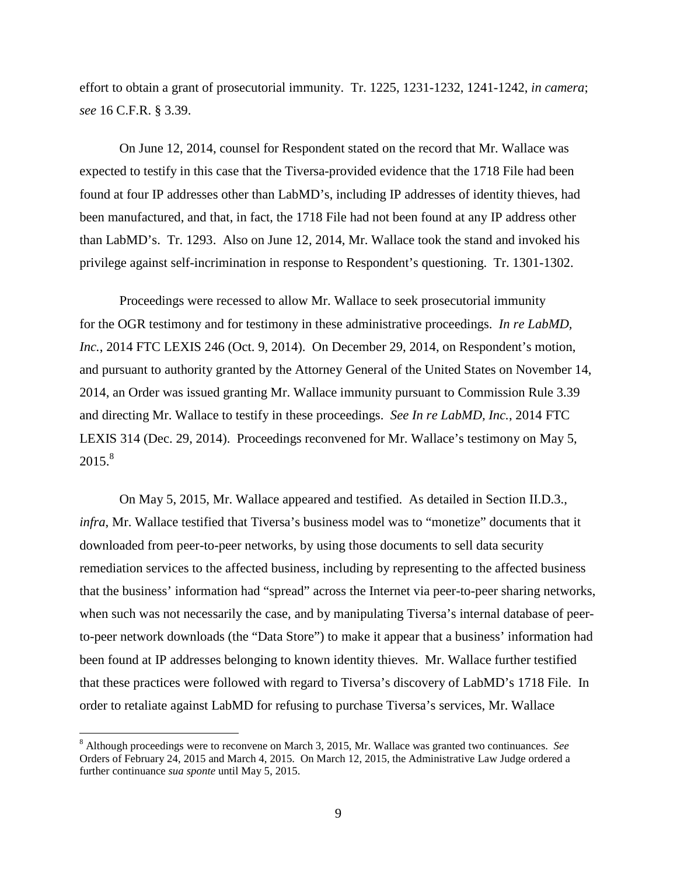effort to obtain a grant of prosecutorial immunity. Tr. 1225, 1231-1232, 1241-1242, *in camera*; *see* 16 C.F.R. § 3.39.

On June 12, 2014, counsel for Respondent stated on the record that Mr. Wallace was expected to testify in this case that the Tiversa-provided evidence that the 1718 File had been found at four IP addresses other than LabMD's, including IP addresses of identity thieves, had been manufactured, and that, in fact, the 1718 File had not been found at any IP address other than LabMD's. Tr. 1293. Also on June 12, 2014, Mr. Wallace took the stand and invoked his privilege against self-incrimination in response to Respondent's questioning. Tr. 1301-1302.

Proceedings were recessed to allow Mr. Wallace to seek prosecutorial immunity for the OGR testimony and for testimony in these administrative proceedings. *In re LabMD, Inc.*, 2014 FTC LEXIS 246 (Oct. 9, 2014). On December 29, 2014, on Respondent's motion, and pursuant to authority granted by the Attorney General of the United States on November 14, 2014, an Order was issued granting Mr. Wallace immunity pursuant to Commission Rule 3.39 and directing Mr. Wallace to testify in these proceedings. *See In re LabMD, Inc.*, 2014 FTC LEXIS 314 (Dec. 29, 2014). Proceedings reconvened for Mr. Wallace's testimony on May 5,  $2015.<sup>8</sup>$ 

On May 5, 2015, Mr. Wallace appeared and testified. As detailed in Section II.D.3., *infra*, Mr. Wallace testified that Tiversa's business model was to "monetize" documents that it downloaded from peer-to-peer networks, by using those documents to sell data security remediation services to the affected business, including by representing to the affected business that the business' information had "spread" across the Internet via peer-to-peer sharing networks, when such was not necessarily the case, and by manipulating Tiversa's internal database of peerto-peer network downloads (the "Data Store") to make it appear that a business' information had been found at IP addresses belonging to known identity thieves. Mr. Wallace further testified that these practices were followed with regard to Tiversa's discovery of LabMD's 1718 File. In order to retaliate against LabMD for refusing to purchase Tiversa's services, Mr. Wallace

 <sup>8</sup> Although proceedings were to reconvene on March 3, 2015, Mr. Wallace was granted two continuances. *See*  Orders of February 24, 2015 and March 4, 2015. On March 12, 2015, the Administrative Law Judge ordered a further continuance *sua sponte* until May 5, 2015.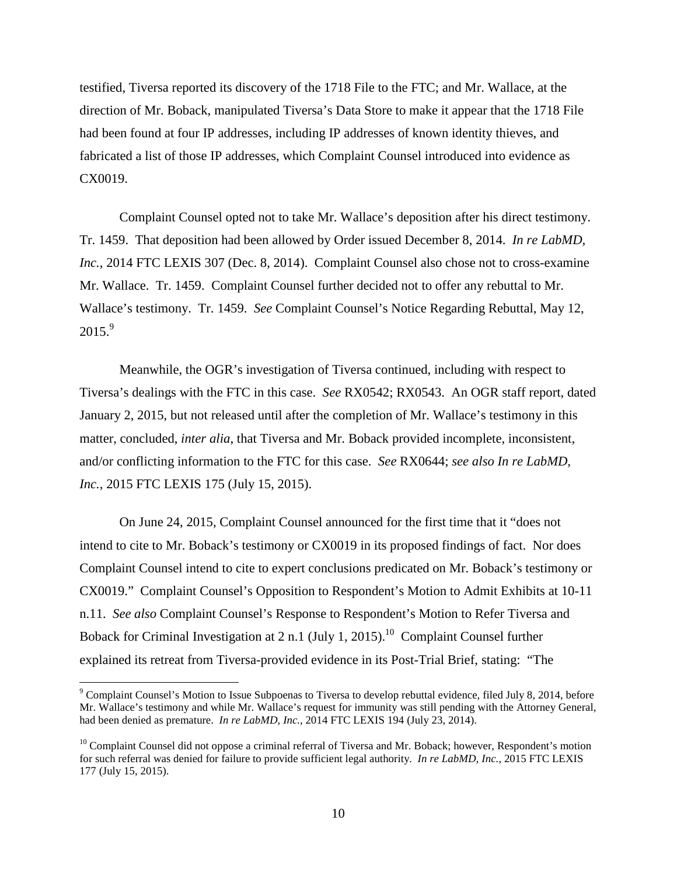testified, Tiversa reported its discovery of the 1718 File to the FTC; and Mr. Wallace, at the direction of Mr. Boback, manipulated Tiversa's Data Store to make it appear that the 1718 File had been found at four IP addresses, including IP addresses of known identity thieves, and fabricated a list of those IP addresses, which Complaint Counsel introduced into evidence as CX0019.

Complaint Counsel opted not to take Mr. Wallace's deposition after his direct testimony. Tr. 1459. That deposition had been allowed by Order issued December 8, 2014. *In re LabMD, Inc.*, 2014 FTC LEXIS 307 (Dec. 8, 2014). Complaint Counsel also chose not to cross-examine Mr. Wallace. Tr. 1459. Complaint Counsel further decided not to offer any rebuttal to Mr. Wallace's testimony. Tr. 1459. *See* Complaint Counsel's Notice Regarding Rebuttal, May 12,  $2015.<sup>9</sup>$ 

Meanwhile, the OGR's investigation of Tiversa continued, including with respect to Tiversa's dealings with the FTC in this case. *See* RX0542; RX0543. An OGR staff report, dated January 2, 2015, but not released until after the completion of Mr. Wallace's testimony in this matter, concluded, *inter alia*, that Tiversa and Mr. Boback provided incomplete, inconsistent, and/or conflicting information to the FTC for this case. *See* RX0644; *see also In re LabMD, Inc.*, 2015 FTC LEXIS 175 (July 15, 2015).

On June 24, 2015, Complaint Counsel announced for the first time that it "does not intend to cite to Mr. Boback's testimony or CX0019 in its proposed findings of fact. Nor does Complaint Counsel intend to cite to expert conclusions predicated on Mr. Boback's testimony or CX0019." Complaint Counsel's Opposition to Respondent's Motion to Admit Exhibits at 10-11 n.11. *See also* Complaint Counsel's Response to Respondent's Motion to Refer Tiversa and Boback for Criminal Investigation at  $2 \text{ n.1 (July 1, 2015).}^{10}$  Complaint Counsel further explained its retreat from Tiversa-provided evidence in its Post-Trial Brief, stating: "The

 <sup>9</sup> Complaint Counsel's Motion to Issue Subpoenas to Tiversa to develop rebuttal evidence, filed July 8, 2014, before Mr. Wallace's testimony and while Mr. Wallace's request for immunity was still pending with the Attorney General, had been denied as premature. *In re LabMD, Inc.*, 2014 FTC LEXIS 194 (July 23, 2014).

<sup>&</sup>lt;sup>10</sup> Complaint Counsel did not oppose a criminal referral of Tiversa and Mr. Boback; however, Respondent's motion for such referral was denied for failure to provide sufficient legal authority. *In re LabMD, Inc.*, 2015 FTC LEXIS 177 (July 15, 2015).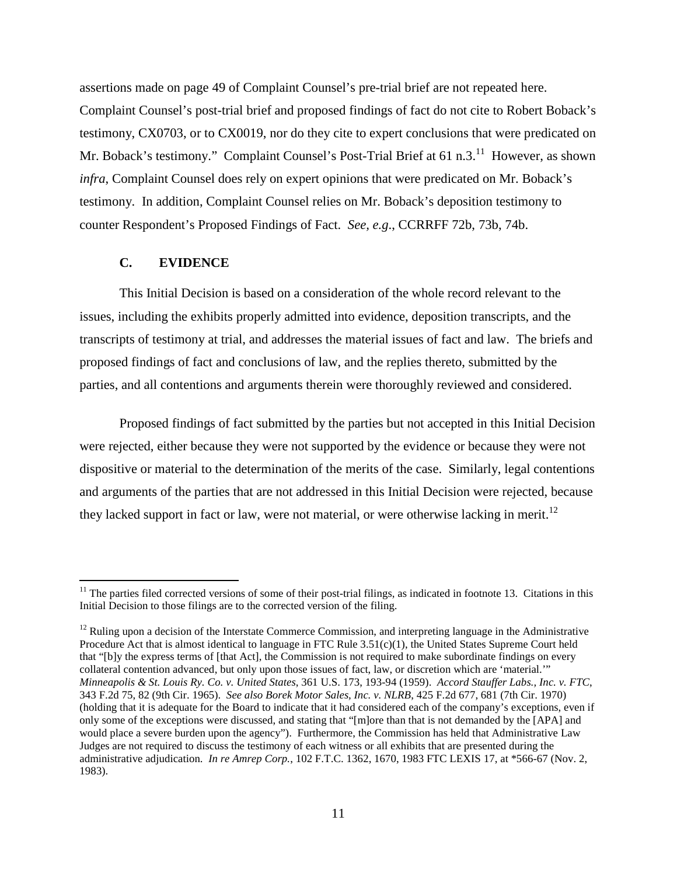assertions made on page 49 of Complaint Counsel's pre-trial brief are not repeated here. Complaint Counsel's post-trial brief and proposed findings of fact do not cite to Robert Boback's testimony, CX0703, or to CX0019, nor do they cite to expert conclusions that were predicated on Mr. Boback's testimony." Complaint Counsel's Post-Trial Brief at 61 n.3.<sup>11</sup> However, as shown *infra*, Complaint Counsel does rely on expert opinions that were predicated on Mr. Boback's testimony. In addition, Complaint Counsel relies on Mr. Boback's deposition testimony to counter Respondent's Proposed Findings of Fact. *See, e.g*., CCRRFF 72b, 73b, 74b.

#### **C. EVIDENCE**

This Initial Decision is based on a consideration of the whole record relevant to the issues, including the exhibits properly admitted into evidence, deposition transcripts, and the transcripts of testimony at trial, and addresses the material issues of fact and law. The briefs and proposed findings of fact and conclusions of law, and the replies thereto, submitted by the parties, and all contentions and arguments therein were thoroughly reviewed and considered.

Proposed findings of fact submitted by the parties but not accepted in this Initial Decision were rejected, either because they were not supported by the evidence or because they were not dispositive or material to the determination of the merits of the case. Similarly, legal contentions and arguments of the parties that are not addressed in this Initial Decision were rejected, because they lacked support in fact or law, were not material, or were otherwise lacking in merit.<sup>12</sup>

 $11$  The parties filed corrected versions of some of their post-trial filings, as indicated in footnote 13. Citations in this Initial Decision to those filings are to the corrected version of the filing.

 $12$  Ruling upon a decision of the Interstate Commerce Commission, and interpreting language in the Administrative Procedure Act that is almost identical to language in FTC Rule 3.51(c)(1), the United States Supreme Court held that "[b]y the express terms of [that Act], the Commission is not required to make subordinate findings on every collateral contention advanced, but only upon those issues of fact, law, or discretion which are 'material.'" *Minneapolis & St. Louis Ry. Co. v. United States*, 361 U.S. 173, 193-94 (1959). *Accord Stauffer Labs., Inc. v. FTC*, 343 F.2d 75, 82 (9th Cir. 1965). *See also Borek Motor Sales, Inc. v. NLRB*, 425 F.2d 677, 681 (7th Cir. 1970) (holding that it is adequate for the Board to indicate that it had considered each of the company's exceptions, even if only some of the exceptions were discussed, and stating that "[m]ore than that is not demanded by the [APA] and would place a severe burden upon the agency"). Furthermore, the Commission has held that Administrative Law Judges are not required to discuss the testimony of each witness or all exhibits that are presented during the administrative adjudication. *In re Amrep Corp.*, 102 F.T.C. 1362, 1670, 1983 FTC LEXIS 17, at \*566-67 (Nov. 2, 1983).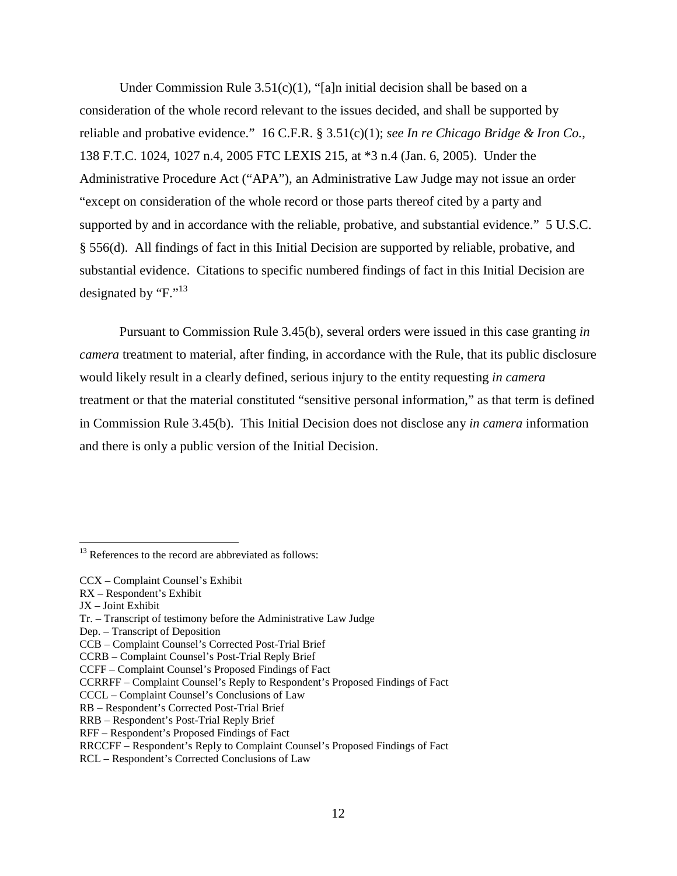Under Commission Rule  $3.51(c)(1)$ , "[a]n initial decision shall be based on a consideration of the whole record relevant to the issues decided, and shall be supported by reliable and probative evidence." 16 C.F.R. § 3.51(c)(1); *see In re Chicago Bridge & Iron Co.*, 138 F.T.C. 1024, 1027 n.4, 2005 FTC LEXIS 215, at \*3 n.4 (Jan. 6, 2005). Under the Administrative Procedure Act ("APA"), an Administrative Law Judge may not issue an order "except on consideration of the whole record or those parts thereof cited by a party and supported by and in accordance with the reliable, probative, and substantial evidence." 5 U.S.C. § 556(d). All findings of fact in this Initial Decision are supported by reliable, probative, and substantial evidence. Citations to specific numbered findings of fact in this Initial Decision are designated by "F."<sup>13</sup>

Pursuant to Commission Rule 3.45(b), several orders were issued in this case granting *in camera* treatment to material, after finding, in accordance with the Rule, that its public disclosure would likely result in a clearly defined, serious injury to the entity requesting *in camera* treatment or that the material constituted "sensitive personal information," as that term is defined in Commission Rule 3.45(b). This Initial Decision does not disclose any *in camera* information and there is only a public version of the Initial Decision.

 $13$  References to the record are abbreviated as follows:

CCX – Complaint Counsel's Exhibit

RX – Respondent's Exhibit

JX – Joint Exhibit

Tr. – Transcript of testimony before the Administrative Law Judge

Dep. – Transcript of Deposition

CCB – Complaint Counsel's Corrected Post-Trial Brief

CCRB – Complaint Counsel's Post-Trial Reply Brief

CCFF – Complaint Counsel's Proposed Findings of Fact

CCRRFF – Complaint Counsel's Reply to Respondent's Proposed Findings of Fact

CCCL – Complaint Counsel's Conclusions of Law

RB – Respondent's Corrected Post-Trial Brief

RRB – Respondent's Post-Trial Reply Brief

RFF – Respondent's Proposed Findings of Fact

RRCCFF – Respondent's Reply to Complaint Counsel's Proposed Findings of Fact

RCL – Respondent's Corrected Conclusions of Law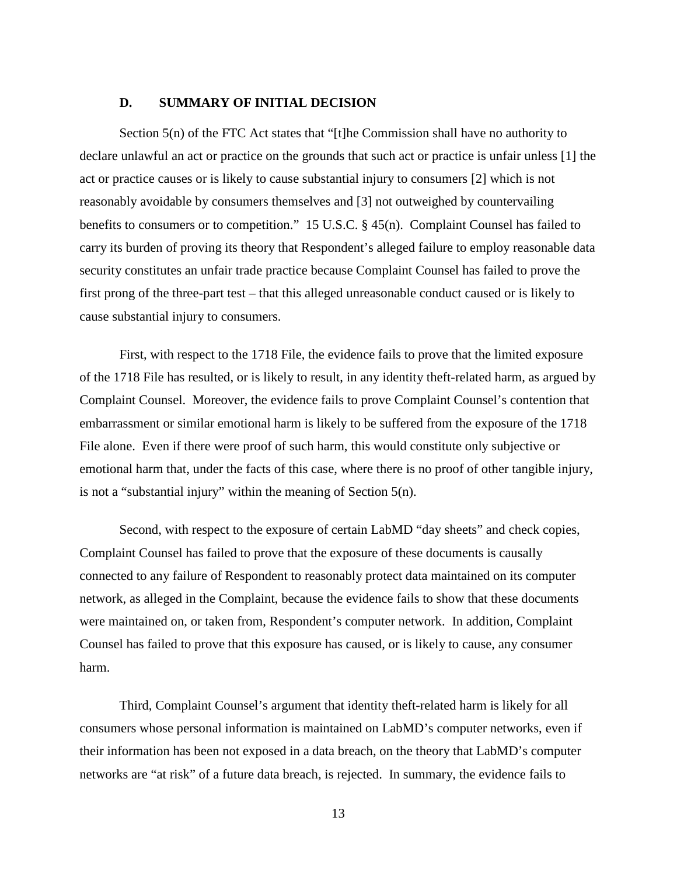#### **D. SUMMARY OF INITIAL DECISION**

Section 5(n) of the FTC Act states that "[t]he Commission shall have no authority to declare unlawful an act or practice on the grounds that such act or practice is unfair unless [1] the act or practice causes or is likely to cause substantial injury to consumers [2] which is not reasonably avoidable by consumers themselves and [3] not outweighed by countervailing benefits to consumers or to competition." 15 U.S.C. § 45(n). Complaint Counsel has failed to carry its burden of proving its theory that Respondent's alleged failure to employ reasonable data security constitutes an unfair trade practice because Complaint Counsel has failed to prove the first prong of the three-part test – that this alleged unreasonable conduct caused or is likely to cause substantial injury to consumers.

First, with respect to the 1718 File, the evidence fails to prove that the limited exposure of the 1718 File has resulted, or is likely to result, in any identity theft-related harm, as argued by Complaint Counsel. Moreover, the evidence fails to prove Complaint Counsel's contention that embarrassment or similar emotional harm is likely to be suffered from the exposure of the 1718 File alone. Even if there were proof of such harm, this would constitute only subjective or emotional harm that, under the facts of this case, where there is no proof of other tangible injury, is not a "substantial injury" within the meaning of Section 5(n).

Second, with respect to the exposure of certain LabMD "day sheets" and check copies, Complaint Counsel has failed to prove that the exposure of these documents is causally connected to any failure of Respondent to reasonably protect data maintained on its computer network, as alleged in the Complaint, because the evidence fails to show that these documents were maintained on, or taken from, Respondent's computer network. In addition, Complaint Counsel has failed to prove that this exposure has caused, or is likely to cause, any consumer harm.

Third, Complaint Counsel's argument that identity theft-related harm is likely for all consumers whose personal information is maintained on LabMD's computer networks, even if their information has been not exposed in a data breach, on the theory that LabMD's computer networks are "at risk" of a future data breach, is rejected. In summary, the evidence fails to

13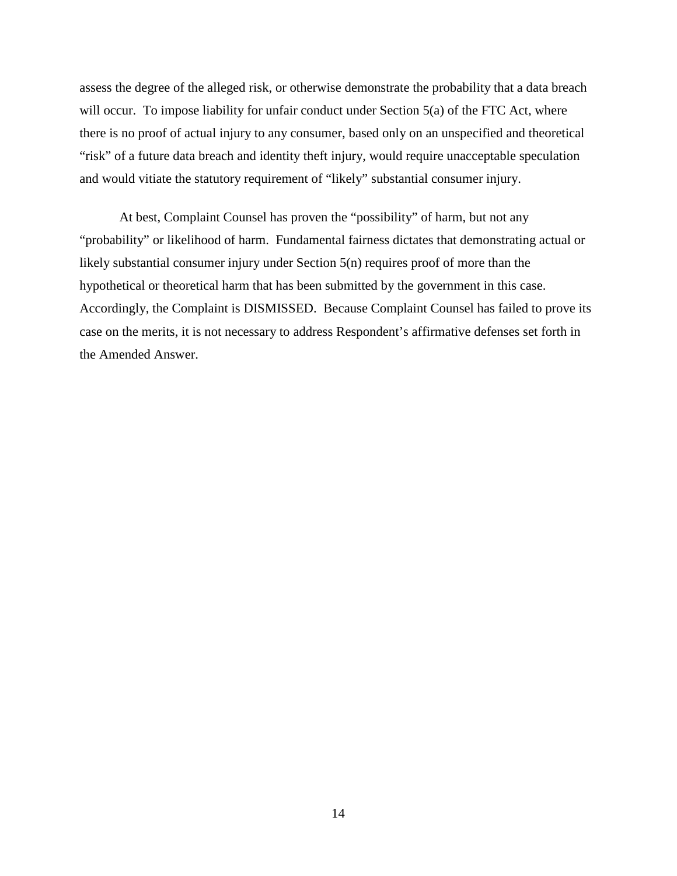assess the degree of the alleged risk, or otherwise demonstrate the probability that a data breach will occur. To impose liability for unfair conduct under Section 5(a) of the FTC Act, where there is no proof of actual injury to any consumer, based only on an unspecified and theoretical "risk" of a future data breach and identity theft injury, would require unacceptable speculation and would vitiate the statutory requirement of "likely" substantial consumer injury.

At best, Complaint Counsel has proven the "possibility" of harm, but not any "probability" or likelihood of harm. Fundamental fairness dictates that demonstrating actual or likely substantial consumer injury under Section 5(n) requires proof of more than the hypothetical or theoretical harm that has been submitted by the government in this case. Accordingly, the Complaint is DISMISSED. Because Complaint Counsel has failed to prove its case on the merits, it is not necessary to address Respondent's affirmative defenses set forth in the Amended Answer.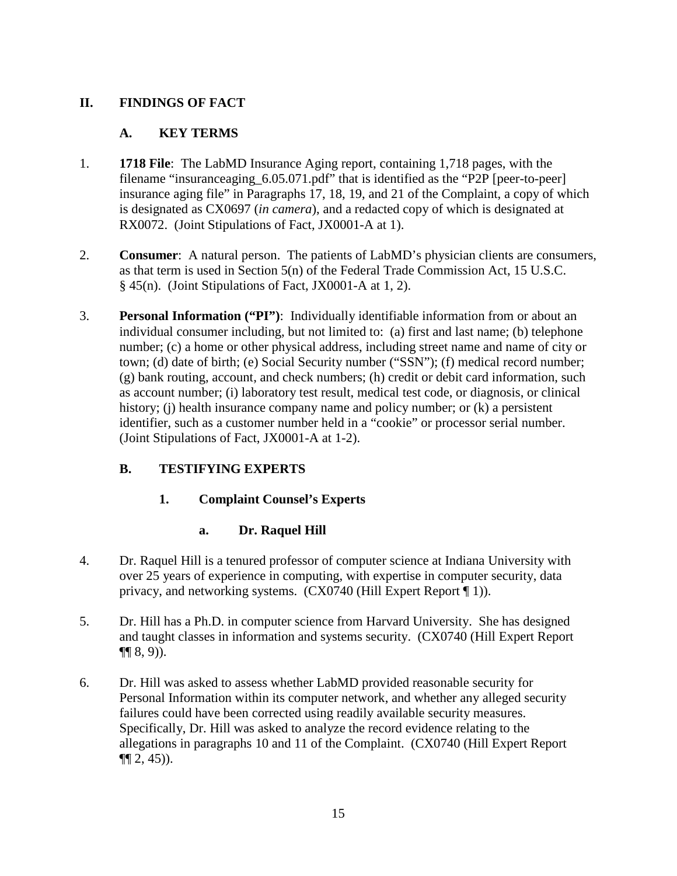# **II. FINDINGS OF FACT**

### **A. KEY TERMS**

- 1. **1718 File**: The LabMD Insurance Aging report, containing 1,718 pages, with the filename "insuranceaging 6.05.071.pdf" that is identified as the "P2P [peer-to-peer] insurance aging file" in Paragraphs 17, 18, 19, and 21 of the Complaint, a copy of which is designated as CX0697 (*in camera*), and a redacted copy of which is designated at RX0072. (Joint Stipulations of Fact, JX0001-A at 1).
- 2. **Consumer**: A natural person. The patients of LabMD's physician clients are consumers, as that term is used in Section 5(n) of the Federal Trade Commission Act, 15 U.S.C. § 45(n). (Joint Stipulations of Fact, JX0001-A at 1, 2).
- 3. **Personal Information ("PI")**: Individually identifiable information from or about an individual consumer including, but not limited to: (a) first and last name; (b) telephone number; (c) a home or other physical address, including street name and name of city or town; (d) date of birth; (e) Social Security number ("SSN"); (f) medical record number; (g) bank routing, account, and check numbers; (h) credit or debit card information, such as account number; (i) laboratory test result, medical test code, or diagnosis, or clinical history; (i) health insurance company name and policy number; or (k) a persistent identifier, such as a customer number held in a "cookie" or processor serial number. (Joint Stipulations of Fact, JX0001-A at 1-2).

# **B. TESTIFYING EXPERTS**

# **1. Complaint Counsel's Experts**

### **a. Dr. Raquel Hill**

- 4. Dr. Raquel Hill is a tenured professor of computer science at Indiana University with over 25 years of experience in computing, with expertise in computer security, data privacy, and networking systems. (CX0740 (Hill Expert Report ¶ 1)).
- 5. Dr. Hill has a Ph.D. in computer science from Harvard University. She has designed and taught classes in information and systems security. (CX0740 (Hill Expert Report  $\P\P(8, 9)$ ).
- 6. Dr. Hill was asked to assess whether LabMD provided reasonable security for Personal Information within its computer network, and whether any alleged security failures could have been corrected using readily available security measures. Specifically, Dr. Hill was asked to analyze the record evidence relating to the allegations in paragraphs 10 and 11 of the Complaint. (CX0740 (Hill Expert Report  $\P(2, 45)$ ).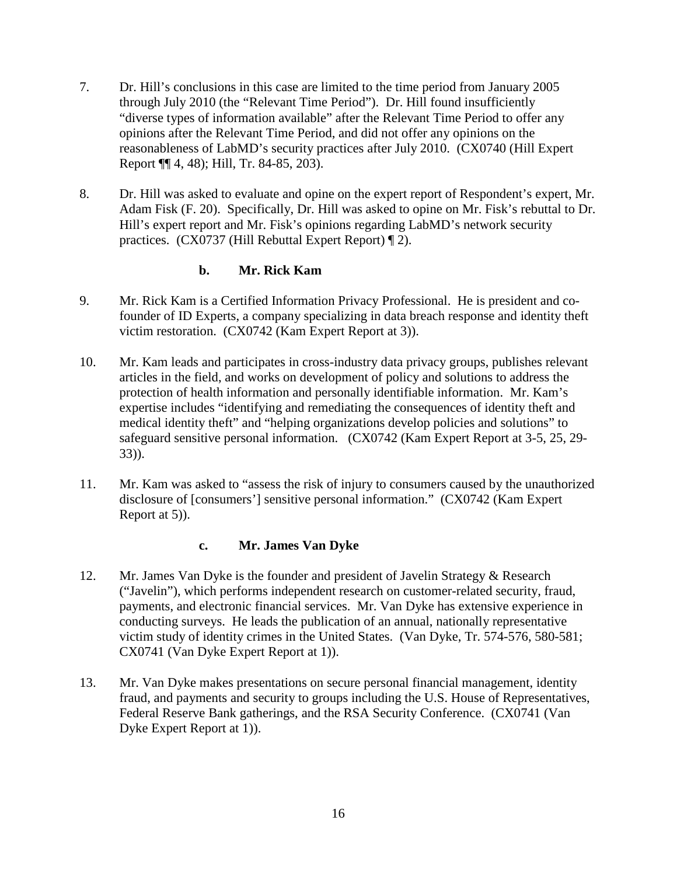- 7. Dr. Hill's conclusions in this case are limited to the time period from January 2005 through July 2010 (the "Relevant Time Period"). Dr. Hill found insufficiently "diverse types of information available" after the Relevant Time Period to offer any opinions after the Relevant Time Period, and did not offer any opinions on the reasonableness of LabMD's security practices after July 2010. (CX0740 (Hill Expert Report ¶¶ 4, 48); Hill, Tr. 84-85, 203).
- 8. Dr. Hill was asked to evaluate and opine on the expert report of Respondent's expert, Mr. Adam Fisk (F. 20). Specifically, Dr. Hill was asked to opine on Mr. Fisk's rebuttal to Dr. Hill's expert report and Mr. Fisk's opinions regarding LabMD's network security practices. (CX0737 (Hill Rebuttal Expert Report) ¶ 2).

### **b. Mr. Rick Kam**

- 9. Mr. Rick Kam is a Certified Information Privacy Professional. He is president and cofounder of ID Experts, a company specializing in data breach response and identity theft victim restoration. (CX0742 (Kam Expert Report at 3)).
- 10. Mr. Kam leads and participates in cross-industry data privacy groups, publishes relevant articles in the field, and works on development of policy and solutions to address the protection of health information and personally identifiable information. Mr. Kam's expertise includes "identifying and remediating the consequences of identity theft and medical identity theft" and "helping organizations develop policies and solutions" to safeguard sensitive personal information. (CX0742 (Kam Expert Report at 3-5, 25, 29- 33)).
- 11. Mr. Kam was asked to "assess the risk of injury to consumers caused by the unauthorized disclosure of [consumers'] sensitive personal information." (CX0742 (Kam Expert Report at 5)).

### **c. Mr. James Van Dyke**

- 12. Mr. James Van Dyke is the founder and president of Javelin Strategy & Research ("Javelin"), which performs independent research on customer-related security, fraud, payments, and electronic financial services. Mr. Van Dyke has extensive experience in conducting surveys. He leads the publication of an annual, nationally representative victim study of identity crimes in the United States. (Van Dyke, Tr. 574-576, 580-581; CX0741 (Van Dyke Expert Report at 1)).
- 13. Mr. Van Dyke makes presentations on secure personal financial management, identity fraud, and payments and security to groups including the U.S. House of Representatives, Federal Reserve Bank gatherings, and the RSA Security Conference. (CX0741 (Van Dyke Expert Report at 1)).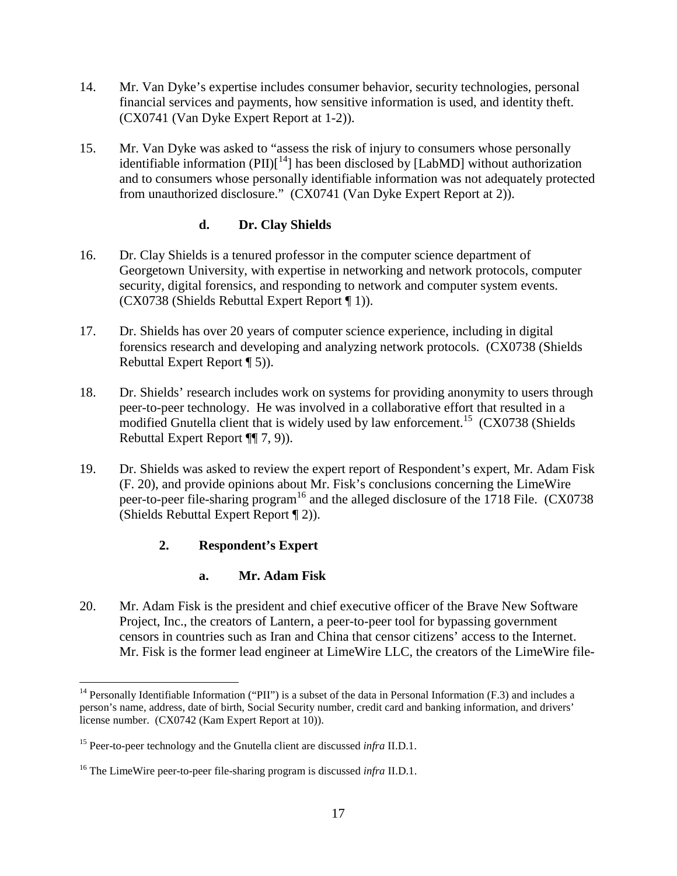- 14. Mr. Van Dyke's expertise includes consumer behavior, security technologies, personal financial services and payments, how sensitive information is used, and identity theft. (CX0741 (Van Dyke Expert Report at 1-2)).
- 15. Mr. Van Dyke was asked to "assess the risk of injury to consumers whose personally identifiable information (PII)[<sup>14</sup>] has been disclosed by [LabMD] without authorization and to consumers whose personally identifiable information was not adequately protected from unauthorized disclosure." (CX0741 (Van Dyke Expert Report at 2)).

### **d. Dr. Clay Shields**

- 16. Dr. Clay Shields is a tenured professor in the computer science department of Georgetown University, with expertise in networking and network protocols, computer security, digital forensics, and responding to network and computer system events. (CX0738 (Shields Rebuttal Expert Report ¶ 1)).
- 17. Dr. Shields has over 20 years of computer science experience, including in digital forensics research and developing and analyzing network protocols. (CX0738 (Shields Rebuttal Expert Report ¶ 5)).
- 18. Dr. Shields' research includes work on systems for providing anonymity to users through peer-to-peer technology. He was involved in a collaborative effort that resulted in a modified Gnutella client that is widely used by law enforcement.<sup>15</sup> (CX0738 (Shields) Rebuttal Expert Report ¶¶ 7, 9)).
- 19. Dr. Shields was asked to review the expert report of Respondent's expert, Mr. Adam Fisk (F. 20), and provide opinions about Mr. Fisk's conclusions concerning the LimeWire peer-to-peer file-sharing program<sup>16</sup> and the alleged disclosure of the 1718 File. (CX0738) (Shields Rebuttal Expert Report ¶ 2)).

# **2. Respondent's Expert**

### **a. Mr. Adam Fisk**

20. Mr. Adam Fisk is the president and chief executive officer of the Brave New Software Project, Inc., the creators of Lantern, a peer-to-peer tool for bypassing government censors in countries such as Iran and China that censor citizens' access to the Internet. Mr. Fisk is the former lead engineer at LimeWire LLC, the creators of the LimeWire file-

<sup>&</sup>lt;sup>14</sup> Personally Identifiable Information ("PII") is a subset of the data in Personal Information (F.3) and includes a person's name, address, date of birth, Social Security number, credit card and banking information, and drivers' license number. (CX0742 (Kam Expert Report at 10)).

<sup>15</sup> Peer-to-peer technology and the Gnutella client are discussed *infra* II.D.1.

<sup>16</sup> The LimeWire peer-to-peer file-sharing program is discussed *infra* II.D.1.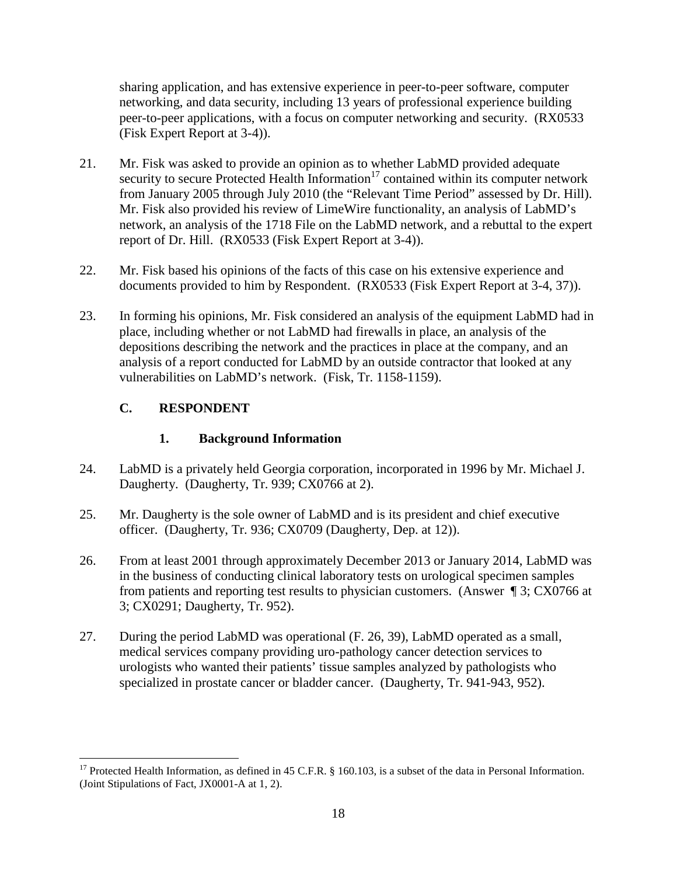sharing application, and has extensive experience in peer-to-peer software, computer networking, and data security, including 13 years of professional experience building peer-to-peer applications, with a focus on computer networking and security. (RX0533 (Fisk Expert Report at 3-4)).

- 21. Mr. Fisk was asked to provide an opinion as to whether LabMD provided adequate security to secure Protected Health Information<sup>17</sup> contained within its computer network from January 2005 through July 2010 (the "Relevant Time Period" assessed by Dr. Hill). Mr. Fisk also provided his review of LimeWire functionality, an analysis of LabMD's network, an analysis of the 1718 File on the LabMD network, and a rebuttal to the expert report of Dr. Hill. (RX0533 (Fisk Expert Report at 3-4)).
- 22. Mr. Fisk based his opinions of the facts of this case on his extensive experience and documents provided to him by Respondent. (RX0533 (Fisk Expert Report at 3-4, 37)).
- 23. In forming his opinions, Mr. Fisk considered an analysis of the equipment LabMD had in place, including whether or not LabMD had firewalls in place, an analysis of the depositions describing the network and the practices in place at the company, and an analysis of a report conducted for LabMD by an outside contractor that looked at any vulnerabilities on LabMD's network. (Fisk, Tr. 1158-1159).

# **C. RESPONDENT**

# **1. Background Information**

- 24. LabMD is a privately held Georgia corporation, incorporated in 1996 by Mr. Michael J. Daugherty. (Daugherty, Tr. 939; CX0766 at 2).
- 25. Mr. Daugherty is the sole owner of LabMD and is its president and chief executive officer. (Daugherty, Tr. 936; CX0709 (Daugherty, Dep. at 12)).
- 26. From at least 2001 through approximately December 2013 or January 2014, LabMD was in the business of conducting clinical laboratory tests on urological specimen samples from patients and reporting test results to physician customers. (Answer ¶ 3; CX0766 at 3; CX0291; Daugherty, Tr. 952).
- 27. During the period LabMD was operational (F. 26, 39), LabMD operated as a small, medical services company providing uro-pathology cancer detection services to urologists who wanted their patients' tissue samples analyzed by pathologists who specialized in prostate cancer or bladder cancer. (Daugherty, Tr. 941-943, 952).

<sup>&</sup>lt;sup>17</sup> Protected Health Information, as defined in 45 C.F.R. § 160.103, is a subset of the data in Personal Information. (Joint Stipulations of Fact, JX0001-A at 1, 2).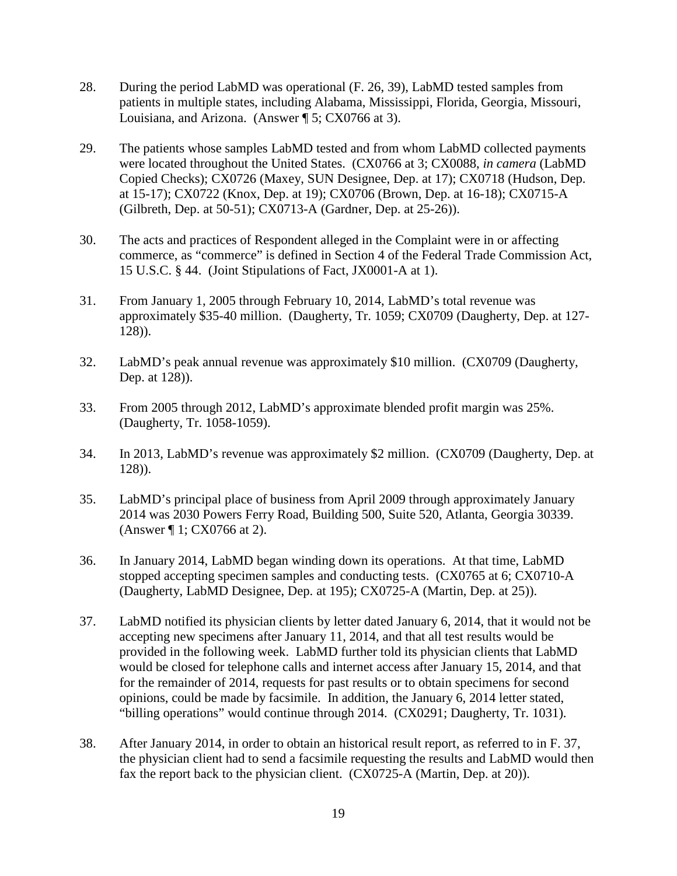- 28. During the period LabMD was operational (F. 26, 39), LabMD tested samples from patients in multiple states, including Alabama, Mississippi, Florida, Georgia, Missouri, Louisiana, and Arizona. (Answer ¶ 5; CX0766 at 3).
- 29. The patients whose samples LabMD tested and from whom LabMD collected payments were located throughout the United States. (CX0766 at 3; CX0088, *in camera* (LabMD Copied Checks); CX0726 (Maxey, SUN Designee, Dep. at 17); CX0718 (Hudson, Dep. at 15-17); CX0722 (Knox, Dep. at 19); CX0706 (Brown, Dep. at 16-18); CX0715-A (Gilbreth, Dep. at 50-51); CX0713-A (Gardner, Dep. at 25-26)).
- 30. The acts and practices of Respondent alleged in the Complaint were in or affecting commerce, as "commerce" is defined in Section 4 of the Federal Trade Commission Act, 15 U.S.C. § 44. (Joint Stipulations of Fact, JX0001-A at 1).
- 31. From January 1, 2005 through February 10, 2014, LabMD's total revenue was approximately \$35-40 million. (Daugherty, Tr. 1059; CX0709 (Daugherty, Dep. at 127- 128)).
- 32. LabMD's peak annual revenue was approximately \$10 million. (CX0709 (Daugherty, Dep. at 128)).
- 33. From 2005 through 2012, LabMD's approximate blended profit margin was 25%. (Daugherty, Tr. 1058-1059).
- 34. In 2013, LabMD's revenue was approximately \$2 million. (CX0709 (Daugherty, Dep. at 128)).
- 35. LabMD's principal place of business from April 2009 through approximately January 2014 was 2030 Powers Ferry Road, Building 500, Suite 520, Atlanta, Georgia 30339. (Answer ¶ 1; CX0766 at 2).
- 36. In January 2014, LabMD began winding down its operations. At that time, LabMD stopped accepting specimen samples and conducting tests. (CX0765 at 6; CX0710-A (Daugherty, LabMD Designee, Dep. at 195); CX0725-A (Martin, Dep. at 25)).
- 37. LabMD notified its physician clients by letter dated January 6, 2014, that it would not be accepting new specimens after January 11, 2014, and that all test results would be provided in the following week. LabMD further told its physician clients that LabMD would be closed for telephone calls and internet access after January 15, 2014, and that for the remainder of 2014, requests for past results or to obtain specimens for second opinions, could be made by facsimile. In addition, the January 6, 2014 letter stated, "billing operations" would continue through 2014. (CX0291; Daugherty, Tr. 1031).
- 38. After January 2014, in order to obtain an historical result report, as referred to in F. 37, the physician client had to send a facsimile requesting the results and LabMD would then fax the report back to the physician client. (CX0725-A (Martin, Dep. at 20)).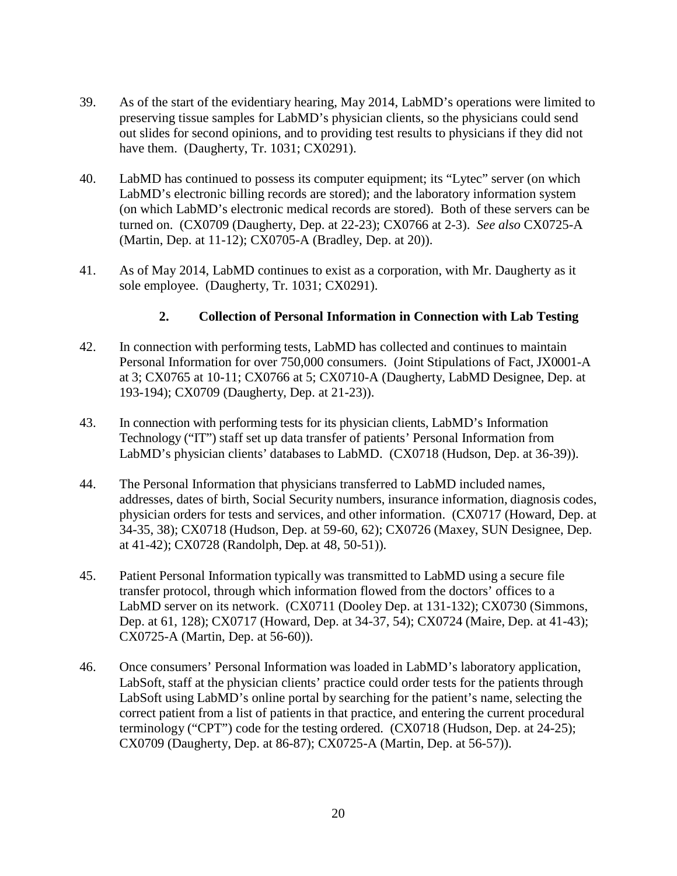- 39. As of the start of the evidentiary hearing, May 2014, LabMD's operations were limited to preserving tissue samples for LabMD's physician clients, so the physicians could send out slides for second opinions, and to providing test results to physicians if they did not have them. (Daugherty, Tr. 1031; CX0291).
- 40. LabMD has continued to possess its computer equipment; its "Lytec" server (on which LabMD's electronic billing records are stored); and the laboratory information system (on which LabMD's electronic medical records are stored). Both of these servers can be turned on. (CX0709 (Daugherty, Dep. at 22-23); CX0766 at 2-3). *See also* CX0725-A (Martin, Dep. at 11-12); CX0705-A (Bradley, Dep. at 20)).
- 41. As of May 2014, LabMD continues to exist as a corporation, with Mr. Daugherty as it sole employee. (Daugherty, Tr. 1031; CX0291).

### **2. Collection of Personal Information in Connection with Lab Testing**

- 42. In connection with performing tests, LabMD has collected and continues to maintain Personal Information for over 750,000 consumers. (Joint Stipulations of Fact, JX0001-A at 3; CX0765 at 10-11; CX0766 at 5; CX0710-A (Daugherty, LabMD Designee, Dep. at 193-194); CX0709 (Daugherty, Dep. at 21-23)).
- 43. In connection with performing tests for its physician clients, LabMD's Information Technology ("IT") staff set up data transfer of patients' Personal Information from LabMD's physician clients' databases to LabMD. (CX0718 (Hudson, Dep. at 36-39)).
- 44. The Personal Information that physicians transferred to LabMD included names, addresses, dates of birth, Social Security numbers, insurance information, diagnosis codes, physician orders for tests and services, and other information. (CX0717 (Howard, Dep. at 34-35, 38); CX0718 (Hudson, Dep. at 59-60, 62); CX0726 (Maxey, SUN Designee, Dep. at 41-42); CX0728 (Randolph, Dep. at 48, 50-51)).
- 45. Patient Personal Information typically was transmitted to LabMD using a secure file transfer protocol, through which information flowed from the doctors' offices to a LabMD server on its network. (CX0711 (Dooley Dep. at 131-132); CX0730 (Simmons, Dep. at 61, 128); CX0717 (Howard, Dep. at 34-37, 54); CX0724 (Maire, Dep. at 41-43); CX0725-A (Martin, Dep. at 56-60)).
- 46. Once consumers' Personal Information was loaded in LabMD's laboratory application, LabSoft, staff at the physician clients' practice could order tests for the patients through LabSoft using LabMD's online portal by searching for the patient's name, selecting the correct patient from a list of patients in that practice, and entering the current procedural terminology ("CPT") code for the testing ordered. (CX0718 (Hudson, Dep. at 24-25); CX0709 (Daugherty, Dep. at 86-87); CX0725-A (Martin, Dep. at 56-57)).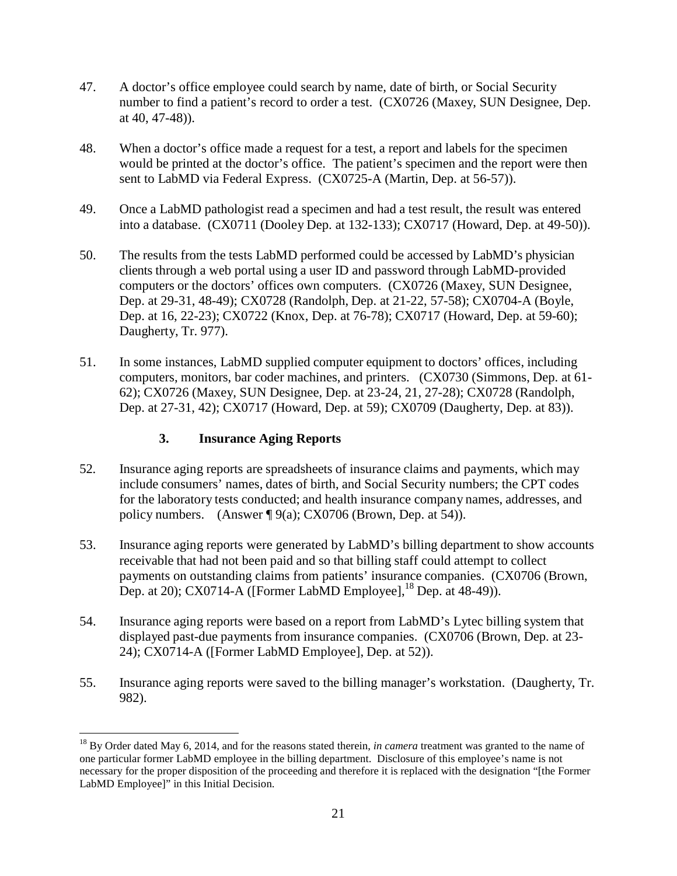- 47. A doctor's office employee could search by name, date of birth, or Social Security number to find a patient's record to order a test. (CX0726 (Maxey, SUN Designee, Dep. at 40, 47-48)).
- 48. When a doctor's office made a request for a test, a report and labels for the specimen would be printed at the doctor's office. The patient's specimen and the report were then sent to LabMD via Federal Express. (CX0725-A (Martin, Dep. at 56-57)).
- 49. Once a LabMD pathologist read a specimen and had a test result, the result was entered into a database. (CX0711 (Dooley Dep. at 132-133); CX0717 (Howard, Dep. at 49-50)).
- 50. The results from the tests LabMD performed could be accessed by LabMD's physician clients through a web portal using a user ID and password through LabMD-provided computers or the doctors' offices own computers. (CX0726 (Maxey, SUN Designee, Dep. at 29-31, 48-49); CX0728 (Randolph, Dep. at 21-22, 57-58); CX0704-A (Boyle, Dep. at 16, 22-23); CX0722 (Knox, Dep. at 76-78); CX0717 (Howard, Dep. at 59-60); Daugherty, Tr. 977).
- 51. In some instances, LabMD supplied computer equipment to doctors' offices, including computers, monitors, bar coder machines, and printers. (CX0730 (Simmons, Dep. at 61- 62); CX0726 (Maxey, SUN Designee, Dep. at 23-24, 21, 27-28); CX0728 (Randolph, Dep. at 27-31, 42); CX0717 (Howard, Dep. at 59); CX0709 (Daugherty, Dep. at 83)).

### **3. Insurance Aging Reports**

- 52. Insurance aging reports are spreadsheets of insurance claims and payments, which may include consumers' names, dates of birth, and Social Security numbers; the CPT codes for the laboratory tests conducted; and health insurance company names, addresses, and policy numbers. (Answer ¶ 9(a); CX0706 (Brown, Dep. at 54)).
- 53. Insurance aging reports were generated by LabMD's billing department to show accounts receivable that had not been paid and so that billing staff could attempt to collect payments on outstanding claims from patients' insurance companies. (CX0706 (Brown, Dep. at 20); CX0714-A ([Former LabMD Employee], $^{18}$  Dep. at 48-49)).
- 54. Insurance aging reports were based on a report from LabMD's Lytec billing system that displayed past-due payments from insurance companies. (CX0706 (Brown, Dep. at 23- 24); CX0714-A ([Former LabMD Employee], Dep. at 52)).
- 55. Insurance aging reports were saved to the billing manager's workstation. (Daugherty, Tr. 982).

<sup>&</sup>lt;sup>18</sup> By Order dated May 6, 2014, and for the reasons stated therein, *in camera* treatment was granted to the name of one particular former LabMD employee in the billing department. Disclosure of this employee's name is not necessary for the proper disposition of the proceeding and therefore it is replaced with the designation "[the Former LabMD Employee]" in this Initial Decision.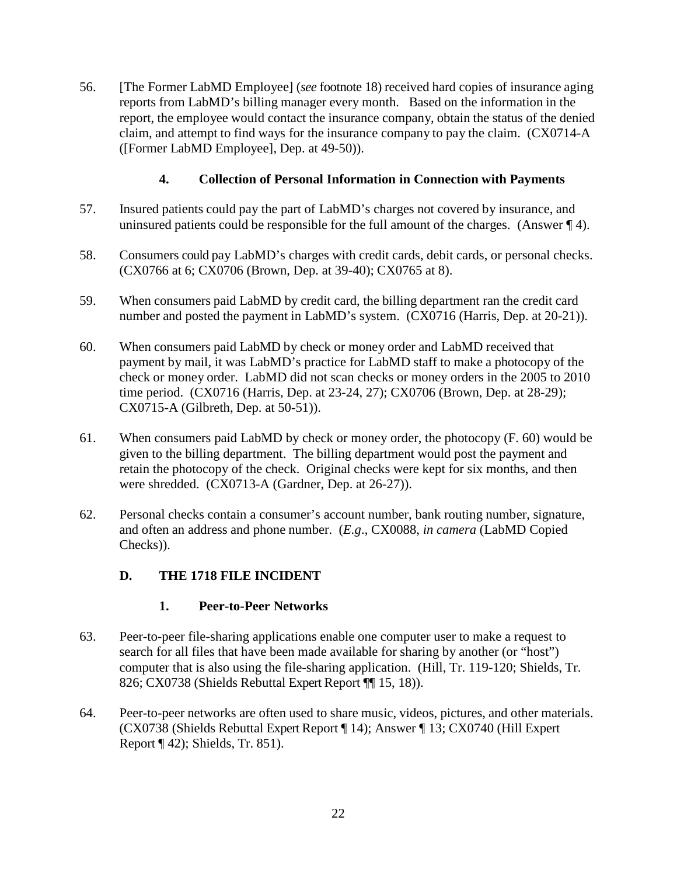56. [The Former LabMD Employee] (*see* footnote 18) received hard copies of insurance aging reports from LabMD's billing manager every month. Based on the information in the report, the employee would contact the insurance company, obtain the status of the denied claim, and attempt to find ways for the insurance company to pay the claim. (CX0714-A ([Former LabMD Employee], Dep. at 49-50)).

### **4. Collection of Personal Information in Connection with Payments**

- 57. Insured patients could pay the part of LabMD's charges not covered by insurance, and uninsured patients could be responsible for the full amount of the charges. (Answer  $\P$  4).
- 58. Consumers could pay LabMD's charges with credit cards, debit cards, or personal checks. (CX0766 at 6; CX0706 (Brown, Dep. at 39-40); CX0765 at 8).
- 59. When consumers paid LabMD by credit card, the billing department ran the credit card number and posted the payment in LabMD's system. (CX0716 (Harris, Dep. at 20-21)).
- 60. When consumers paid LabMD by check or money order and LabMD received that payment by mail, it was LabMD's practice for LabMD staff to make a photocopy of the check or money order. LabMD did not scan checks or money orders in the 2005 to 2010 time period. (CX0716 (Harris, Dep. at 23-24, 27); CX0706 (Brown, Dep. at 28-29); CX0715-A (Gilbreth, Dep. at 50-51)).
- 61. When consumers paid LabMD by check or money order, the photocopy (F. 60) would be given to the billing department. The billing department would post the payment and retain the photocopy of the check. Original checks were kept for six months, and then were shredded. (CX0713-A (Gardner, Dep. at 26-27)).
- 62. Personal checks contain a consumer's account number, bank routing number, signature, and often an address and phone number. (*E.g*., CX0088, *in camera* (LabMD Copied Checks)).

# **D. THE 1718 FILE INCIDENT**

### **1. Peer-to-Peer Networks**

- 63. Peer-to-peer file-sharing applications enable one computer user to make a request to search for all files that have been made available for sharing by another (or "host") computer that is also using the file-sharing application. (Hill, Tr. 119-120; Shields, Tr. 826; CX0738 (Shields Rebuttal Expert Report ¶¶ 15, 18)).
- 64. Peer-to-peer networks are often used to share music, videos, pictures, and other materials. (CX0738 (Shields Rebuttal Expert Report ¶ 14); Answer ¶ 13; CX0740 (Hill Expert Report ¶ 42); Shields, Tr. 851).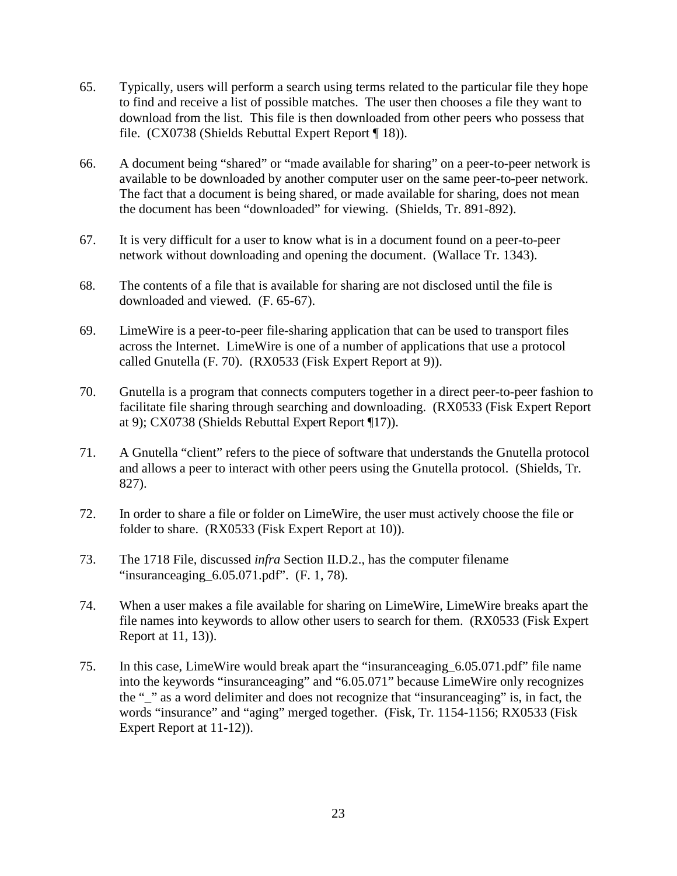- 65. Typically, users will perform a search using terms related to the particular file they hope to find and receive a list of possible matches. The user then chooses a file they want to download from the list. This file is then downloaded from other peers who possess that file. (CX0738 (Shields Rebuttal Expert Report ¶ 18)).
- 66. A document being "shared" or "made available for sharing" on a peer-to-peer network is available to be downloaded by another computer user on the same peer-to-peer network. The fact that a document is being shared, or made available for sharing, does not mean the document has been "downloaded" for viewing. (Shields, Tr. 891-892).
- 67. It is very difficult for a user to know what is in a document found on a peer-to-peer network without downloading and opening the document. (Wallace Tr. 1343).
- 68. The contents of a file that is available for sharing are not disclosed until the file is downloaded and viewed. (F. 65-67).
- 69. LimeWire is a peer-to-peer file-sharing application that can be used to transport files across the Internet. LimeWire is one of a number of applications that use a protocol called Gnutella (F. 70). (RX0533 (Fisk Expert Report at 9)).
- 70. Gnutella is a program that connects computers together in a direct peer-to-peer fashion to facilitate file sharing through searching and downloading. (RX0533 (Fisk Expert Report at 9); CX0738 (Shields Rebuttal Expert Report ¶17)).
- 71. A Gnutella "client" refers to the piece of software that understands the Gnutella protocol and allows a peer to interact with other peers using the Gnutella protocol. (Shields, Tr. 827).
- 72. In order to share a file or folder on LimeWire, the user must actively choose the file or folder to share. (RX0533 (Fisk Expert Report at 10)).
- 73. The 1718 File, discussed *infra* Section II.D.2., has the computer filename "insuranceaging\_6.05.071.pdf". (F. 1, 78).
- 74. When a user makes a file available for sharing on LimeWire, LimeWire breaks apart the file names into keywords to allow other users to search for them. (RX0533 (Fisk Expert Report at 11, 13)).
- 75. In this case, LimeWire would break apart the "insuranceaging\_6.05.071.pdf" file name into the keywords "insuranceaging" and "6.05.071" because LimeWire only recognizes the "\_" as a word delimiter and does not recognize that "insuranceaging" is, in fact, the words "insurance" and "aging" merged together. (Fisk, Tr. 1154-1156; RX0533 (Fisk Expert Report at 11-12)).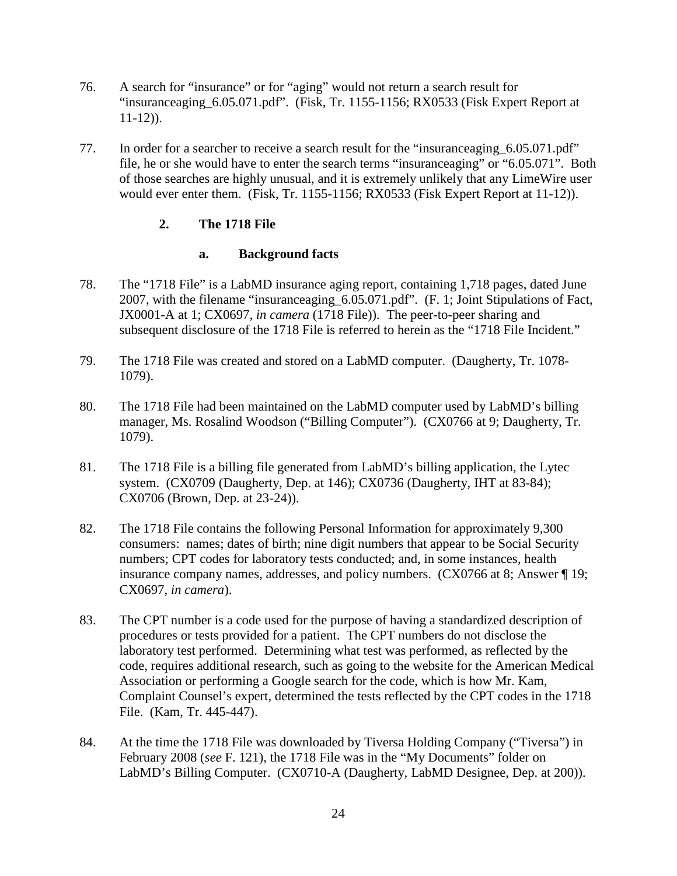- 76. A search for "insurance" or for "aging" would not return a search result for "insuranceaging  $6.05.071$ .pdf". (Fisk, Tr. 1155-1156; RX0533 (Fisk Expert Report at  $11-12$ ).
- 77. In order for a searcher to receive a search result for the "insuranceaging 6.05.071.pdf" file, he or she would have to enter the search terms "insuranceaging" or "6.05.071". Both of those searches are highly unusual, and it is extremely unlikely that any LimeWire user would ever enter them. (Fisk, Tr. 1155-1156; RX0533 (Fisk Expert Report at 11-12)).

### **2. The 1718 File**

### **a. Background facts**

- 78. The "1718 File" is a LabMD insurance aging report, containing 1,718 pages, dated June 2007, with the filename "insuranceaging\_6.05.071.pdf". (F. 1; Joint Stipulations of Fact, JX0001-A at 1; CX0697, *in camera* (1718 File)). The peer-to-peer sharing and subsequent disclosure of the 1718 File is referred to herein as the "1718 File Incident."
- 79. The 1718 File was created and stored on a LabMD computer. (Daugherty, Tr. 1078- 1079).
- 80. The 1718 File had been maintained on the LabMD computer used by LabMD's billing manager, Ms. Rosalind Woodson ("Billing Computer"). (CX0766 at 9; Daugherty, Tr. 1079).
- 81. The 1718 File is a billing file generated from LabMD's billing application, the Lytec system. (CX0709 (Daugherty, Dep. at 146); CX0736 (Daugherty, IHT at 83-84); CX0706 (Brown, Dep. at 23-24)).
- 82. The 1718 File contains the following Personal Information for approximately 9,300 consumers: names; dates of birth; nine digit numbers that appear to be Social Security numbers; CPT codes for laboratory tests conducted; and, in some instances, health insurance company names, addresses, and policy numbers. (CX0766 at 8; Answer ¶ 19; CX0697, *in camera*).
- 83. The CPT number is a code used for the purpose of having a standardized description of procedures or tests provided for a patient. The CPT numbers do not disclose the laboratory test performed. Determining what test was performed, as reflected by the code, requires additional research, such as going to the website for the American Medical Association or performing a Google search for the code, which is how Mr. Kam, Complaint Counsel's expert, determined the tests reflected by the CPT codes in the 1718 File. (Kam, Tr. 445-447).
- 84. At the time the 1718 File was downloaded by Tiversa Holding Company ("Tiversa") in February 2008 (*see* F. 121), the 1718 File was in the "My Documents" folder on LabMD's Billing Computer. (CX0710-A (Daugherty, LabMD Designee, Dep. at 200)).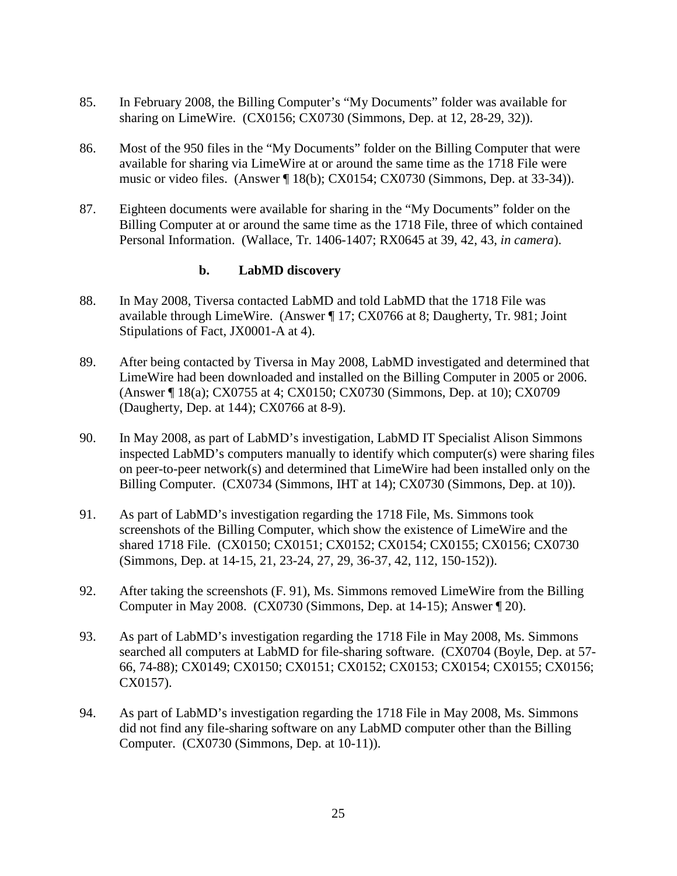- 85. In February 2008, the Billing Computer's "My Documents" folder was available for sharing on LimeWire. (CX0156; CX0730 (Simmons, Dep. at 12, 28-29, 32)).
- 86. Most of the 950 files in the "My Documents" folder on the Billing Computer that were available for sharing via LimeWire at or around the same time as the 1718 File were music or video files. (Answer ¶ 18(b); CX0154; CX0730 (Simmons, Dep. at 33-34)).
- 87. Eighteen documents were available for sharing in the "My Documents" folder on the Billing Computer at or around the same time as the 1718 File, three of which contained Personal Information. (Wallace, Tr. 1406-1407; RX0645 at 39, 42, 43, *in camera*).

#### **b. LabMD discovery**

- 88. In May 2008, Tiversa contacted LabMD and told LabMD that the 1718 File was available through LimeWire. (Answer ¶ 17; CX0766 at 8; Daugherty, Tr. 981; Joint Stipulations of Fact, JX0001-A at 4).
- 89. After being contacted by Tiversa in May 2008, LabMD investigated and determined that LimeWire had been downloaded and installed on the Billing Computer in 2005 or 2006. (Answer ¶ 18(a); CX0755 at 4; CX0150; CX0730 (Simmons, Dep. at 10); CX0709 (Daugherty, Dep. at 144); CX0766 at 8-9).
- 90. In May 2008, as part of LabMD's investigation, LabMD IT Specialist Alison Simmons inspected LabMD's computers manually to identify which computer(s) were sharing files on peer-to-peer network(s) and determined that LimeWire had been installed only on the Billing Computer. (CX0734 (Simmons, IHT at 14); CX0730 (Simmons, Dep. at 10)).
- 91. As part of LabMD's investigation regarding the 1718 File, Ms. Simmons took screenshots of the Billing Computer, which show the existence of LimeWire and the shared 1718 File. (CX0150; CX0151; CX0152; CX0154; CX0155; CX0156; CX0730 (Simmons, Dep. at 14-15, 21, 23-24, 27, 29, 36-37, 42, 112, 150-152)).
- 92. After taking the screenshots (F. 91), Ms. Simmons removed LimeWire from the Billing Computer in May 2008. (CX0730 (Simmons, Dep. at 14-15); Answer ¶ 20).
- 93. As part of LabMD's investigation regarding the 1718 File in May 2008, Ms. Simmons searched all computers at LabMD for file-sharing software. (CX0704 (Boyle, Dep. at 57- 66, 74-88); CX0149; CX0150; CX0151; CX0152; CX0153; CX0154; CX0155; CX0156; CX0157).
- 94. As part of LabMD's investigation regarding the 1718 File in May 2008, Ms. Simmons did not find any file-sharing software on any LabMD computer other than the Billing Computer. (CX0730 (Simmons, Dep. at 10-11)).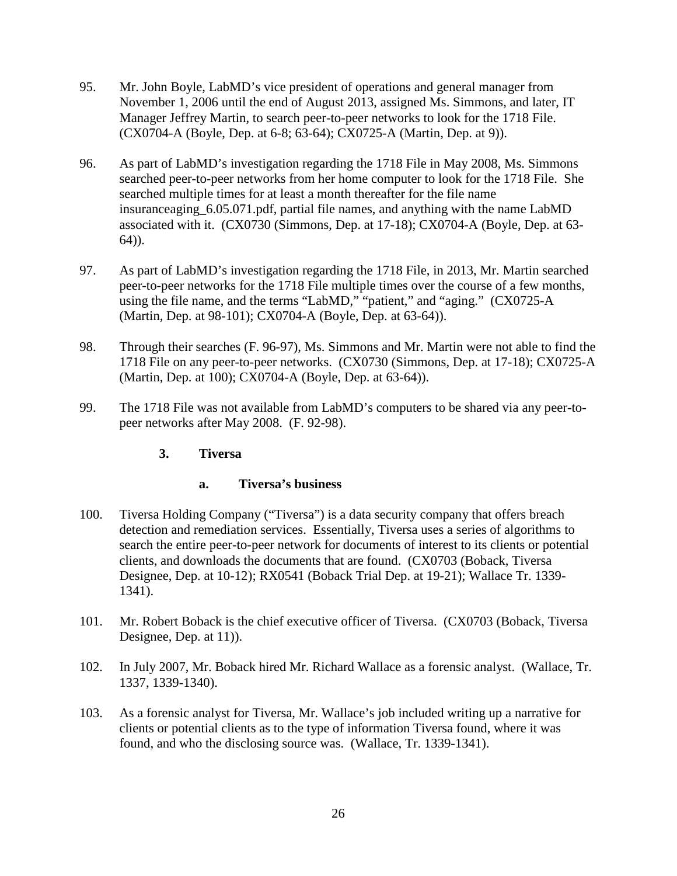- 95. Mr. John Boyle, LabMD's vice president of operations and general manager from November 1, 2006 until the end of August 2013, assigned Ms. Simmons, and later, IT Manager Jeffrey Martin, to search peer-to-peer networks to look for the 1718 File. (CX0704-A (Boyle, Dep. at 6-8; 63-64); CX0725-A (Martin, Dep. at 9)).
- 96. As part of LabMD's investigation regarding the 1718 File in May 2008, Ms. Simmons searched peer-to-peer networks from her home computer to look for the 1718 File. She searched multiple times for at least a month thereafter for the file name insuranceaging\_6.05.071.pdf, partial file names, and anything with the name LabMD associated with it. (CX0730 (Simmons, Dep. at 17-18); CX0704-A (Boyle, Dep. at 63- 64)).
- 97. As part of LabMD's investigation regarding the 1718 File, in 2013, Mr. Martin searched peer-to-peer networks for the 1718 File multiple times over the course of a few months, using the file name, and the terms "LabMD," "patient," and "aging." (CX0725-A (Martin, Dep. at 98-101); CX0704-A (Boyle, Dep. at 63-64)).
- 98. Through their searches (F. 96-97), Ms. Simmons and Mr. Martin were not able to find the 1718 File on any peer-to-peer networks. (CX0730 (Simmons, Dep. at 17-18); CX0725-A (Martin, Dep. at 100); CX0704-A (Boyle, Dep. at 63-64)).
- 99. The 1718 File was not available from LabMD's computers to be shared via any peer-topeer networks after May 2008. (F. 92-98).
	- **3. Tiversa**

### **a. Tiversa's business**

- 100. Tiversa Holding Company ("Tiversa") is a data security company that offers breach detection and remediation services. Essentially, Tiversa uses a series of algorithms to search the entire peer-to-peer network for documents of interest to its clients or potential clients, and downloads the documents that are found. (CX0703 (Boback, Tiversa Designee, Dep. at 10-12); RX0541 (Boback Trial Dep. at 19-21); Wallace Tr. 1339- 1341).
- 101. Mr. Robert Boback is the chief executive officer of Tiversa. (CX0703 (Boback, Tiversa Designee, Dep. at 11).
- 102. In July 2007, Mr. Boback hired Mr. Richard Wallace as a forensic analyst. (Wallace, Tr. 1337, 1339-1340).
- 103. As a forensic analyst for Tiversa, Mr. Wallace's job included writing up a narrative for clients or potential clients as to the type of information Tiversa found, where it was found, and who the disclosing source was. (Wallace, Tr. 1339-1341).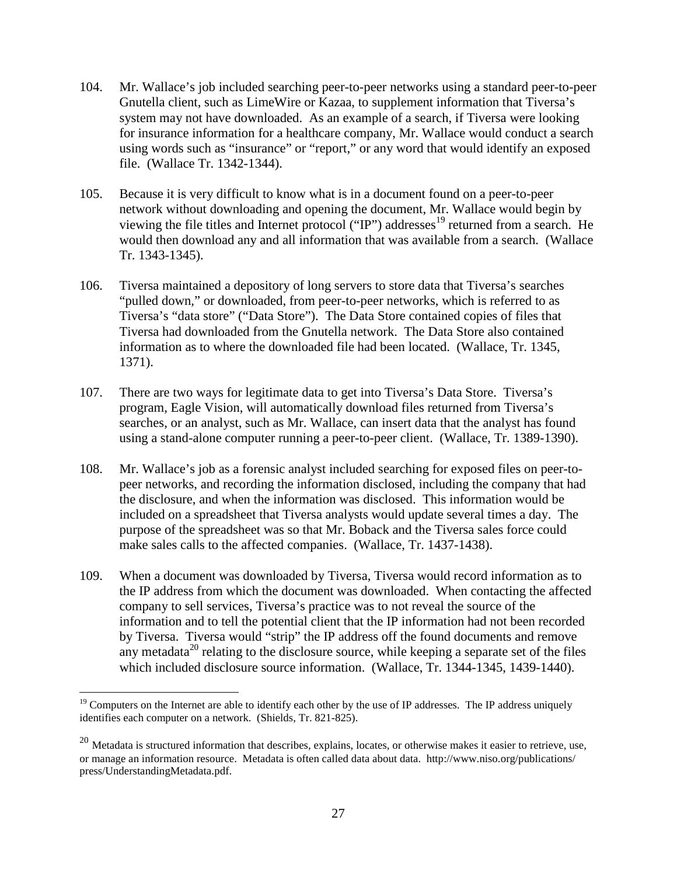- 104. Mr. Wallace's job included searching peer-to-peer networks using a standard peer-to-peer Gnutella client, such as LimeWire or Kazaa, to supplement information that Tiversa's system may not have downloaded. As an example of a search, if Tiversa were looking for insurance information for a healthcare company, Mr. Wallace would conduct a search using words such as "insurance" or "report," or any word that would identify an exposed file. (Wallace Tr. 1342-1344).
- 105. Because it is very difficult to know what is in a document found on a peer-to-peer network without downloading and opening the document, Mr. Wallace would begin by viewing the file titles and Internet protocol ("IP") addresses<sup>19</sup> returned from a search. He would then download any and all information that was available from a search. (Wallace Tr. 1343-1345).
- 106. Tiversa maintained a depository of long servers to store data that Tiversa's searches "pulled down," or downloaded, from peer-to-peer networks, which is referred to as Tiversa's "data store" ("Data Store"). The Data Store contained copies of files that Tiversa had downloaded from the Gnutella network. The Data Store also contained information as to where the downloaded file had been located. (Wallace, Tr. 1345, 1371).
- 107. There are two ways for legitimate data to get into Tiversa's Data Store. Tiversa's program, Eagle Vision, will automatically download files returned from Tiversa's searches, or an analyst, such as Mr. Wallace, can insert data that the analyst has found using a stand-alone computer running a peer-to-peer client. (Wallace, Tr. 1389-1390).
- 108. Mr. Wallace's job as a forensic analyst included searching for exposed files on peer-topeer networks, and recording the information disclosed, including the company that had the disclosure, and when the information was disclosed. This information would be included on a spreadsheet that Tiversa analysts would update several times a day. The purpose of the spreadsheet was so that Mr. Boback and the Tiversa sales force could make sales calls to the affected companies. (Wallace, Tr. 1437-1438).
- 109. When a document was downloaded by Tiversa, Tiversa would record information as to the IP address from which the document was downloaded. When contacting the affected company to sell services, Tiversa's practice was to not reveal the source of the information and to tell the potential client that the IP information had not been recorded by Tiversa. Tiversa would "strip" the IP address off the found documents and remove any metadata<sup>20</sup> relating to the disclosure source, while keeping a separate set of the files which included disclosure source information. (Wallace, Tr. 1344-1345, 1439-1440).

 $19$  Computers on the Internet are able to identify each other by the use of IP addresses. The IP address uniquely identifies each computer on a network. (Shields, Tr. 821-825).

 $20$  Metadata is structured information that describes, explains, locates, or otherwise makes it easier to retrieve, use, or manage an information resource. Metadata is often called data about data. http://www.niso.org/publications/ press/UnderstandingMetadata.pdf.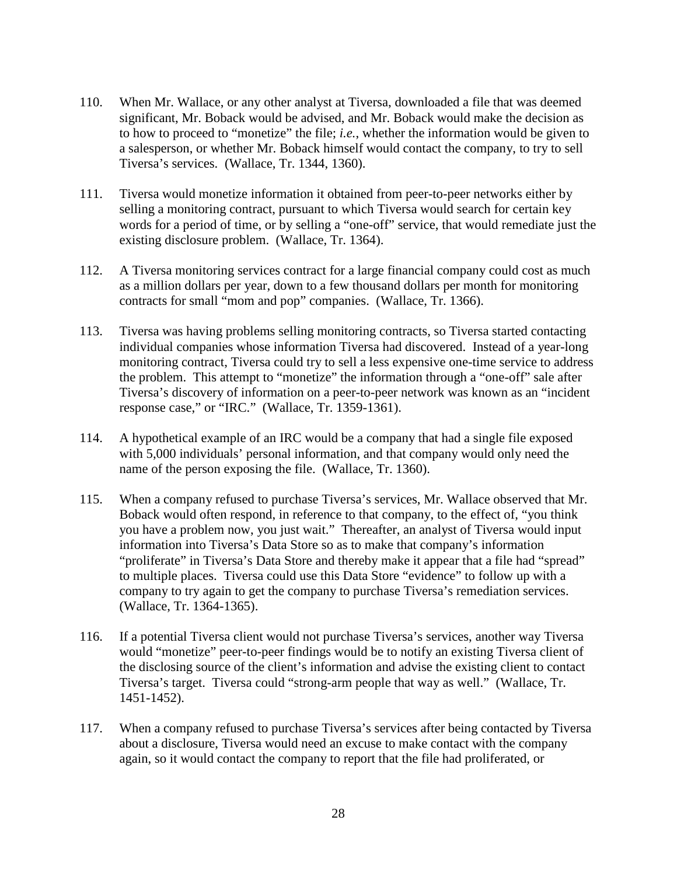- 110. When Mr. Wallace, or any other analyst at Tiversa, downloaded a file that was deemed significant, Mr. Boback would be advised, and Mr. Boback would make the decision as to how to proceed to "monetize" the file; *i.e.*, whether the information would be given to a salesperson, or whether Mr. Boback himself would contact the company, to try to sell Tiversa's services. (Wallace, Tr. 1344, 1360).
- 111. Tiversa would monetize information it obtained from peer-to-peer networks either by selling a monitoring contract, pursuant to which Tiversa would search for certain key words for a period of time, or by selling a "one-off" service, that would remediate just the existing disclosure problem. (Wallace, Tr. 1364).
- 112. A Tiversa monitoring services contract for a large financial company could cost as much as a million dollars per year, down to a few thousand dollars per month for monitoring contracts for small "mom and pop" companies. (Wallace, Tr. 1366).
- 113. Tiversa was having problems selling monitoring contracts, so Tiversa started contacting individual companies whose information Tiversa had discovered. Instead of a year-long monitoring contract, Tiversa could try to sell a less expensive one-time service to address the problem. This attempt to "monetize" the information through a "one-off" sale after Tiversa's discovery of information on a peer-to-peer network was known as an "incident response case," or "IRC." (Wallace, Tr. 1359-1361).
- 114. A hypothetical example of an IRC would be a company that had a single file exposed with 5,000 individuals' personal information, and that company would only need the name of the person exposing the file. (Wallace, Tr. 1360).
- 115. When a company refused to purchase Tiversa's services, Mr. Wallace observed that Mr. Boback would often respond, in reference to that company, to the effect of, "you think you have a problem now, you just wait." Thereafter, an analyst of Tiversa would input information into Tiversa's Data Store so as to make that company's information "proliferate" in Tiversa's Data Store and thereby make it appear that a file had "spread" to multiple places. Tiversa could use this Data Store "evidence" to follow up with a company to try again to get the company to purchase Tiversa's remediation services. (Wallace, Tr. 1364-1365).
- 116. If a potential Tiversa client would not purchase Tiversa's services, another way Tiversa would "monetize" peer-to-peer findings would be to notify an existing Tiversa client of the disclosing source of the client's information and advise the existing client to contact Tiversa's target. Tiversa could "strong-arm people that way as well." (Wallace, Tr. 1451-1452).
- 117. When a company refused to purchase Tiversa's services after being contacted by Tiversa about a disclosure, Tiversa would need an excuse to make contact with the company again, so it would contact the company to report that the file had proliferated, or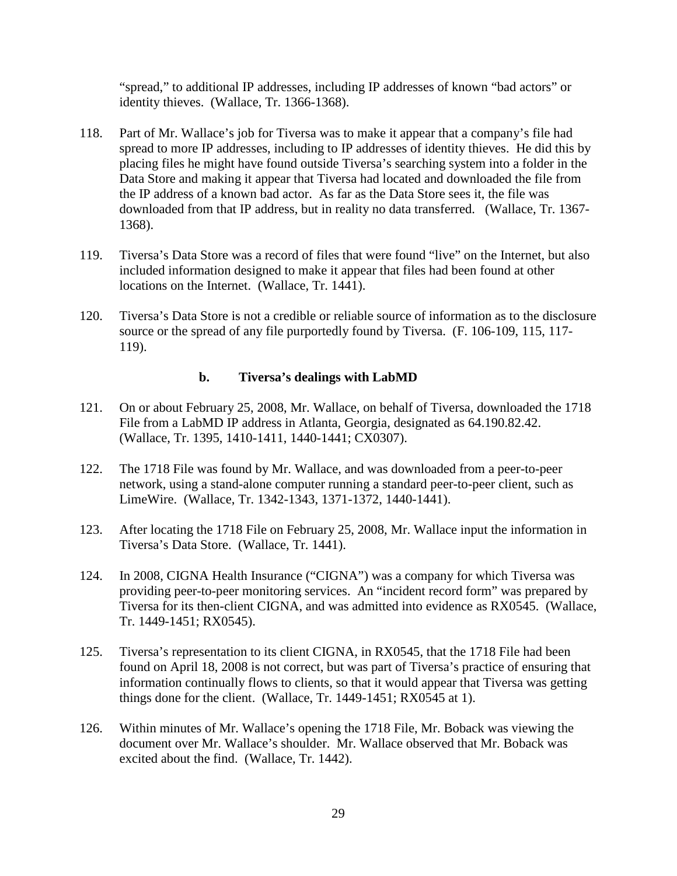"spread," to additional IP addresses, including IP addresses of known "bad actors" or identity thieves. (Wallace, Tr. 1366-1368).

- 118. Part of Mr. Wallace's job for Tiversa was to make it appear that a company's file had spread to more IP addresses, including to IP addresses of identity thieves. He did this by placing files he might have found outside Tiversa's searching system into a folder in the Data Store and making it appear that Tiversa had located and downloaded the file from the IP address of a known bad actor. As far as the Data Store sees it, the file was downloaded from that IP address, but in reality no data transferred. (Wallace, Tr. 1367- 1368).
- 119. Tiversa's Data Store was a record of files that were found "live" on the Internet, but also included information designed to make it appear that files had been found at other locations on the Internet. (Wallace, Tr. 1441).
- 120. Tiversa's Data Store is not a credible or reliable source of information as to the disclosure source or the spread of any file purportedly found by Tiversa. (F. 106-109, 115, 117- 119).

#### **b. Tiversa's dealings with LabMD**

- 121. On or about February 25, 2008, Mr. Wallace, on behalf of Tiversa, downloaded the 1718 File from a LabMD IP address in Atlanta, Georgia, designated as 64.190.82.42. (Wallace, Tr. 1395, 1410-1411, 1440-1441; CX0307).
- 122. The 1718 File was found by Mr. Wallace, and was downloaded from a peer-to-peer network, using a stand-alone computer running a standard peer-to-peer client, such as LimeWire. (Wallace, Tr. 1342-1343, 1371-1372, 1440-1441).
- 123. After locating the 1718 File on February 25, 2008, Mr. Wallace input the information in Tiversa's Data Store. (Wallace, Tr. 1441).
- 124. In 2008, CIGNA Health Insurance ("CIGNA") was a company for which Tiversa was providing peer-to-peer monitoring services. An "incident record form" was prepared by Tiversa for its then-client CIGNA, and was admitted into evidence as RX0545. (Wallace, Tr. 1449-1451; RX0545).
- 125. Tiversa's representation to its client CIGNA, in RX0545, that the 1718 File had been found on April 18, 2008 is not correct, but was part of Tiversa's practice of ensuring that information continually flows to clients, so that it would appear that Tiversa was getting things done for the client. (Wallace, Tr. 1449-1451; RX0545 at 1).
- 126. Within minutes of Mr. Wallace's opening the 1718 File, Mr. Boback was viewing the document over Mr. Wallace's shoulder. Mr. Wallace observed that Mr. Boback was excited about the find. (Wallace, Tr. 1442).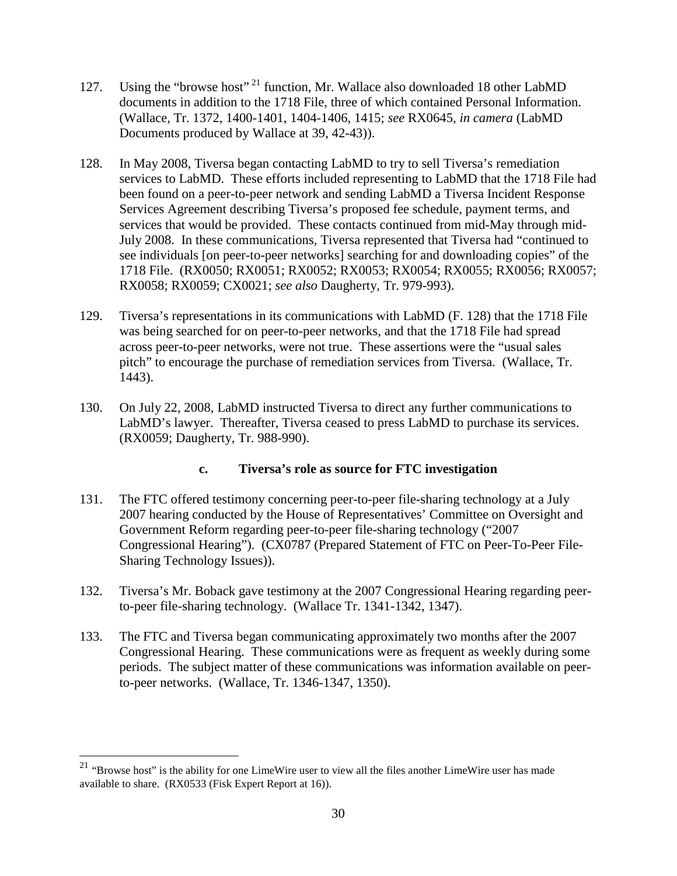- 127. Using the "browse host" <sup>21</sup> function, Mr. Wallace also downloaded 18 other LabMD documents in addition to the 1718 File, three of which contained Personal Information. (Wallace, Tr. 1372, 1400-1401, 1404-1406, 1415; *see* RX0645, *in camera* (LabMD Documents produced by Wallace at 39, 42-43)).
- 128. In May 2008, Tiversa began contacting LabMD to try to sell Tiversa's remediation services to LabMD. These efforts included representing to LabMD that the 1718 File had been found on a peer-to-peer network and sending LabMD a Tiversa Incident Response Services Agreement describing Tiversa's proposed fee schedule, payment terms, and services that would be provided. These contacts continued from mid-May through mid-July 2008. In these communications, Tiversa represented that Tiversa had "continued to see individuals [on peer-to-peer networks] searching for and downloading copies" of the 1718 File. (RX0050; RX0051; RX0052; RX0053; RX0054; RX0055; RX0056; RX0057; RX0058; RX0059; CX0021; *see also* Daugherty, Tr. 979-993).
- 129. Tiversa's representations in its communications with LabMD (F. 128) that the 1718 File was being searched for on peer-to-peer networks, and that the 1718 File had spread across peer-to-peer networks, were not true. These assertions were the "usual sales pitch" to encourage the purchase of remediation services from Tiversa. (Wallace, Tr. 1443).
- 130. On July 22, 2008, LabMD instructed Tiversa to direct any further communications to LabMD's lawyer. Thereafter, Tiversa ceased to press LabMD to purchase its services. (RX0059; Daugherty, Tr. 988-990).

### **c. Tiversa's role as source for FTC investigation**

- 131. The FTC offered testimony concerning peer-to-peer file-sharing technology at a July 2007 hearing conducted by the House of Representatives' Committee on Oversight and Government Reform regarding peer-to-peer file-sharing technology ("2007 Congressional Hearing"). (CX0787 (Prepared Statement of FTC on Peer-To-Peer File-Sharing Technology Issues)).
- 132. Tiversa's Mr. Boback gave testimony at the 2007 Congressional Hearing regarding peerto-peer file-sharing technology. (Wallace Tr. 1341-1342, 1347).
- 133. The FTC and Tiversa began communicating approximately two months after the 2007 Congressional Hearing. These communications were as frequent as weekly during some periods. The subject matter of these communications was information available on peerto-peer networks. (Wallace, Tr. 1346-1347, 1350).

<sup>&</sup>lt;sup>21</sup> "Browse host" is the ability for one LimeWire user to view all the files another LimeWire user has made available to share. (RX0533 (Fisk Expert Report at 16)).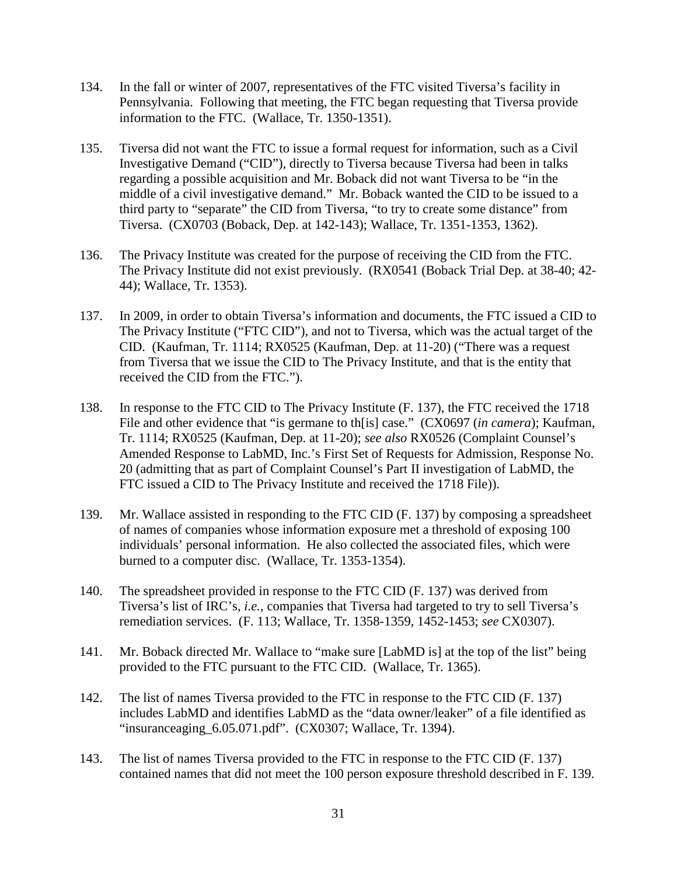- 134. In the fall or winter of 2007, representatives of the FTC visited Tiversa's facility in Pennsylvania. Following that meeting, the FTC began requesting that Tiversa provide information to the FTC. (Wallace, Tr. 1350-1351).
- 135. Tiversa did not want the FTC to issue a formal request for information, such as a Civil Investigative Demand ("CID"), directly to Tiversa because Tiversa had been in talks regarding a possible acquisition and Mr. Boback did not want Tiversa to be "in the middle of a civil investigative demand." Mr. Boback wanted the CID to be issued to a third party to "separate" the CID from Tiversa, "to try to create some distance" from Tiversa. (CX0703 (Boback, Dep. at 142-143); Wallace, Tr. 1351-1353, 1362).
- 136. The Privacy Institute was created for the purpose of receiving the CID from the FTC. The Privacy Institute did not exist previously. (RX0541 (Boback Trial Dep. at 38-40; 42- 44); Wallace, Tr. 1353).
- 137. In 2009, in order to obtain Tiversa's information and documents, the FTC issued a CID to The Privacy Institute ("FTC CID"), and not to Tiversa, which was the actual target of the CID. (Kaufman, Tr. 1114; RX0525 (Kaufman, Dep. at 11-20) ("There was a request from Tiversa that we issue the CID to The Privacy Institute, and that is the entity that received the CID from the FTC.").
- 138. In response to the FTC CID to The Privacy Institute (F. 137), the FTC received the 1718 File and other evidence that "is germane to th[is] case." (CX0697 (*in camera*); Kaufman, Tr. 1114; RX0525 (Kaufman, Dep. at 11-20); *see also* RX0526 (Complaint Counsel's Amended Response to LabMD, Inc.'s First Set of Requests for Admission, Response No. 20 (admitting that as part of Complaint Counsel's Part II investigation of LabMD, the FTC issued a CID to The Privacy Institute and received the 1718 File)).
- 139. Mr. Wallace assisted in responding to the FTC CID (F. 137) by composing a spreadsheet of names of companies whose information exposure met a threshold of exposing 100 individuals' personal information. He also collected the associated files, which were burned to a computer disc. (Wallace, Tr. 1353-1354).
- 140. The spreadsheet provided in response to the FTC CID (F. 137) was derived from Tiversa's list of IRC's, *i.e.*, companies that Tiversa had targeted to try to sell Tiversa's remediation services. (F. 113; Wallace, Tr. 1358-1359, 1452-1453; *see* CX0307).
- 141. Mr. Boback directed Mr. Wallace to "make sure [LabMD is] at the top of the list" being provided to the FTC pursuant to the FTC CID. (Wallace, Tr. 1365).
- 142. The list of names Tiversa provided to the FTC in response to the FTC CID (F. 137) includes LabMD and identifies LabMD as the "data owner/leaker" of a file identified as "insuranceaging\_6.05.071.pdf". (CX0307; Wallace, Tr. 1394).
- 143. The list of names Tiversa provided to the FTC in response to the FTC CID (F. 137) contained names that did not meet the 100 person exposure threshold described in F. 139.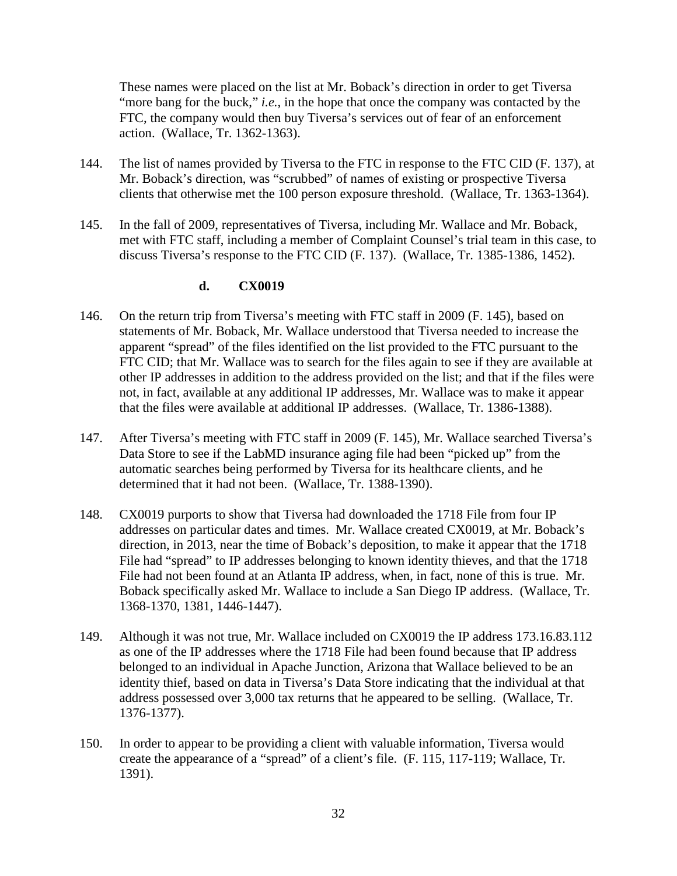These names were placed on the list at Mr. Boback's direction in order to get Tiversa "more bang for the buck," *i.e.*, in the hope that once the company was contacted by the FTC, the company would then buy Tiversa's services out of fear of an enforcement action. (Wallace, Tr. 1362-1363).

- 144. The list of names provided by Tiversa to the FTC in response to the FTC CID (F. 137), at Mr. Boback's direction, was "scrubbed" of names of existing or prospective Tiversa clients that otherwise met the 100 person exposure threshold. (Wallace, Tr. 1363-1364).
- 145. In the fall of 2009, representatives of Tiversa, including Mr. Wallace and Mr. Boback, met with FTC staff, including a member of Complaint Counsel's trial team in this case, to discuss Tiversa's response to the FTC CID (F. 137). (Wallace, Tr. 1385-1386, 1452).

### **d. CX0019**

- 146. On the return trip from Tiversa's meeting with FTC staff in 2009 (F. 145), based on statements of Mr. Boback, Mr. Wallace understood that Tiversa needed to increase the apparent "spread" of the files identified on the list provided to the FTC pursuant to the FTC CID; that Mr. Wallace was to search for the files again to see if they are available at other IP addresses in addition to the address provided on the list; and that if the files were not, in fact, available at any additional IP addresses, Mr. Wallace was to make it appear that the files were available at additional IP addresses. (Wallace, Tr. 1386-1388).
- 147. After Tiversa's meeting with FTC staff in 2009 (F. 145), Mr. Wallace searched Tiversa's Data Store to see if the LabMD insurance aging file had been "picked up" from the automatic searches being performed by Tiversa for its healthcare clients, and he determined that it had not been. (Wallace, Tr. 1388-1390).
- 148. CX0019 purports to show that Tiversa had downloaded the 1718 File from four IP addresses on particular dates and times. Mr. Wallace created CX0019, at Mr. Boback's direction, in 2013, near the time of Boback's deposition, to make it appear that the 1718 File had "spread" to IP addresses belonging to known identity thieves, and that the 1718 File had not been found at an Atlanta IP address, when, in fact, none of this is true. Mr. Boback specifically asked Mr. Wallace to include a San Diego IP address. (Wallace, Tr. 1368-1370, 1381, 1446-1447).
- 149. Although it was not true, Mr. Wallace included on CX0019 the IP address 173.16.83.112 as one of the IP addresses where the 1718 File had been found because that IP address belonged to an individual in Apache Junction, Arizona that Wallace believed to be an identity thief, based on data in Tiversa's Data Store indicating that the individual at that address possessed over 3,000 tax returns that he appeared to be selling. (Wallace, Tr. 1376-1377).
- 150. In order to appear to be providing a client with valuable information, Tiversa would create the appearance of a "spread" of a client's file. (F. 115, 117-119; Wallace, Tr. 1391).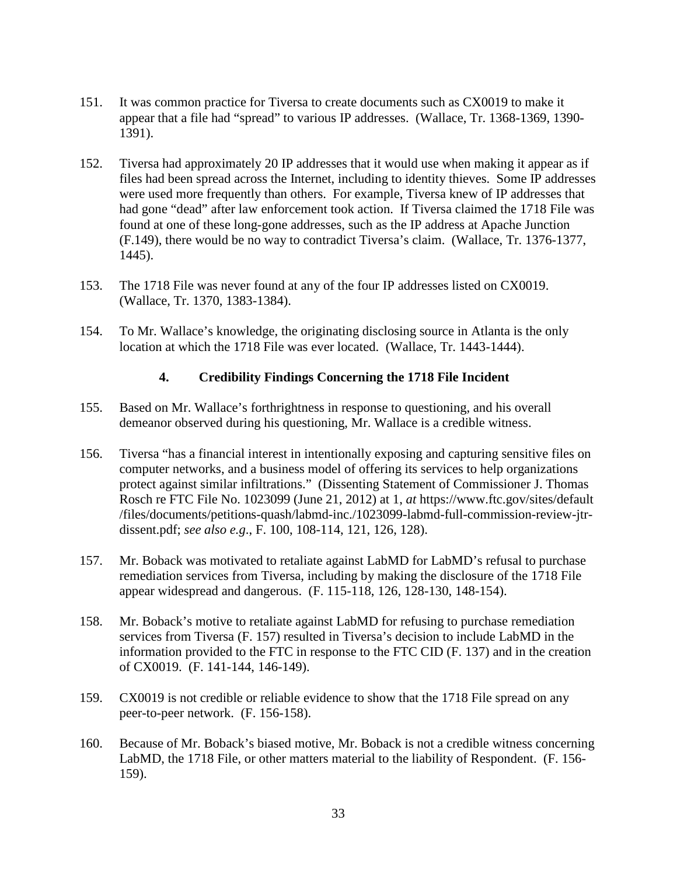- 151. It was common practice for Tiversa to create documents such as CX0019 to make it appear that a file had "spread" to various IP addresses. (Wallace, Tr. 1368-1369, 1390- 1391).
- 152. Tiversa had approximately 20 IP addresses that it would use when making it appear as if files had been spread across the Internet, including to identity thieves. Some IP addresses were used more frequently than others. For example, Tiversa knew of IP addresses that had gone "dead" after law enforcement took action. If Tiversa claimed the 1718 File was found at one of these long-gone addresses, such as the IP address at Apache Junction (F.149), there would be no way to contradict Tiversa's claim. (Wallace, Tr. 1376-1377, 1445).
- 153. The 1718 File was never found at any of the four IP addresses listed on CX0019. (Wallace, Tr. 1370, 1383-1384).
- 154. To Mr. Wallace's knowledge, the originating disclosing source in Atlanta is the only location at which the 1718 File was ever located. (Wallace, Tr. 1443-1444).

#### **4. Credibility Findings Concerning the 1718 File Incident**

- 155. Based on Mr. Wallace's forthrightness in response to questioning, and his overall demeanor observed during his questioning, Mr. Wallace is a credible witness.
- 156. Tiversa "has a financial interest in intentionally exposing and capturing sensitive files on computer networks, and a business model of offering its services to help organizations protect against similar infiltrations." (Dissenting Statement of Commissioner J. Thomas Rosch re FTC File No. 1023099 (June 21, 2012) at 1, *at* https://www.ftc.gov/sites/default /files/documents/petitions-quash/labmd-inc./1023099-labmd-full-commission-review-jtrdissent.pdf; *see also e.g*., F. 100, 108-114, 121, 126, 128).
- 157. Mr. Boback was motivated to retaliate against LabMD for LabMD's refusal to purchase remediation services from Tiversa, including by making the disclosure of the 1718 File appear widespread and dangerous. (F. 115-118, 126, 128-130, 148-154).
- 158. Mr. Boback's motive to retaliate against LabMD for refusing to purchase remediation services from Tiversa (F. 157) resulted in Tiversa's decision to include LabMD in the information provided to the FTC in response to the FTC CID (F. 137) and in the creation of CX0019. (F. 141-144, 146-149).
- 159. CX0019 is not credible or reliable evidence to show that the 1718 File spread on any peer-to-peer network. (F. 156-158).
- 160. Because of Mr. Boback's biased motive, Mr. Boback is not a credible witness concerning LabMD, the 1718 File, or other matters material to the liability of Respondent. (F. 156- 159).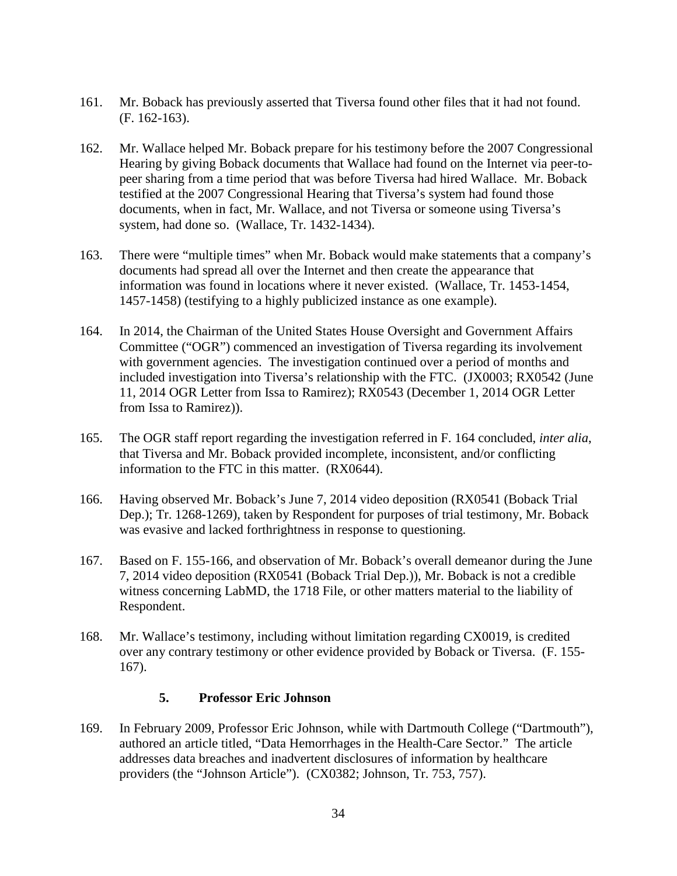- 161. Mr. Boback has previously asserted that Tiversa found other files that it had not found. (F. 162-163).
- 162. Mr. Wallace helped Mr. Boback prepare for his testimony before the 2007 Congressional Hearing by giving Boback documents that Wallace had found on the Internet via peer-topeer sharing from a time period that was before Tiversa had hired Wallace. Mr. Boback testified at the 2007 Congressional Hearing that Tiversa's system had found those documents, when in fact, Mr. Wallace, and not Tiversa or someone using Tiversa's system, had done so. (Wallace, Tr. 1432-1434).
- 163. There were "multiple times" when Mr. Boback would make statements that a company's documents had spread all over the Internet and then create the appearance that information was found in locations where it never existed. (Wallace, Tr. 1453-1454, 1457-1458) (testifying to a highly publicized instance as one example).
- 164. In 2014, the Chairman of the United States House Oversight and Government Affairs Committee ("OGR") commenced an investigation of Tiversa regarding its involvement with government agencies. The investigation continued over a period of months and included investigation into Tiversa's relationship with the FTC. (JX0003; RX0542 (June 11, 2014 OGR Letter from Issa to Ramirez); RX0543 (December 1, 2014 OGR Letter from Issa to Ramirez)).
- 165. The OGR staff report regarding the investigation referred in F. 164 concluded, *inter alia*, that Tiversa and Mr. Boback provided incomplete, inconsistent, and/or conflicting information to the FTC in this matter. (RX0644).
- 166. Having observed Mr. Boback's June 7, 2014 video deposition (RX0541 (Boback Trial Dep.); Tr. 1268-1269), taken by Respondent for purposes of trial testimony, Mr. Boback was evasive and lacked forthrightness in response to questioning.
- 167. Based on F. 155-166, and observation of Mr. Boback's overall demeanor during the June 7, 2014 video deposition (RX0541 (Boback Trial Dep.)), Mr. Boback is not a credible witness concerning LabMD, the 1718 File, or other matters material to the liability of Respondent.
- 168. Mr. Wallace's testimony, including without limitation regarding CX0019, is credited over any contrary testimony or other evidence provided by Boback or Tiversa. (F. 155- 167).

# **5. Professor Eric Johnson**

169. In February 2009, Professor Eric Johnson, while with Dartmouth College ("Dartmouth"), authored an article titled, "Data Hemorrhages in the Health-Care Sector." The article addresses data breaches and inadvertent disclosures of information by healthcare providers (the "Johnson Article"). (CX0382; Johnson, Tr. 753, 757).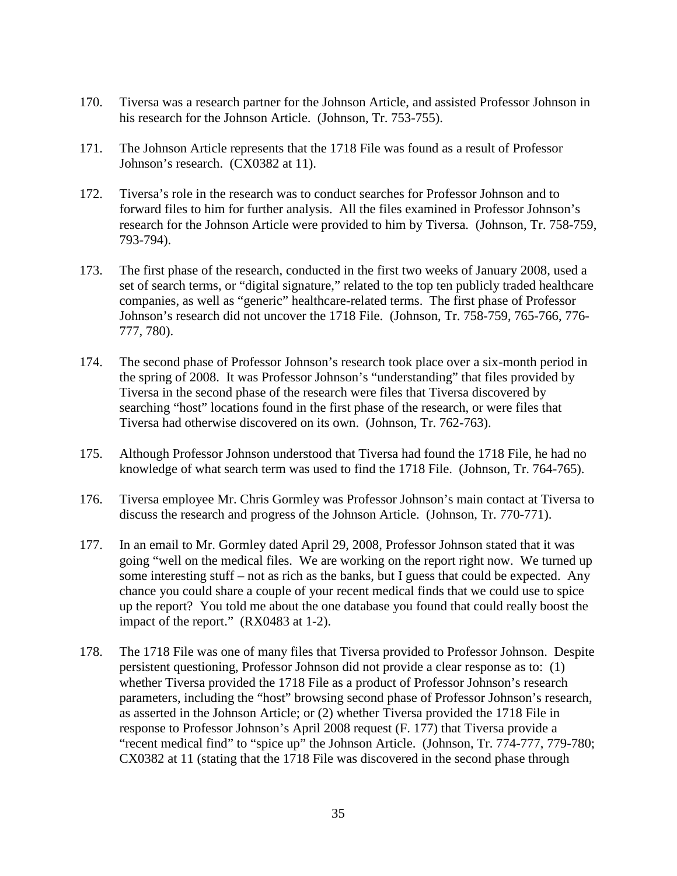- 170. Tiversa was a research partner for the Johnson Article, and assisted Professor Johnson in his research for the Johnson Article. (Johnson, Tr. 753-755).
- 171. The Johnson Article represents that the 1718 File was found as a result of Professor Johnson's research. (CX0382 at 11).
- 172. Tiversa's role in the research was to conduct searches for Professor Johnson and to forward files to him for further analysis. All the files examined in Professor Johnson's research for the Johnson Article were provided to him by Tiversa. (Johnson, Tr. 758-759, 793-794).
- 173. The first phase of the research, conducted in the first two weeks of January 2008, used a set of search terms, or "digital signature," related to the top ten publicly traded healthcare companies, as well as "generic" healthcare-related terms. The first phase of Professor Johnson's research did not uncover the 1718 File. (Johnson, Tr. 758-759, 765-766, 776- 777, 780).
- 174. The second phase of Professor Johnson's research took place over a six-month period in the spring of 2008. It was Professor Johnson's "understanding" that files provided by Tiversa in the second phase of the research were files that Tiversa discovered by searching "host" locations found in the first phase of the research, or were files that Tiversa had otherwise discovered on its own. (Johnson, Tr. 762-763).
- 175. Although Professor Johnson understood that Tiversa had found the 1718 File, he had no knowledge of what search term was used to find the 1718 File. (Johnson, Tr. 764-765).
- 176. Tiversa employee Mr. Chris Gormley was Professor Johnson's main contact at Tiversa to discuss the research and progress of the Johnson Article. (Johnson, Tr. 770-771).
- 177. In an email to Mr. Gormley dated April 29, 2008, Professor Johnson stated that it was going "well on the medical files. We are working on the report right now. We turned up some interesting stuff – not as rich as the banks, but I guess that could be expected. Any chance you could share a couple of your recent medical finds that we could use to spice up the report? You told me about the one database you found that could really boost the impact of the report." (RX0483 at 1-2).
- 178. The 1718 File was one of many files that Tiversa provided to Professor Johnson. Despite persistent questioning, Professor Johnson did not provide a clear response as to: (1) whether Tiversa provided the 1718 File as a product of Professor Johnson's research parameters, including the "host" browsing second phase of Professor Johnson's research, as asserted in the Johnson Article; or (2) whether Tiversa provided the 1718 File in response to Professor Johnson's April 2008 request (F. 177) that Tiversa provide a "recent medical find" to "spice up" the Johnson Article. (Johnson, Tr. 774-777, 779-780; CX0382 at 11 (stating that the 1718 File was discovered in the second phase through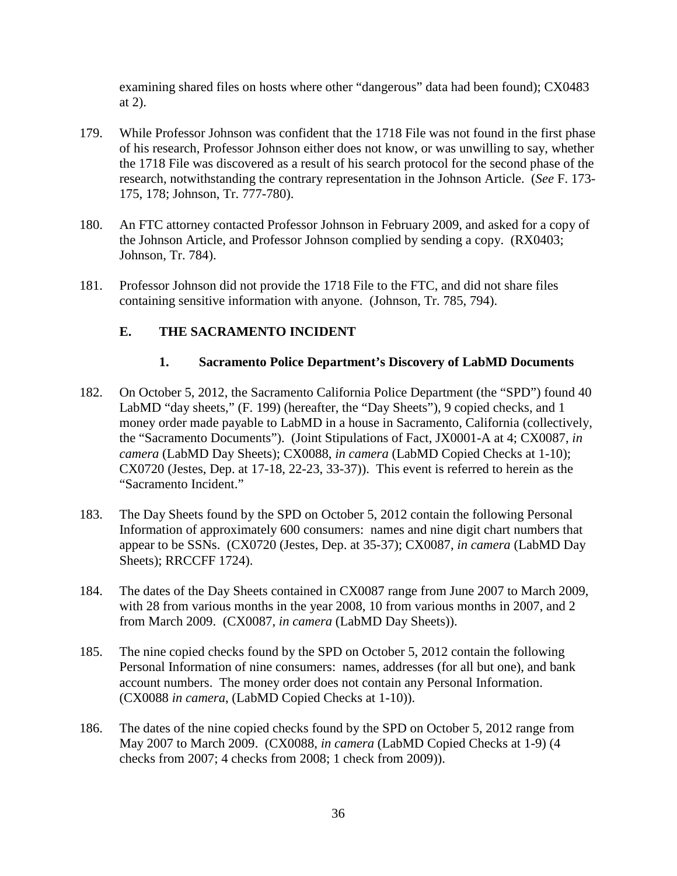examining shared files on hosts where other "dangerous" data had been found); CX0483 at 2).

- 179. While Professor Johnson was confident that the 1718 File was not found in the first phase of his research, Professor Johnson either does not know, or was unwilling to say, whether the 1718 File was discovered as a result of his search protocol for the second phase of the research, notwithstanding the contrary representation in the Johnson Article. (*See* F. 173- 175, 178; Johnson, Tr. 777-780).
- 180. An FTC attorney contacted Professor Johnson in February 2009, and asked for a copy of the Johnson Article, and Professor Johnson complied by sending a copy. (RX0403; Johnson, Tr. 784).
- 181. Professor Johnson did not provide the 1718 File to the FTC, and did not share files containing sensitive information with anyone. (Johnson, Tr. 785, 794).

# **E. THE SACRAMENTO INCIDENT**

# **1. Sacramento Police Department's Discovery of LabMD Documents**

- 182. On October 5, 2012, the Sacramento California Police Department (the "SPD") found 40 LabMD "day sheets," (F. 199) (hereafter, the "Day Sheets"), 9 copied checks, and 1 money order made payable to LabMD in a house in Sacramento, California (collectively, the "Sacramento Documents"). (Joint Stipulations of Fact, JX0001-A at 4; CX0087, *in camera* (LabMD Day Sheets); CX0088, *in camera* (LabMD Copied Checks at 1-10); CX0720 (Jestes, Dep. at 17-18, 22-23, 33-37)). This event is referred to herein as the "Sacramento Incident."
- 183. The Day Sheets found by the SPD on October 5, 2012 contain the following Personal Information of approximately 600 consumers: names and nine digit chart numbers that appear to be SSNs. (CX0720 (Jestes, Dep. at 35-37); CX0087, *in camera* (LabMD Day Sheets); RRCCFF 1724).
- 184. The dates of the Day Sheets contained in CX0087 range from June 2007 to March 2009, with 28 from various months in the year 2008, 10 from various months in 2007, and 2 from March 2009. (CX0087, *in camera* (LabMD Day Sheets)).
- 185. The nine copied checks found by the SPD on October 5, 2012 contain the following Personal Information of nine consumers: names, addresses (for all but one), and bank account numbers. The money order does not contain any Personal Information. (CX0088 *in camera*, (LabMD Copied Checks at 1-10)).
- 186. The dates of the nine copied checks found by the SPD on October 5, 2012 range from May 2007 to March 2009. (CX0088, *in camera* (LabMD Copied Checks at 1-9) (4 checks from 2007; 4 checks from 2008; 1 check from 2009)).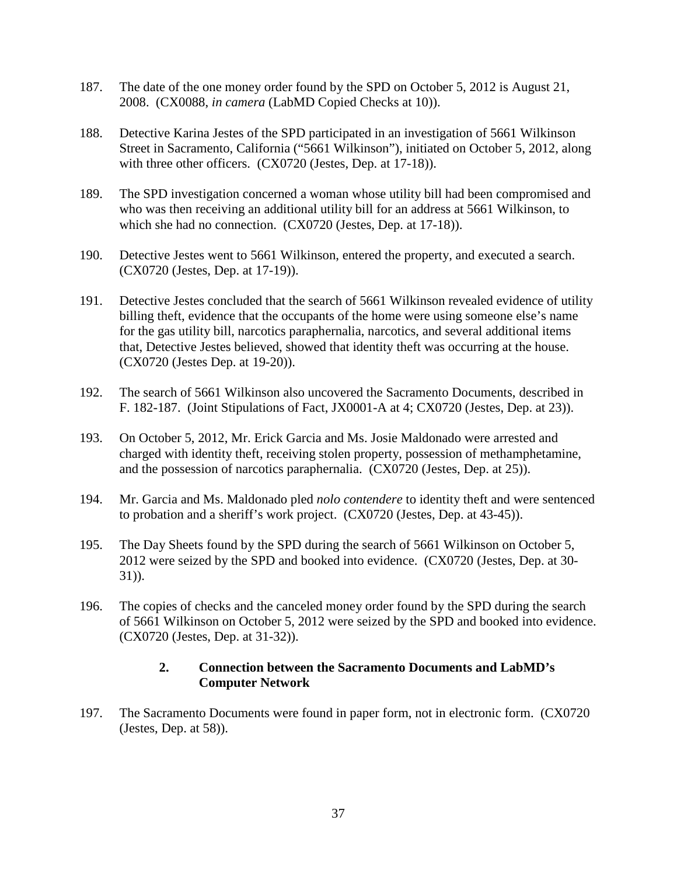- 187. The date of the one money order found by the SPD on October 5, 2012 is August 21, 2008. (CX0088, *in camera* (LabMD Copied Checks at 10)).
- 188. Detective Karina Jestes of the SPD participated in an investigation of 5661 Wilkinson Street in Sacramento, California ("5661 Wilkinson"), initiated on October 5, 2012, along with three other officers. (CX0720 (Jestes, Dep. at 17-18)).
- 189. The SPD investigation concerned a woman whose utility bill had been compromised and who was then receiving an additional utility bill for an address at 5661 Wilkinson, to which she had no connection. (CX0720 (Jestes, Dep. at 17-18)).
- 190. Detective Jestes went to 5661 Wilkinson, entered the property, and executed a search. (CX0720 (Jestes, Dep. at 17-19)).
- 191. Detective Jestes concluded that the search of 5661 Wilkinson revealed evidence of utility billing theft, evidence that the occupants of the home were using someone else's name for the gas utility bill, narcotics paraphernalia, narcotics, and several additional items that, Detective Jestes believed, showed that identity theft was occurring at the house. (CX0720 (Jestes Dep. at 19-20)).
- 192. The search of 5661 Wilkinson also uncovered the Sacramento Documents, described in F. 182-187. (Joint Stipulations of Fact, JX0001-A at 4; CX0720 (Jestes, Dep. at 23)).
- 193. On October 5, 2012, Mr. Erick Garcia and Ms. Josie Maldonado were arrested and charged with identity theft, receiving stolen property, possession of methamphetamine, and the possession of narcotics paraphernalia. (CX0720 (Jestes, Dep. at 25)).
- 194. Mr. Garcia and Ms. Maldonado pled *nolo contendere* to identity theft and were sentenced to probation and a sheriff's work project. (CX0720 (Jestes, Dep. at 43-45)).
- 195. The Day Sheets found by the SPD during the search of 5661 Wilkinson on October 5, 2012 were seized by the SPD and booked into evidence. (CX0720 (Jestes, Dep. at 30- 31)).
- 196. The copies of checks and the canceled money order found by the SPD during the search of 5661 Wilkinson on October 5, 2012 were seized by the SPD and booked into evidence. (CX0720 (Jestes, Dep. at 31-32)).

# **2. Connection between the Sacramento Documents and LabMD's Computer Network**

197. The Sacramento Documents were found in paper form, not in electronic form. (CX0720 (Jestes, Dep. at 58)).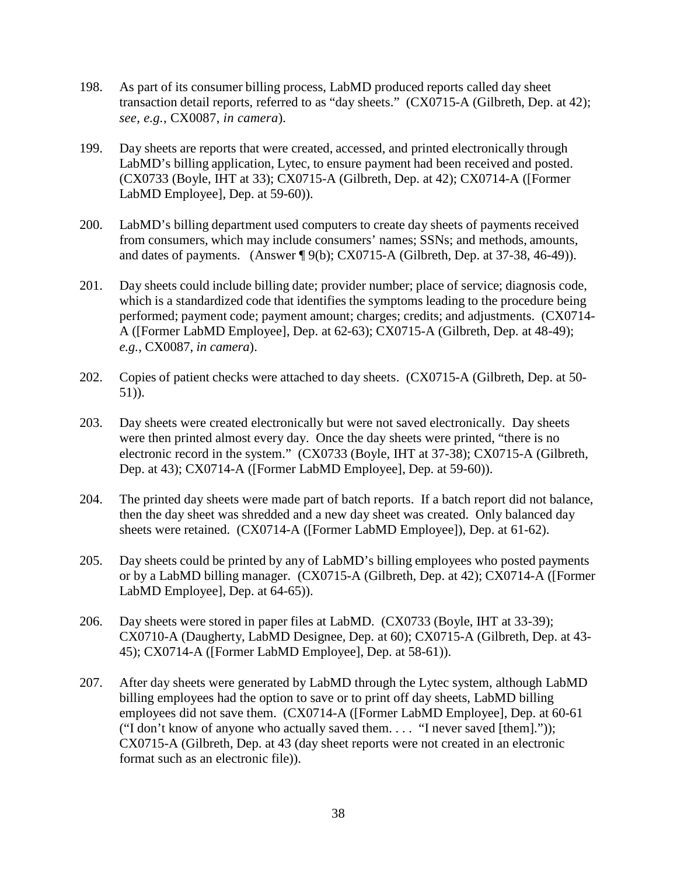- 198. As part of its consumer billing process, LabMD produced reports called day sheet transaction detail reports, referred to as "day sheets." (CX0715-A (Gilbreth, Dep. at 42); *see, e.g.*, CX0087, *in camera*).
- 199. Day sheets are reports that were created, accessed, and printed electronically through LabMD's billing application, Lytec, to ensure payment had been received and posted. (CX0733 (Boyle, IHT at 33); CX0715-A (Gilbreth, Dep. at 42); CX0714-A ([Former LabMD Employee], Dep. at 59-60)).
- 200. LabMD's billing department used computers to create day sheets of payments received from consumers, which may include consumers' names; SSNs; and methods, amounts, and dates of payments. (Answer ¶ 9(b); CX0715-A (Gilbreth, Dep. at 37-38, 46-49)).
- 201. Day sheets could include billing date; provider number; place of service; diagnosis code, which is a standardized code that identifies the symptoms leading to the procedure being performed; payment code; payment amount; charges; credits; and adjustments. (CX0714- A ([Former LabMD Employee], Dep. at 62-63); CX0715-A (Gilbreth, Dep. at 48-49); *e.g.*, CX0087, *in camera*).
- 202. Copies of patient checks were attached to day sheets. (CX0715-A (Gilbreth, Dep. at 50- 51)).
- 203. Day sheets were created electronically but were not saved electronically. Day sheets were then printed almost every day. Once the day sheets were printed, "there is no electronic record in the system." (CX0733 (Boyle, IHT at 37-38); CX0715-A (Gilbreth, Dep. at 43); CX0714-A ([Former LabMD Employee], Dep. at 59-60)).
- 204. The printed day sheets were made part of batch reports. If a batch report did not balance, then the day sheet was shredded and a new day sheet was created. Only balanced day sheets were retained. (CX0714-A ([Former LabMD Employee]), Dep. at 61-62).
- 205. Day sheets could be printed by any of LabMD's billing employees who posted payments or by a LabMD billing manager. (CX0715-A (Gilbreth, Dep. at 42); CX0714-A ([Former LabMD Employee], Dep. at 64-65)).
- 206. Day sheets were stored in paper files at LabMD. (CX0733 (Boyle, IHT at 33-39); CX0710-A (Daugherty, LabMD Designee, Dep. at 60); CX0715-A (Gilbreth, Dep. at 43- 45); CX0714-A ([Former LabMD Employee], Dep. at 58-61)).
- 207. After day sheets were generated by LabMD through the Lytec system, although LabMD billing employees had the option to save or to print off day sheets, LabMD billing employees did not save them. (CX0714-A ([Former LabMD Employee], Dep. at 60-61 ("I don't know of anyone who actually saved them. . . . "I never saved [them].")); CX0715-A (Gilbreth, Dep. at 43 (day sheet reports were not created in an electronic format such as an electronic file)).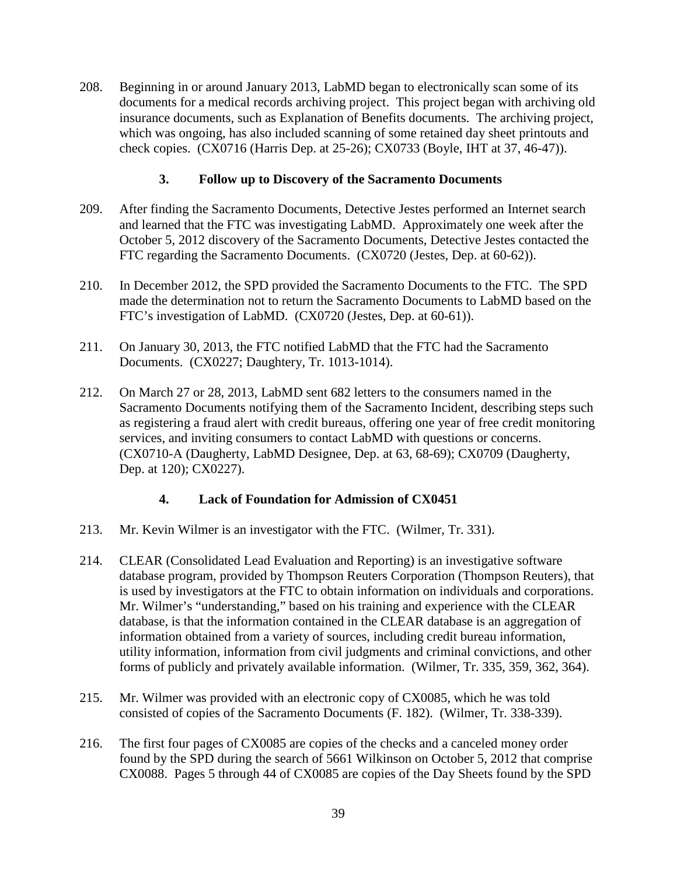208. Beginning in or around January 2013, LabMD began to electronically scan some of its documents for a medical records archiving project. This project began with archiving old insurance documents, such as Explanation of Benefits documents. The archiving project, which was ongoing, has also included scanning of some retained day sheet printouts and check copies. (CX0716 (Harris Dep. at 25-26); CX0733 (Boyle, IHT at 37, 46-47)).

# **3. Follow up to Discovery of the Sacramento Documents**

- 209. After finding the Sacramento Documents, Detective Jestes performed an Internet search and learned that the FTC was investigating LabMD. Approximately one week after the October 5, 2012 discovery of the Sacramento Documents, Detective Jestes contacted the FTC regarding the Sacramento Documents. (CX0720 (Jestes, Dep. at 60-62)).
- 210. In December 2012, the SPD provided the Sacramento Documents to the FTC. The SPD made the determination not to return the Sacramento Documents to LabMD based on the FTC's investigation of LabMD. (CX0720 (Jestes, Dep. at 60-61)).
- 211. On January 30, 2013, the FTC notified LabMD that the FTC had the Sacramento Documents. (CX0227; Daughtery, Tr. 1013-1014).
- 212. On March 27 or 28, 2013, LabMD sent 682 letters to the consumers named in the Sacramento Documents notifying them of the Sacramento Incident, describing steps such as registering a fraud alert with credit bureaus, offering one year of free credit monitoring services, and inviting consumers to contact LabMD with questions or concerns. (CX0710-A (Daugherty, LabMD Designee, Dep. at 63, 68-69); CX0709 (Daugherty, Dep. at 120); CX0227).

# **4. Lack of Foundation for Admission of CX0451**

- 213. Mr. Kevin Wilmer is an investigator with the FTC. (Wilmer, Tr. 331).
- 214. CLEAR (Consolidated Lead Evaluation and Reporting) is an investigative software database program, provided by Thompson Reuters Corporation (Thompson Reuters), that is used by investigators at the FTC to obtain information on individuals and corporations. Mr. Wilmer's "understanding," based on his training and experience with the CLEAR database, is that the information contained in the CLEAR database is an aggregation of information obtained from a variety of sources, including credit bureau information, utility information, information from civil judgments and criminal convictions, and other forms of publicly and privately available information. (Wilmer, Tr. 335, 359, 362, 364).
- 215. Mr. Wilmer was provided with an electronic copy of CX0085, which he was told consisted of copies of the Sacramento Documents (F. 182). (Wilmer, Tr. 338-339).
- 216. The first four pages of CX0085 are copies of the checks and a canceled money order found by the SPD during the search of 5661 Wilkinson on October 5, 2012 that comprise CX0088. Pages 5 through 44 of CX0085 are copies of the Day Sheets found by the SPD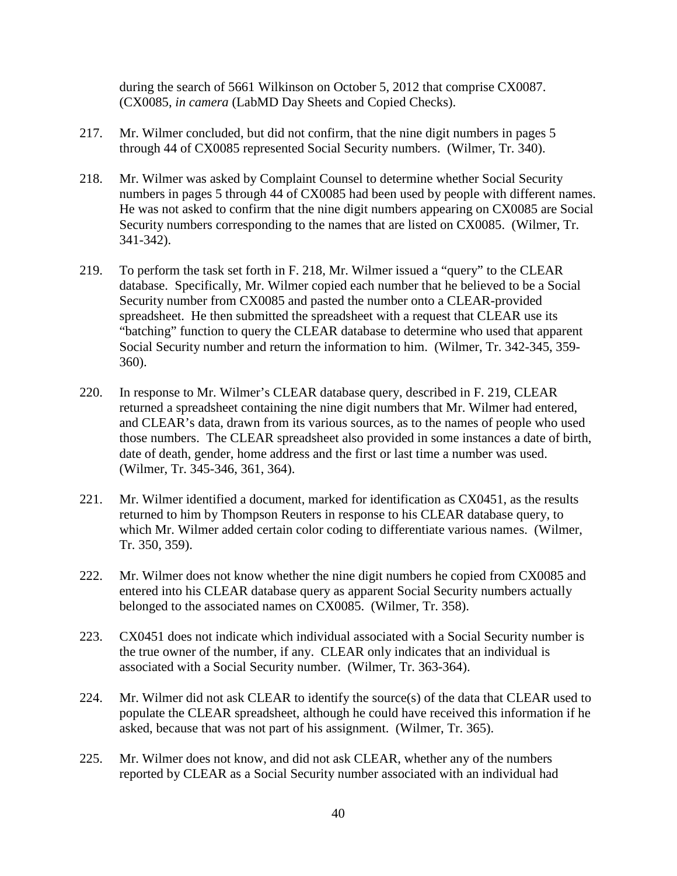during the search of 5661 Wilkinson on October 5, 2012 that comprise CX0087. (CX0085, *in camera* (LabMD Day Sheets and Copied Checks).

- 217. Mr. Wilmer concluded, but did not confirm, that the nine digit numbers in pages 5 through 44 of CX0085 represented Social Security numbers. (Wilmer, Tr. 340).
- 218. Mr. Wilmer was asked by Complaint Counsel to determine whether Social Security numbers in pages 5 through 44 of CX0085 had been used by people with different names. He was not asked to confirm that the nine digit numbers appearing on CX0085 are Social Security numbers corresponding to the names that are listed on CX0085. (Wilmer, Tr. 341-342).
- 219. To perform the task set forth in F. 218, Mr. Wilmer issued a "query" to the CLEAR database. Specifically, Mr. Wilmer copied each number that he believed to be a Social Security number from CX0085 and pasted the number onto a CLEAR-provided spreadsheet. He then submitted the spreadsheet with a request that CLEAR use its "batching" function to query the CLEAR database to determine who used that apparent Social Security number and return the information to him. (Wilmer, Tr. 342-345, 359- 360).
- 220. In response to Mr. Wilmer's CLEAR database query, described in F. 219, CLEAR returned a spreadsheet containing the nine digit numbers that Mr. Wilmer had entered, and CLEAR's data, drawn from its various sources, as to the names of people who used those numbers. The CLEAR spreadsheet also provided in some instances a date of birth, date of death, gender, home address and the first or last time a number was used. (Wilmer, Tr. 345-346, 361, 364).
- 221. Mr. Wilmer identified a document, marked for identification as CX0451, as the results returned to him by Thompson Reuters in response to his CLEAR database query, to which Mr. Wilmer added certain color coding to differentiate various names. (Wilmer, Tr. 350, 359).
- 222. Mr. Wilmer does not know whether the nine digit numbers he copied from CX0085 and entered into his CLEAR database query as apparent Social Security numbers actually belonged to the associated names on CX0085. (Wilmer, Tr. 358).
- 223. CX0451 does not indicate which individual associated with a Social Security number is the true owner of the number, if any. CLEAR only indicates that an individual is associated with a Social Security number. (Wilmer, Tr. 363-364).
- 224. Mr. Wilmer did not ask CLEAR to identify the source(s) of the data that CLEAR used to populate the CLEAR spreadsheet, although he could have received this information if he asked, because that was not part of his assignment. (Wilmer, Tr. 365).
- 225. Mr. Wilmer does not know, and did not ask CLEAR, whether any of the numbers reported by CLEAR as a Social Security number associated with an individual had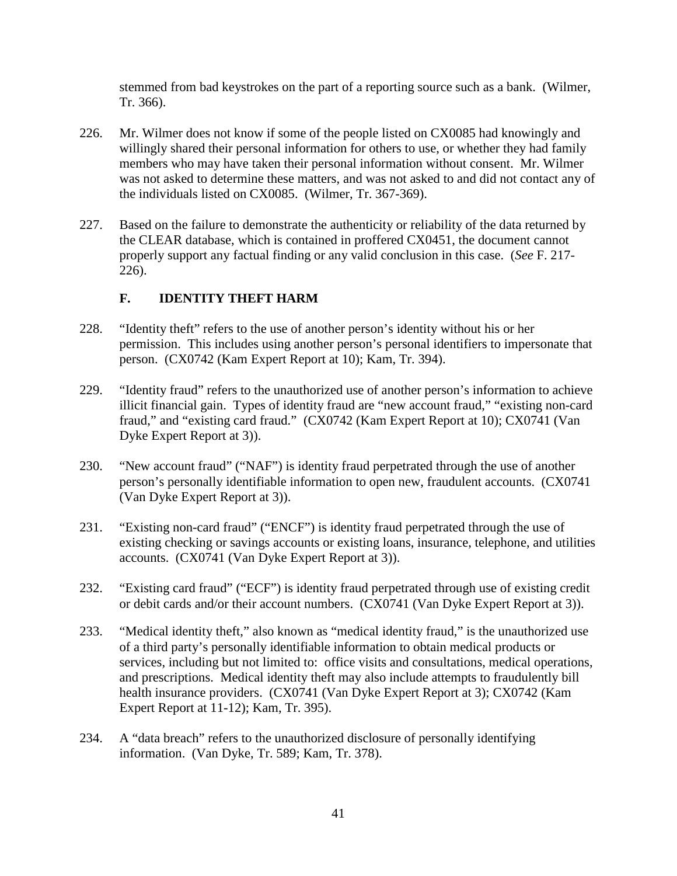stemmed from bad keystrokes on the part of a reporting source such as a bank. (Wilmer, Tr. 366).

- 226. Mr. Wilmer does not know if some of the people listed on CX0085 had knowingly and willingly shared their personal information for others to use, or whether they had family members who may have taken their personal information without consent. Mr. Wilmer was not asked to determine these matters, and was not asked to and did not contact any of the individuals listed on CX0085. (Wilmer, Tr. 367-369).
- 227. Based on the failure to demonstrate the authenticity or reliability of the data returned by the CLEAR database, which is contained in proffered CX0451, the document cannot properly support any factual finding or any valid conclusion in this case. (*See* F. 217- 226).

# **F. IDENTITY THEFT HARM**

- 228. "Identity theft" refers to the use of another person's identity without his or her permission. This includes using another person's personal identifiers to impersonate that person. (CX0742 (Kam Expert Report at 10); Kam, Tr. 394).
- 229. "Identity fraud" refers to the unauthorized use of another person's information to achieve illicit financial gain. Types of identity fraud are "new account fraud," "existing non-card fraud," and "existing card fraud." (CX0742 (Kam Expert Report at 10); CX0741 (Van Dyke Expert Report at 3)).
- 230. "New account fraud" ("NAF") is identity fraud perpetrated through the use of another person's personally identifiable information to open new, fraudulent accounts. (CX0741 (Van Dyke Expert Report at 3)).
- 231. "Existing non-card fraud" ("ENCF") is identity fraud perpetrated through the use of existing checking or savings accounts or existing loans, insurance, telephone, and utilities accounts. (CX0741 (Van Dyke Expert Report at 3)).
- 232. "Existing card fraud" ("ECF") is identity fraud perpetrated through use of existing credit or debit cards and/or their account numbers. (CX0741 (Van Dyke Expert Report at 3)).
- 233. "Medical identity theft," also known as "medical identity fraud," is the unauthorized use of a third party's personally identifiable information to obtain medical products or services, including but not limited to: office visits and consultations, medical operations, and prescriptions. Medical identity theft may also include attempts to fraudulently bill health insurance providers. (CX0741 (Van Dyke Expert Report at 3); CX0742 (Kam Expert Report at 11-12); Kam, Tr. 395).
- 234. A "data breach" refers to the unauthorized disclosure of personally identifying information. (Van Dyke, Tr. 589; Kam, Tr. 378).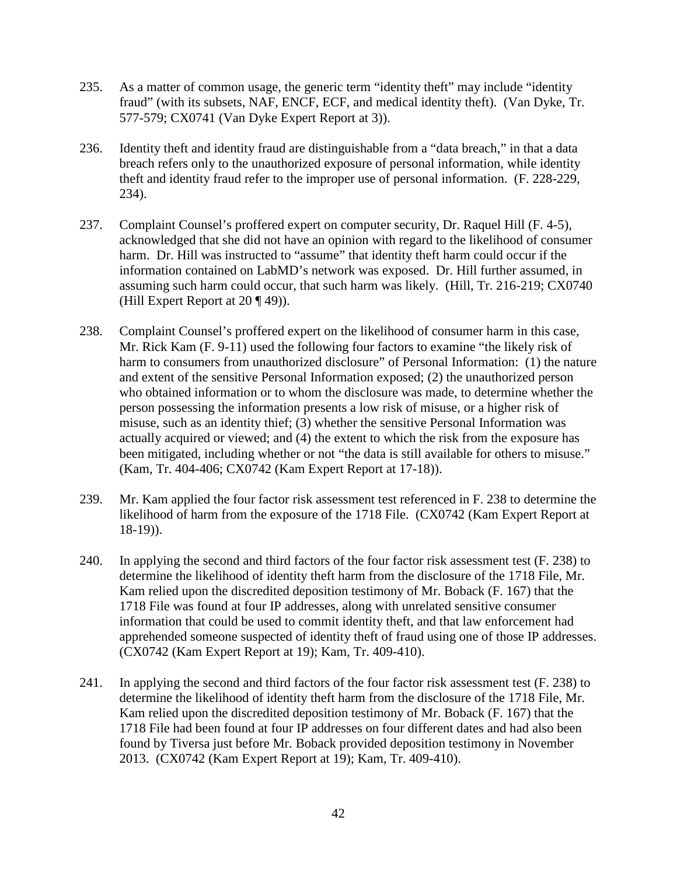- 235. As a matter of common usage, the generic term "identity theft" may include "identity fraud" (with its subsets, NAF, ENCF, ECF, and medical identity theft). (Van Dyke, Tr. 577-579; CX0741 (Van Dyke Expert Report at 3)).
- 236. Identity theft and identity fraud are distinguishable from a "data breach," in that a data breach refers only to the unauthorized exposure of personal information, while identity theft and identity fraud refer to the improper use of personal information. (F. 228-229, 234).
- 237. Complaint Counsel's proffered expert on computer security, Dr. Raquel Hill (F. 4-5), acknowledged that she did not have an opinion with regard to the likelihood of consumer harm. Dr. Hill was instructed to "assume" that identity theft harm could occur if the information contained on LabMD's network was exposed. Dr. Hill further assumed, in assuming such harm could occur, that such harm was likely. (Hill, Tr. 216-219; CX0740 (Hill Expert Report at 20 ¶ 49)).
- 238. Complaint Counsel's proffered expert on the likelihood of consumer harm in this case, Mr. Rick Kam (F. 9-11) used the following four factors to examine "the likely risk of harm to consumers from unauthorized disclosure" of Personal Information: (1) the nature and extent of the sensitive Personal Information exposed; (2) the unauthorized person who obtained information or to whom the disclosure was made, to determine whether the person possessing the information presents a low risk of misuse, or a higher risk of misuse, such as an identity thief; (3) whether the sensitive Personal Information was actually acquired or viewed; and (4) the extent to which the risk from the exposure has been mitigated, including whether or not "the data is still available for others to misuse." (Kam, Tr. 404-406; CX0742 (Kam Expert Report at 17-18)).
- 239. Mr. Kam applied the four factor risk assessment test referenced in F. 238 to determine the likelihood of harm from the exposure of the 1718 File. (CX0742 (Kam Expert Report at 18-19)).
- 240. In applying the second and third factors of the four factor risk assessment test (F. 238) to determine the likelihood of identity theft harm from the disclosure of the 1718 File, Mr. Kam relied upon the discredited deposition testimony of Mr. Boback (F. 167) that the 1718 File was found at four IP addresses, along with unrelated sensitive consumer information that could be used to commit identity theft, and that law enforcement had apprehended someone suspected of identity theft of fraud using one of those IP addresses. (CX0742 (Kam Expert Report at 19); Kam, Tr. 409-410).
- 241. In applying the second and third factors of the four factor risk assessment test (F. 238) to determine the likelihood of identity theft harm from the disclosure of the 1718 File, Mr. Kam relied upon the discredited deposition testimony of Mr. Boback (F. 167) that the 1718 File had been found at four IP addresses on four different dates and had also been found by Tiversa just before Mr. Boback provided deposition testimony in November 2013. (CX0742 (Kam Expert Report at 19); Kam, Tr. 409-410).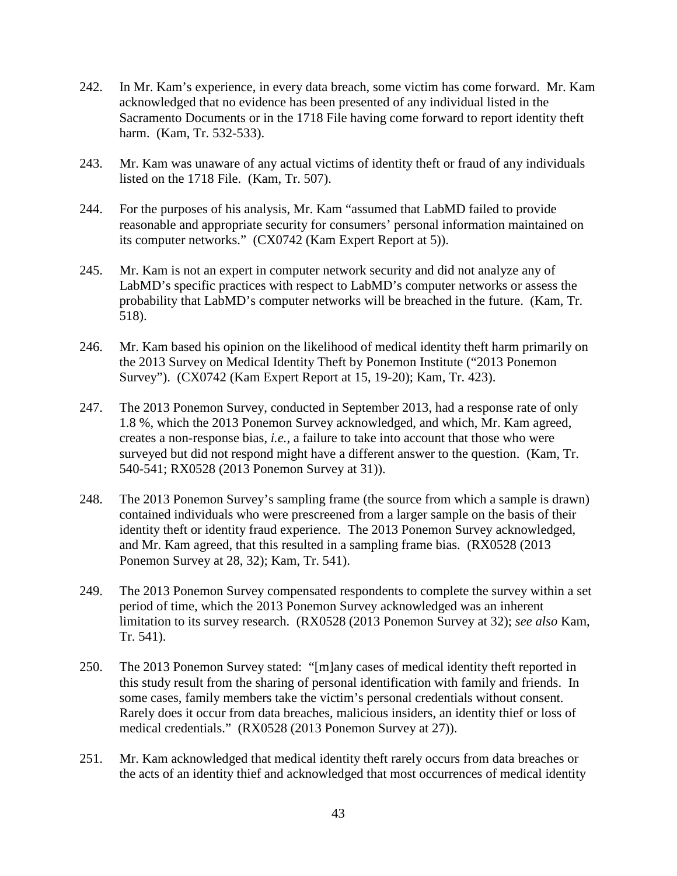- 242. In Mr. Kam's experience, in every data breach, some victim has come forward. Mr. Kam acknowledged that no evidence has been presented of any individual listed in the Sacramento Documents or in the 1718 File having come forward to report identity theft harm. (Kam, Tr. 532-533).
- 243. Mr. Kam was unaware of any actual victims of identity theft or fraud of any individuals listed on the 1718 File. (Kam, Tr. 507).
- 244. For the purposes of his analysis, Mr. Kam "assumed that LabMD failed to provide reasonable and appropriate security for consumers' personal information maintained on its computer networks." (CX0742 (Kam Expert Report at 5)).
- 245. Mr. Kam is not an expert in computer network security and did not analyze any of LabMD's specific practices with respect to LabMD's computer networks or assess the probability that LabMD's computer networks will be breached in the future. (Kam, Tr. 518).
- 246. Mr. Kam based his opinion on the likelihood of medical identity theft harm primarily on the 2013 Survey on Medical Identity Theft by Ponemon Institute ("2013 Ponemon Survey"). (CX0742 (Kam Expert Report at 15, 19-20); Kam, Tr. 423).
- 247. The 2013 Ponemon Survey, conducted in September 2013, had a response rate of only 1.8 %, which the 2013 Ponemon Survey acknowledged, and which, Mr. Kam agreed, creates a non-response bias, *i.e.*, a failure to take into account that those who were surveyed but did not respond might have a different answer to the question. (Kam, Tr. 540-541; RX0528 (2013 Ponemon Survey at 31)).
- 248. The 2013 Ponemon Survey's sampling frame (the source from which a sample is drawn) contained individuals who were prescreened from a larger sample on the basis of their identity theft or identity fraud experience. The 2013 Ponemon Survey acknowledged, and Mr. Kam agreed, that this resulted in a sampling frame bias. (RX0528 (2013 Ponemon Survey at 28, 32); Kam, Tr. 541).
- 249. The 2013 Ponemon Survey compensated respondents to complete the survey within a set period of time, which the 2013 Ponemon Survey acknowledged was an inherent limitation to its survey research. (RX0528 (2013 Ponemon Survey at 32); *see also* Kam, Tr. 541).
- 250. The 2013 Ponemon Survey stated: "[m]any cases of medical identity theft reported in this study result from the sharing of personal identification with family and friends. In some cases, family members take the victim's personal credentials without consent. Rarely does it occur from data breaches, malicious insiders, an identity thief or loss of medical credentials." (RX0528 (2013 Ponemon Survey at 27)).
- 251. Mr. Kam acknowledged that medical identity theft rarely occurs from data breaches or the acts of an identity thief and acknowledged that most occurrences of medical identity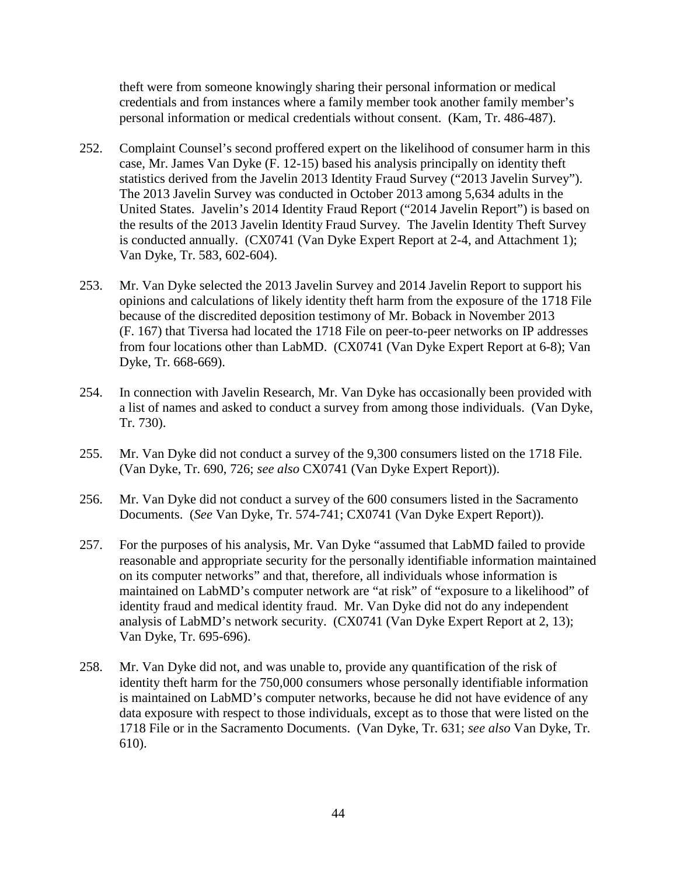theft were from someone knowingly sharing their personal information or medical credentials and from instances where a family member took another family member's personal information or medical credentials without consent. (Kam, Tr. 486-487).

- 252. Complaint Counsel's second proffered expert on the likelihood of consumer harm in this case, Mr. James Van Dyke (F. 12-15) based his analysis principally on identity theft statistics derived from the Javelin 2013 Identity Fraud Survey ("2013 Javelin Survey"). The 2013 Javelin Survey was conducted in October 2013 among 5,634 adults in the United States. Javelin's 2014 Identity Fraud Report ("2014 Javelin Report") is based on the results of the 2013 Javelin Identity Fraud Survey. The Javelin Identity Theft Survey is conducted annually. (CX0741 (Van Dyke Expert Report at 2-4, and Attachment 1); Van Dyke, Tr. 583, 602-604).
- 253. Mr. Van Dyke selected the 2013 Javelin Survey and 2014 Javelin Report to support his opinions and calculations of likely identity theft harm from the exposure of the 1718 File because of the discredited deposition testimony of Mr. Boback in November 2013 (F. 167) that Tiversa had located the 1718 File on peer-to-peer networks on IP addresses from four locations other than LabMD. (CX0741 (Van Dyke Expert Report at 6-8); Van Dyke, Tr. 668-669).
- 254. In connection with Javelin Research, Mr. Van Dyke has occasionally been provided with a list of names and asked to conduct a survey from among those individuals. (Van Dyke, Tr. 730).
- 255. Mr. Van Dyke did not conduct a survey of the 9,300 consumers listed on the 1718 File. (Van Dyke, Tr. 690, 726; *see also* CX0741 (Van Dyke Expert Report)).
- 256. Mr. Van Dyke did not conduct a survey of the 600 consumers listed in the Sacramento Documents. (*See* Van Dyke, Tr. 574-741; CX0741 (Van Dyke Expert Report)).
- 257. For the purposes of his analysis, Mr. Van Dyke "assumed that LabMD failed to provide reasonable and appropriate security for the personally identifiable information maintained on its computer networks" and that, therefore, all individuals whose information is maintained on LabMD's computer network are "at risk" of "exposure to a likelihood" of identity fraud and medical identity fraud. Mr. Van Dyke did not do any independent analysis of LabMD's network security. (CX0741 (Van Dyke Expert Report at 2, 13); Van Dyke, Tr. 695-696).
- 258. Mr. Van Dyke did not, and was unable to, provide any quantification of the risk of identity theft harm for the 750,000 consumers whose personally identifiable information is maintained on LabMD's computer networks, because he did not have evidence of any data exposure with respect to those individuals, except as to those that were listed on the 1718 File or in the Sacramento Documents. (Van Dyke, Tr. 631; *see also* Van Dyke, Tr. 610).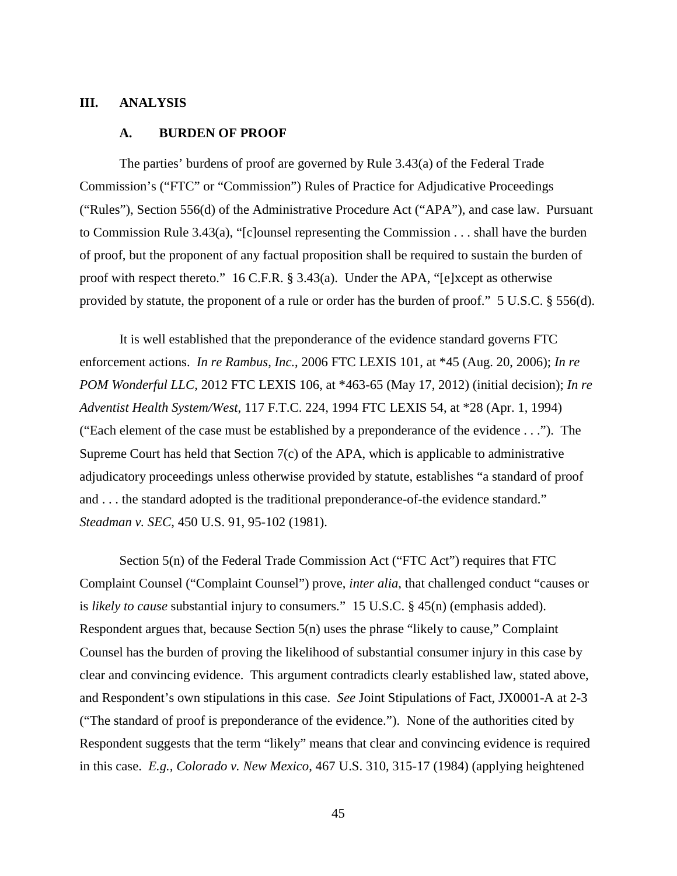#### **III. ANALYSIS**

#### **A. BURDEN OF PROOF**

The parties' burdens of proof are governed by Rule 3.43(a) of the Federal Trade Commission's ("FTC" or "Commission") Rules of Practice for Adjudicative Proceedings ("Rules"), Section 556(d) of the Administrative Procedure Act ("APA"), and case law. Pursuant to Commission Rule 3.43(a), "[c]ounsel representing the Commission . . . shall have the burden of proof, but the proponent of any factual proposition shall be required to sustain the burden of proof with respect thereto." 16 C.F.R. § 3.43(a). Under the APA, "[e]xcept as otherwise provided by statute, the proponent of a rule or order has the burden of proof." 5 U.S.C. § 556(d).

It is well established that the preponderance of the evidence standard governs FTC enforcement actions. *In re Rambus*, *Inc.*, 2006 FTC LEXIS 101, at \*45 (Aug. 20, 2006); *In re POM Wonderful LLC*, 2012 FTC LEXIS 106, at \*463-65 (May 17, 2012) (initial decision); *In re Adventist Health System/West*, 117 F.T.C. 224, 1994 FTC LEXIS 54, at \*28 (Apr. 1, 1994) ("Each element of the case must be established by a preponderance of the evidence . . ."). The Supreme Court has held that Section 7(c) of the APA, which is applicable to administrative adjudicatory proceedings unless otherwise provided by statute, establishes "a standard of proof and . . . the standard adopted is the traditional preponderance-of-the evidence standard." *Steadman v. SEC*, 450 U.S. 91, 95-102 (1981).

Section 5(n) of the Federal Trade Commission Act ("FTC Act") requires that FTC Complaint Counsel ("Complaint Counsel") prove, *inter alia*, that challenged conduct "causes or is *likely to cause* substantial injury to consumers." 15 U.S.C. § 45(n) (emphasis added). Respondent argues that, because Section 5(n) uses the phrase "likely to cause," Complaint Counsel has the burden of proving the likelihood of substantial consumer injury in this case by clear and convincing evidence. This argument contradicts clearly established law, stated above, and Respondent's own stipulations in this case. *See* Joint Stipulations of Fact, JX0001-A at 2-3 ("The standard of proof is preponderance of the evidence."). None of the authorities cited by Respondent suggests that the term "likely" means that clear and convincing evidence is required in this case. *E.g., Colorado v. New Mexico*, 467 U.S. 310, 315-17 (1984) (applying heightened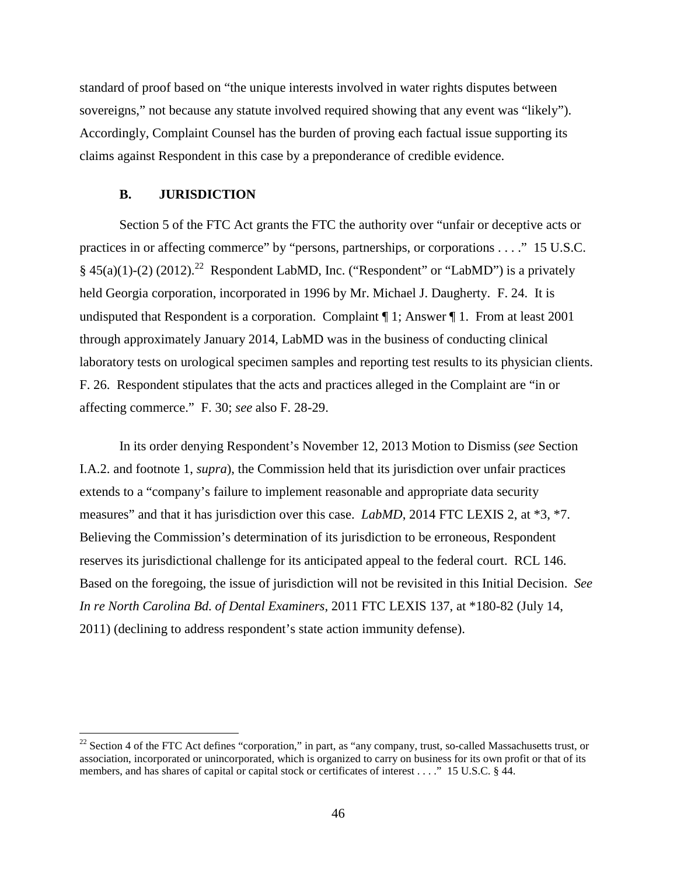standard of proof based on "the unique interests involved in water rights disputes between sovereigns," not because any statute involved required showing that any event was "likely"). Accordingly, Complaint Counsel has the burden of proving each factual issue supporting its claims against Respondent in this case by a preponderance of credible evidence.

## **B. JURISDICTION**

Section 5 of the FTC Act grants the FTC the authority over "unfair or deceptive acts or practices in or affecting commerce" by "persons, partnerships, or corporations . . . ." 15 U.S.C. §  $45(a)(1)-(2)(2012).^{22}$  Respondent LabMD, Inc. ("Respondent" or "LabMD") is a privately held Georgia corporation, incorporated in 1996 by Mr. Michael J. Daugherty. F. 24. It is undisputed that Respondent is a corporation. Complaint ¶ 1; Answer ¶ 1. From at least 2001 through approximately January 2014, LabMD was in the business of conducting clinical laboratory tests on urological specimen samples and reporting test results to its physician clients. F. 26. Respondent stipulates that the acts and practices alleged in the Complaint are "in or affecting commerce." F. 30; *see* also F. 28-29.

In its order denying Respondent's November 12, 2013 Motion to Dismiss (*see* Section I.A.2. and footnote 1, *supra*), the Commission held that its jurisdiction over unfair practices extends to a "company's failure to implement reasonable and appropriate data security measures" and that it has jurisdiction over this case. *LabMD*, 2014 FTC LEXIS 2, at \*3, \*7. Believing the Commission's determination of its jurisdiction to be erroneous, Respondent reserves its jurisdictional challenge for its anticipated appeal to the federal court. RCL 146. Based on the foregoing, the issue of jurisdiction will not be revisited in this Initial Decision. *See In re North Carolina Bd. of Dental Examiners*, 2011 FTC LEXIS 137, at \*180-82 (July 14, 2011) (declining to address respondent's state action immunity defense).

 $22$  Section 4 of the FTC Act defines "corporation," in part, as "any company, trust, so-called Massachusetts trust, or association, incorporated or unincorporated, which is organized to carry on business for its own profit or that of its members, and has shares of capital or capital stock or certificates of interest . . . ." 15 U.S.C. § 44.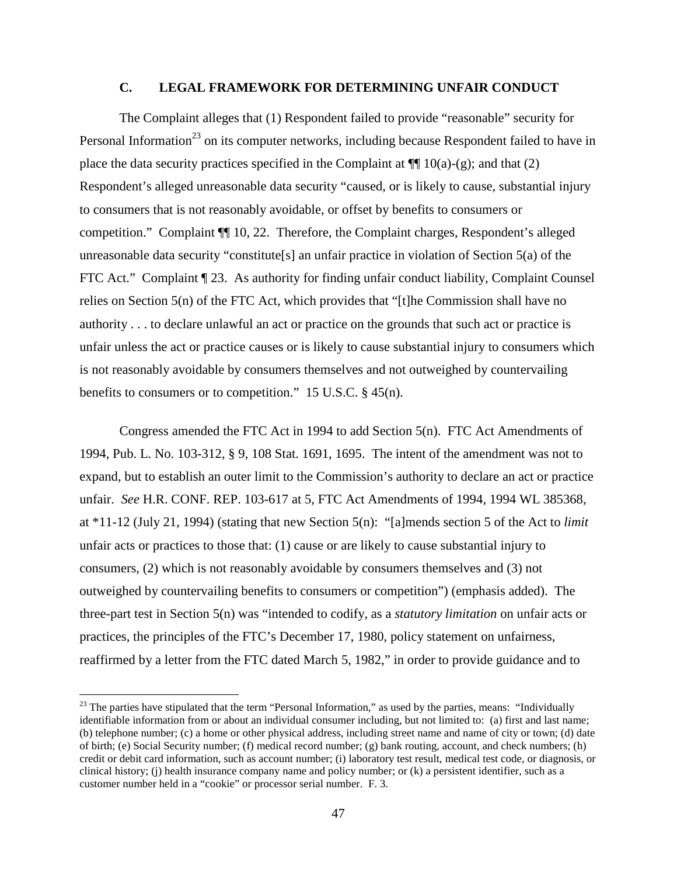### **C. LEGAL FRAMEWORK FOR DETERMINING UNFAIR CONDUCT**

The Complaint alleges that (1) Respondent failed to provide "reasonable" security for Personal Information<sup>23</sup> on its computer networks, including because Respondent failed to have in place the data security practices specified in the Complaint at  $\P$ [ $(10(a)-(g)$ ; and that (2) Respondent's alleged unreasonable data security "caused, or is likely to cause, substantial injury to consumers that is not reasonably avoidable, or offset by benefits to consumers or competition." Complaint ¶¶ 10, 22. Therefore, the Complaint charges, Respondent's alleged unreasonable data security "constitute[s] an unfair practice in violation of Section 5(a) of the FTC Act." Complaint  $\P$  23. As authority for finding unfair conduct liability, Complaint Counsel relies on Section 5(n) of the FTC Act, which provides that "[t]he Commission shall have no authority . . . to declare unlawful an act or practice on the grounds that such act or practice is unfair unless the act or practice causes or is likely to cause substantial injury to consumers which is not reasonably avoidable by consumers themselves and not outweighed by countervailing benefits to consumers or to competition." 15 U.S.C. § 45(n).

Congress amended the FTC Act in 1994 to add Section 5(n). FTC Act Amendments of 1994, Pub. L. No. 103-312, § 9, 108 Stat. 1691, 1695. The intent of the amendment was not to expand, but to establish an outer limit to the Commission's authority to declare an act or practice unfair. *See* H.R. CONF. REP. 103-617 at 5, FTC Act Amendments of 1994, 1994 WL 385368, at \*11-12 (July 21, 1994) (stating that new Section 5(n): "[a]mends section 5 of the Act to *limit* unfair acts or practices to those that: (1) cause or are likely to cause substantial injury to consumers, (2) which is not reasonably avoidable by consumers themselves and (3) not outweighed by countervailing benefits to consumers or competition") (emphasis added). The three-part test in Section 5(n) was "intended to codify, as a *statutory limitation* on unfair acts or practices, the principles of the FTC's December 17, 1980, policy statement on unfairness, reaffirmed by a letter from the FTC dated March 5, 1982," in order to provide guidance and to

 $23$  The parties have stipulated that the term "Personal Information," as used by the parties, means: "Individually identifiable information from or about an individual consumer including, but not limited to: (a) first and last name; (b) telephone number; (c) a home or other physical address, including street name and name of city or town; (d) date of birth; (e) Social Security number; (f) medical record number; (g) bank routing, account, and check numbers; (h) credit or debit card information, such as account number; (i) laboratory test result, medical test code, or diagnosis, or clinical history; (j) health insurance company name and policy number; or (k) a persistent identifier, such as a customer number held in a "cookie" or processor serial number. F. 3.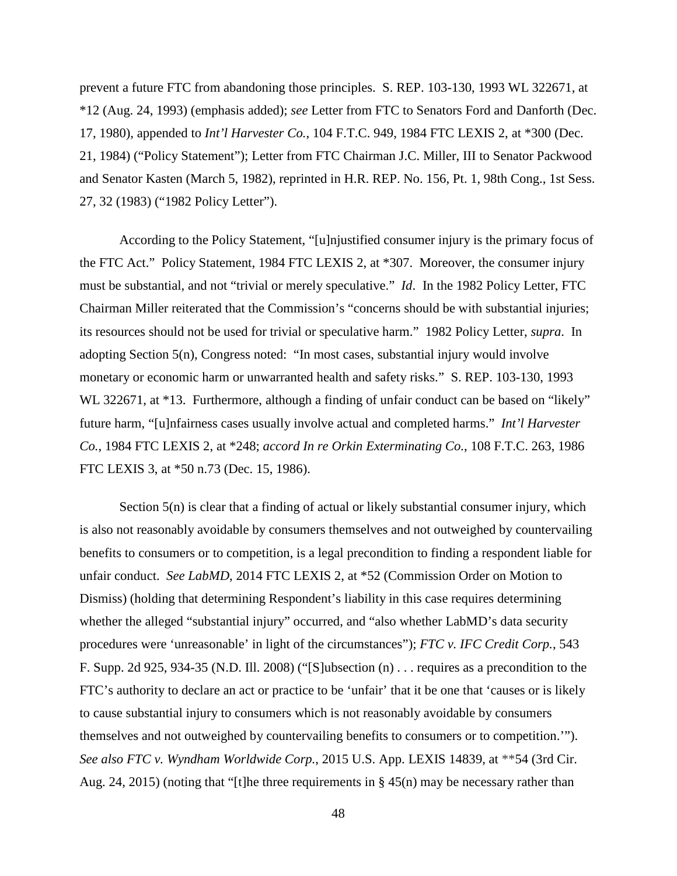prevent a future FTC from abandoning those principles. S. REP. 103-130, 1993 WL 322671, at \*12 (Aug. 24, 1993) (emphasis added); *see* Letter from FTC to Senators Ford and Danforth (Dec. 17, 1980), appended to *Int'l Harvester Co.*, 104 F.T.C. 949, 1984 FTC LEXIS 2, at \*300 (Dec. 21, 1984) ("Policy Statement"); Letter from FTC Chairman J.C. Miller, III to Senator Packwood and Senator Kasten (March 5, 1982), reprinted in H.R. REP. No. 156, Pt. 1, 98th Cong., 1st Sess. 27, 32 (1983) ("1982 Policy Letter").

According to the Policy Statement, "[u]njustified consumer injury is the primary focus of the FTC Act." Policy Statement, 1984 FTC LEXIS 2, at \*307. Moreover, the consumer injury must be substantial, and not "trivial or merely speculative." *Id*. In the 1982 Policy Letter, FTC Chairman Miller reiterated that the Commission's "concerns should be with substantial injuries; its resources should not be used for trivial or speculative harm." 1982 Policy Letter, *supra*. In adopting Section 5(n), Congress noted: "In most cases, substantial injury would involve monetary or economic harm or unwarranted health and safety risks." S. REP. 103-130, 1993 WL 322671, at \*13. Furthermore, although a finding of unfair conduct can be based on "likely" future harm, "[u]nfairness cases usually involve actual and completed harms." *Int'l Harvester Co.*, 1984 FTC LEXIS 2, at \*248; *accord In re Orkin Exterminating Co.*, 108 F.T.C. 263, 1986 FTC LEXIS 3, at \*50 n.73 (Dec. 15, 1986).

Section 5(n) is clear that a finding of actual or likely substantial consumer injury, which is also not reasonably avoidable by consumers themselves and not outweighed by countervailing benefits to consumers or to competition, is a legal precondition to finding a respondent liable for unfair conduct. *See LabMD*, 2014 FTC LEXIS 2, at \*52 (Commission Order on Motion to Dismiss) (holding that determining Respondent's liability in this case requires determining whether the alleged "substantial injury" occurred, and "also whether LabMD's data security procedures were 'unreasonable' in light of the circumstances"); *FTC v. IFC Credit Corp.*, 543 F. Supp. 2d 925, 934-35 (N.D. Ill. 2008) ("[S]ubsection (n) . . . requires as a precondition to the FTC's authority to declare an act or practice to be 'unfair' that it be one that 'causes or is likely to cause substantial injury to consumers which is not reasonably avoidable by consumers themselves and not outweighed by countervailing benefits to consumers or to competition.'"). *See also FTC v. Wyndham Worldwide Corp.*, 2015 U.S. App. LEXIS 14839, at \*\*54 (3rd Cir. Aug. 24, 2015) (noting that "[t]he three requirements in  $\S$  45(n) may be necessary rather than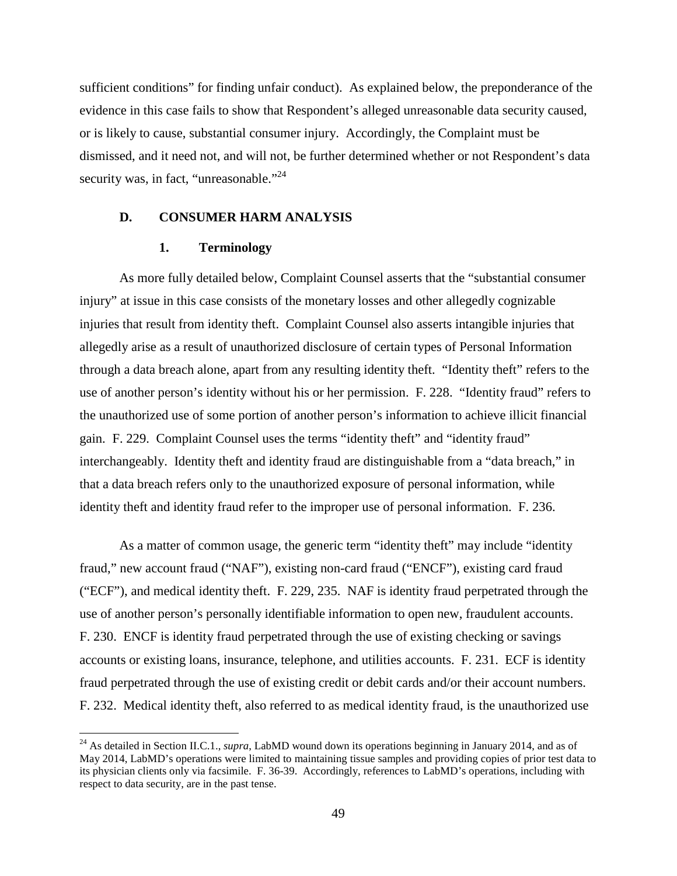sufficient conditions" for finding unfair conduct). As explained below, the preponderance of the evidence in this case fails to show that Respondent's alleged unreasonable data security caused, or is likely to cause, substantial consumer injury. Accordingly, the Complaint must be dismissed, and it need not, and will not, be further determined whether or not Respondent's data security was, in fact, "unreasonable."<sup>24</sup>

#### **D. CONSUMER HARM ANALYSIS**

#### **1. Terminology**

As more fully detailed below, Complaint Counsel asserts that the "substantial consumer injury" at issue in this case consists of the monetary losses and other allegedly cognizable injuries that result from identity theft. Complaint Counsel also asserts intangible injuries that allegedly arise as a result of unauthorized disclosure of certain types of Personal Information through a data breach alone, apart from any resulting identity theft. "Identity theft" refers to the use of another person's identity without his or her permission. F. 228. "Identity fraud" refers to the unauthorized use of some portion of another person's information to achieve illicit financial gain. F. 229. Complaint Counsel uses the terms "identity theft" and "identity fraud" interchangeably. Identity theft and identity fraud are distinguishable from a "data breach," in that a data breach refers only to the unauthorized exposure of personal information, while identity theft and identity fraud refer to the improper use of personal information. F. 236.

As a matter of common usage, the generic term "identity theft" may include "identity fraud," new account fraud ("NAF"), existing non-card fraud ("ENCF"), existing card fraud ("ECF"), and medical identity theft. F. 229, 235. NAF is identity fraud perpetrated through the use of another person's personally identifiable information to open new, fraudulent accounts. F. 230. ENCF is identity fraud perpetrated through the use of existing checking or savings accounts or existing loans, insurance, telephone, and utilities accounts. F. 231. ECF is identity fraud perpetrated through the use of existing credit or debit cards and/or their account numbers. F. 232. Medical identity theft, also referred to as medical identity fraud, is the unauthorized use

<sup>&</sup>lt;sup>24</sup> As detailed in Section II.C.1., *supra*, LabMD wound down its operations beginning in January 2014, and as of May 2014, LabMD's operations were limited to maintaining tissue samples and providing copies of prior test data to its physician clients only via facsimile. F. 36-39. Accordingly, references to LabMD's operations, including with respect to data security, are in the past tense.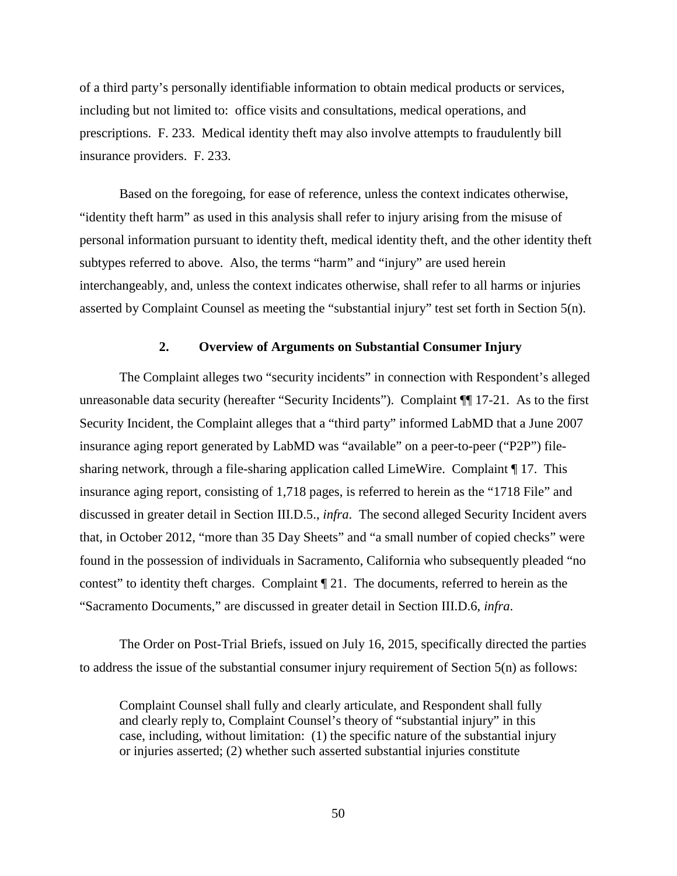of a third party's personally identifiable information to obtain medical products or services, including but not limited to: office visits and consultations, medical operations, and prescriptions. F. 233. Medical identity theft may also involve attempts to fraudulently bill insurance providers. F. 233.

Based on the foregoing, for ease of reference, unless the context indicates otherwise, "identity theft harm" as used in this analysis shall refer to injury arising from the misuse of personal information pursuant to identity theft, medical identity theft, and the other identity theft subtypes referred to above. Also, the terms "harm" and "injury" are used herein interchangeably, and, unless the context indicates otherwise, shall refer to all harms or injuries asserted by Complaint Counsel as meeting the "substantial injury" test set forth in Section 5(n).

### **2. Overview of Arguments on Substantial Consumer Injury**

The Complaint alleges two "security incidents" in connection with Respondent's alleged unreasonable data security (hereafter "Security Incidents"). Complaint ¶¶ 17-21. As to the first Security Incident, the Complaint alleges that a "third party" informed LabMD that a June 2007 insurance aging report generated by LabMD was "available" on a peer-to-peer ("P2P") filesharing network, through a file-sharing application called LimeWire. Complaint ¶ 17. This insurance aging report, consisting of 1,718 pages, is referred to herein as the "1718 File" and discussed in greater detail in Section III.D.5., *infra*. The second alleged Security Incident avers that, in October 2012, "more than 35 Day Sheets" and "a small number of copied checks" were found in the possession of individuals in Sacramento, California who subsequently pleaded "no contest" to identity theft charges. Complaint ¶ 21. The documents, referred to herein as the "Sacramento Documents," are discussed in greater detail in Section III.D.6, *infra*.

The Order on Post-Trial Briefs, issued on July 16, 2015, specifically directed the parties to address the issue of the substantial consumer injury requirement of Section 5(n) as follows:

Complaint Counsel shall fully and clearly articulate, and Respondent shall fully and clearly reply to, Complaint Counsel's theory of "substantial injury" in this case, including, without limitation: (1) the specific nature of the substantial injury or injuries asserted; (2) whether such asserted substantial injuries constitute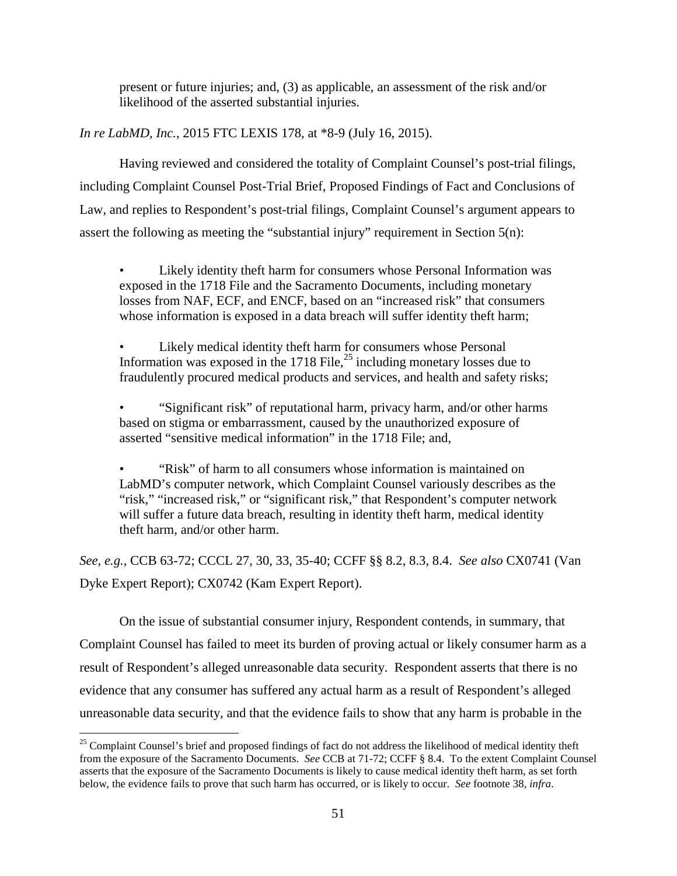present or future injuries; and, (3) as applicable, an assessment of the risk and/or likelihood of the asserted substantial injuries.

*In re LabMD, Inc.*, 2015 FTC LEXIS 178, at \*8-9 (July 16, 2015).

Having reviewed and considered the totality of Complaint Counsel's post-trial filings, including Complaint Counsel Post-Trial Brief, Proposed Findings of Fact and Conclusions of Law, and replies to Respondent's post-trial filings, Complaint Counsel's argument appears to assert the following as meeting the "substantial injury" requirement in Section 5(n):

Likely identity theft harm for consumers whose Personal Information was exposed in the 1718 File and the Sacramento Documents, including monetary losses from NAF, ECF, and ENCF, based on an "increased risk" that consumers whose information is exposed in a data breach will suffer identity theft harm;

Likely medical identity theft harm for consumers whose Personal Information was exposed in the  $1718$  File,<sup>25</sup> including monetary losses due to fraudulently procured medical products and services, and health and safety risks;

• "Significant risk" of reputational harm, privacy harm, and/or other harms based on stigma or embarrassment, caused by the unauthorized exposure of asserted "sensitive medical information" in the 1718 File; and,

• "Risk" of harm to all consumers whose information is maintained on LabMD's computer network, which Complaint Counsel variously describes as the "risk," "increased risk," or "significant risk," that Respondent's computer network will suffer a future data breach, resulting in identity theft harm, medical identity theft harm, and/or other harm.

*See, e.g.*, CCB 63-72; CCCL 27, 30, 33, 35-40; CCFF §§ 8.2, 8.3, 8.4. *See also* CX0741 (Van Dyke Expert Report); CX0742 (Kam Expert Report).

On the issue of substantial consumer injury, Respondent contends, in summary, that Complaint Counsel has failed to meet its burden of proving actual or likely consumer harm as a result of Respondent's alleged unreasonable data security. Respondent asserts that there is no evidence that any consumer has suffered any actual harm as a result of Respondent's alleged unreasonable data security, and that the evidence fails to show that any harm is probable in the

<sup>&</sup>lt;sup>25</sup> Complaint Counsel's brief and proposed findings of fact do not address the likelihood of medical identity theft from the exposure of the Sacramento Documents. *See* CCB at 71-72; CCFF § 8.4. To the extent Complaint Counsel asserts that the exposure of the Sacramento Documents is likely to cause medical identity theft harm, as set forth below, the evidence fails to prove that such harm has occurred, or is likely to occur. *See* footnote 38, *infra*.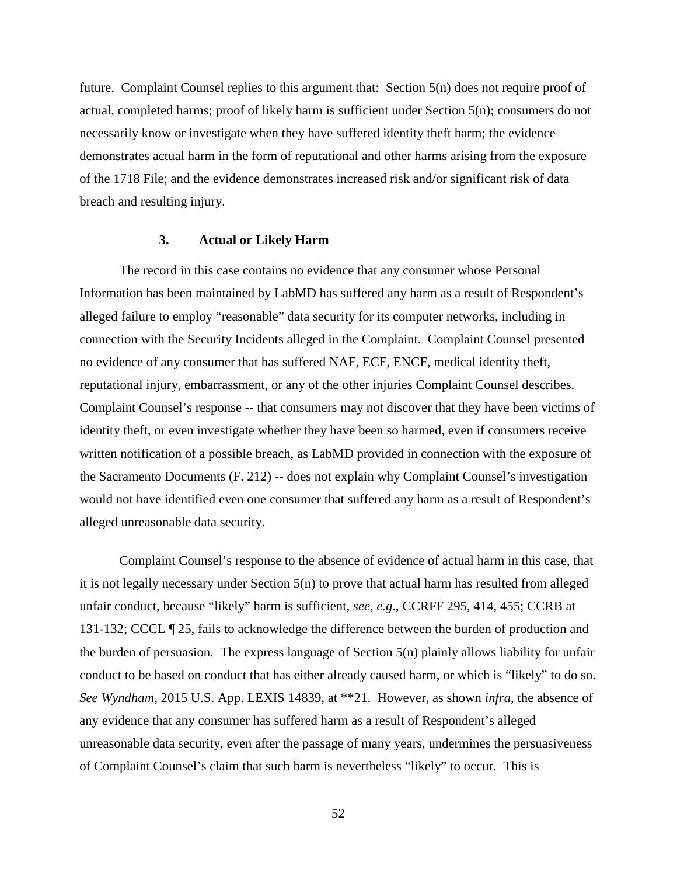future. Complaint Counsel replies to this argument that: Section 5(n) does not require proof of actual, completed harms; proof of likely harm is sufficient under Section 5(n); consumers do not necessarily know or investigate when they have suffered identity theft harm; the evidence demonstrates actual harm in the form of reputational and other harms arising from the exposure of the 1718 File; and the evidence demonstrates increased risk and/or significant risk of data breach and resulting injury.

#### **3. Actual or Likely Harm**

The record in this case contains no evidence that any consumer whose Personal Information has been maintained by LabMD has suffered any harm as a result of Respondent's alleged failure to employ "reasonable" data security for its computer networks, including in connection with the Security Incidents alleged in the Complaint. Complaint Counsel presented no evidence of any consumer that has suffered NAF, ECF, ENCF, medical identity theft, reputational injury, embarrassment, or any of the other injuries Complaint Counsel describes. Complaint Counsel's response -- that consumers may not discover that they have been victims of identity theft, or even investigate whether they have been so harmed, even if consumers receive written notification of a possible breach, as LabMD provided in connection with the exposure of the Sacramento Documents (F. 212) -- does not explain why Complaint Counsel's investigation would not have identified even one consumer that suffered any harm as a result of Respondent's alleged unreasonable data security.

Complaint Counsel's response to the absence of evidence of actual harm in this case, that it is not legally necessary under Section 5(n) to prove that actual harm has resulted from alleged unfair conduct, because "likely" harm is sufficient, *see, e.g*., CCRFF 295, 414, 455; CCRB at 131-132; CCCL ¶ 25, fails to acknowledge the difference between the burden of production and the burden of persuasion. The express language of Section 5(n) plainly allows liability for unfair conduct to be based on conduct that has either already caused harm, or which is "likely" to do so. *See Wyndham*, 2015 U.S. App. LEXIS 14839, at \*\*21. However, as shown *infra*, the absence of any evidence that any consumer has suffered harm as a result of Respondent's alleged unreasonable data security, even after the passage of many years, undermines the persuasiveness of Complaint Counsel's claim that such harm is nevertheless "likely" to occur. This is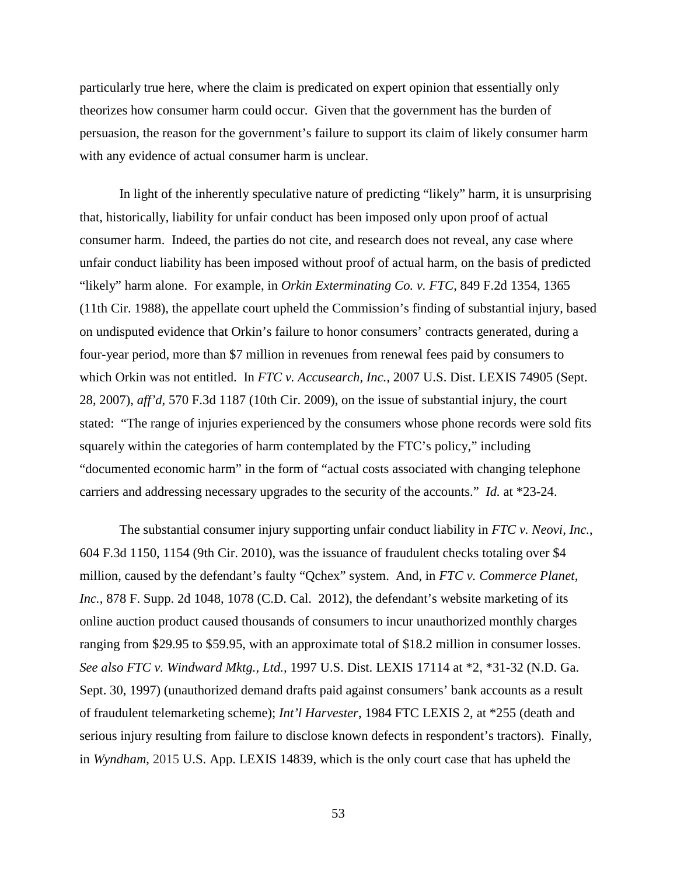particularly true here, where the claim is predicated on expert opinion that essentially only theorizes how consumer harm could occur. Given that the government has the burden of persuasion, the reason for the government's failure to support its claim of likely consumer harm with any evidence of actual consumer harm is unclear.

In light of the inherently speculative nature of predicting "likely" harm, it is unsurprising that, historically, liability for unfair conduct has been imposed only upon proof of actual consumer harm. Indeed, the parties do not cite, and research does not reveal, any case where unfair conduct liability has been imposed without proof of actual harm, on the basis of predicted "likely" harm alone. For example, in *Orkin Exterminating Co. v. FTC*, 849 F.2d 1354, 1365 (11th Cir. 1988), the appellate court upheld the Commission's finding of substantial injury, based on undisputed evidence that Orkin's failure to honor consumers' contracts generated, during a four-year period, more than \$7 million in revenues from renewal fees paid by consumers to which Orkin was not entitled. In *FTC v. Accusearch, Inc.*, 2007 U.S. Dist. LEXIS 74905 (Sept. 28, 2007), *aff'd*, 570 F.3d 1187 (10th Cir. 2009), on the issue of substantial injury, the court stated: "The range of injuries experienced by the consumers whose phone records were sold fits squarely within the categories of harm contemplated by the FTC's policy," including "documented economic harm" in the form of "actual costs associated with changing telephone carriers and addressing necessary upgrades to the security of the accounts." *Id.* at \*23-24.

The substantial consumer injury supporting unfair conduct liability in *FTC v. Neovi, Inc.*, 604 F.3d 1150, 1154 (9th Cir. 2010), was the issuance of fraudulent checks totaling over \$4 million, caused by the defendant's faulty "Qchex" system. And, in *FTC v. Commerce Planet,*  Inc., 878 F. Supp. 2d 1048, 1078 (C.D. Cal. 2012), the defendant's website marketing of its online auction product caused thousands of consumers to incur unauthorized monthly charges ranging from \$29.95 to \$59.95, with an approximate total of \$18.2 million in consumer losses. *See also FTC v. Windward Mktg., Ltd.,* 1997 U.S. Dist. LEXIS 17114 at \*2, \*31-32 (N.D. Ga. Sept. 30, 1997) (unauthorized demand drafts paid against consumers' bank accounts as a result of fraudulent telemarketing scheme); *Int'l Harvester*, 1984 FTC LEXIS 2, at \*255 (death and serious injury resulting from failure to disclose known defects in respondent's tractors). Finally, in *Wyndham*, 2015 U.S. App. LEXIS 14839, which is the only court case that has upheld the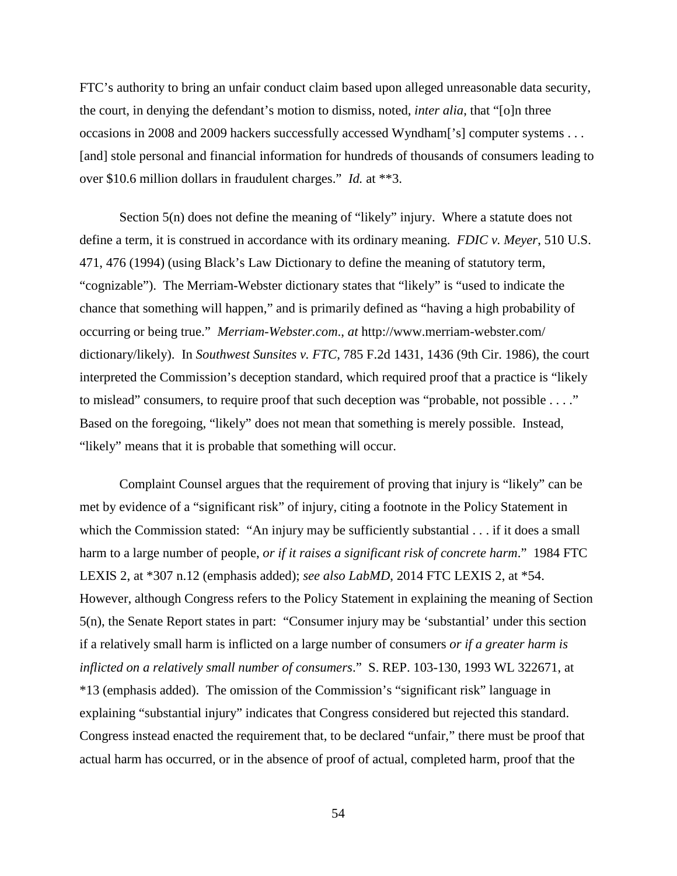FTC's authority to bring an unfair conduct claim based upon alleged unreasonable data security, the court, in denying the defendant's motion to dismiss, noted, *inter alia*, that "[o]n three occasions in 2008 and 2009 hackers successfully accessed Wyndham['s] computer systems . . . [and] stole personal and financial information for hundreds of thousands of consumers leading to over \$10.6 million dollars in fraudulent charges." *Id.* at \*\*3.

Section 5(n) does not define the meaning of "likely" injury. Where a statute does not define a term, it is construed in accordance with its ordinary meaning. *FDIC v. Meyer*, 510 U.S. 471, 476 (1994) (using Black's Law Dictionary to define the meaning of statutory term, "cognizable"). The Merriam-Webster dictionary states that "likely" is "used to indicate the chance that something will happen," and is primarily defined as "having a high probability of occurring or being true." *Merriam-Webster.com*., *at* http://www.merriam-webster.com/ dictionary/likely). In *Southwest Sunsites v. FTC*, 785 F.2d 1431, 1436 (9th Cir. 1986), the court interpreted the Commission's deception standard, which required proof that a practice is "likely to mislead" consumers, to require proof that such deception was "probable, not possible . . . ." Based on the foregoing, "likely" does not mean that something is merely possible. Instead, "likely" means that it is probable that something will occur.

Complaint Counsel argues that the requirement of proving that injury is "likely" can be met by evidence of a "significant risk" of injury, citing a footnote in the Policy Statement in which the Commission stated: "An injury may be sufficiently substantial . . . if it does a small harm to a large number of people, *or if it raises a significant risk of concrete harm*." 1984 FTC LEXIS 2, at \*307 n.12 (emphasis added); *see also LabMD*, 2014 FTC LEXIS 2, at \*54. However, although Congress refers to the Policy Statement in explaining the meaning of Section 5(n), the Senate Report states in part: "Consumer injury may be 'substantial' under this section if a relatively small harm is inflicted on a large number of consumers *or if a greater harm is inflicted on a relatively small number of consumers*." S. REP. 103-130, 1993 WL 322671, at \*13 (emphasis added). The omission of the Commission's "significant risk" language in explaining "substantial injury" indicates that Congress considered but rejected this standard. Congress instead enacted the requirement that, to be declared "unfair," there must be proof that actual harm has occurred, or in the absence of proof of actual, completed harm, proof that the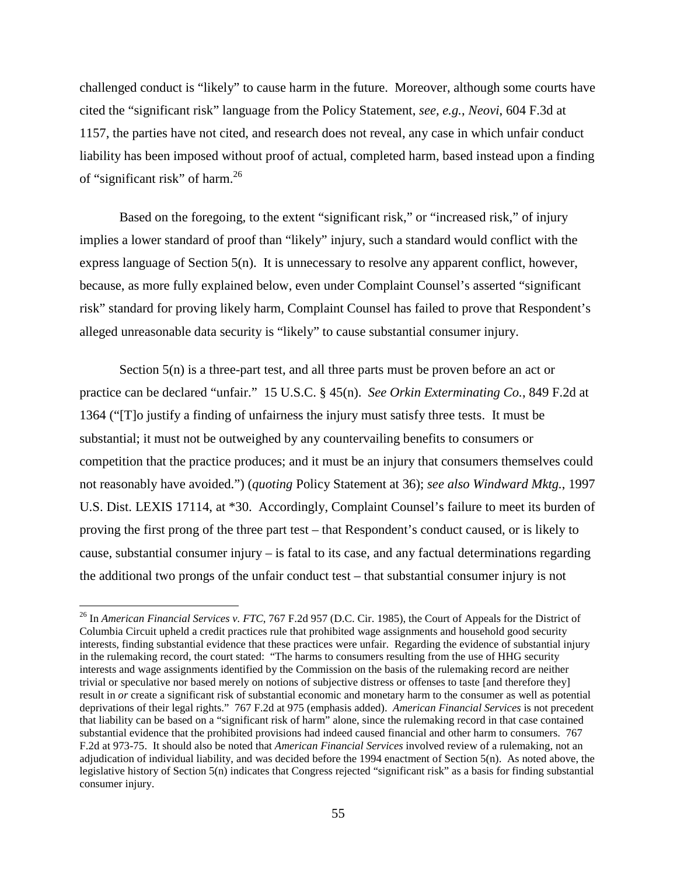challenged conduct is "likely" to cause harm in the future. Moreover, although some courts have cited the "significant risk" language from the Policy Statement, *see, e.g.*, *Neovi*, 604 F.3d at 1157, the parties have not cited, and research does not reveal, any case in which unfair conduct liability has been imposed without proof of actual, completed harm, based instead upon a finding of "significant risk" of harm. $^{26}$ 

Based on the foregoing, to the extent "significant risk," or "increased risk," of injury implies a lower standard of proof than "likely" injury, such a standard would conflict with the express language of Section 5(n). It is unnecessary to resolve any apparent conflict, however, because, as more fully explained below, even under Complaint Counsel's asserted "significant risk" standard for proving likely harm, Complaint Counsel has failed to prove that Respondent's alleged unreasonable data security is "likely" to cause substantial consumer injury.

Section 5(n) is a three-part test, and all three parts must be proven before an act or practice can be declared "unfair." 15 U.S.C. § 45(n). *See Orkin Exterminating Co.*, 849 F.2d at 1364 ("[T]o justify a finding of unfairness the injury must satisfy three tests. It must be substantial; it must not be outweighed by any countervailing benefits to consumers or competition that the practice produces; and it must be an injury that consumers themselves could not reasonably have avoided.") (*quoting* Policy Statement at 36); *see also Windward Mktg.*, 1997 U.S. Dist. LEXIS 17114, at \*30. Accordingly, Complaint Counsel's failure to meet its burden of proving the first prong of the three part test – that Respondent's conduct caused, or is likely to cause, substantial consumer injury – is fatal to its case, and any factual determinations regarding the additional two prongs of the unfair conduct test – that substantial consumer injury is not

 <sup>26</sup> In *American Financial Services v. FTC*, 767 F.2d 957 (D.C. Cir. 1985), the Court of Appeals for the District of Columbia Circuit upheld a credit practices rule that prohibited wage assignments and household good security interests, finding substantial evidence that these practices were unfair. Regarding the evidence of substantial injury in the rulemaking record, the court stated: "The harms to consumers resulting from the use of HHG security interests and wage assignments identified by the Commission on the basis of the rulemaking record are neither trivial or speculative nor based merely on notions of subjective distress or offenses to taste [and therefore they] result in *or* create a significant risk of substantial economic and monetary harm to the consumer as well as potential deprivations of their legal rights." 767 F.2d at 975 (emphasis added). *American Financial Services* is not precedent that liability can be based on a "significant risk of harm" alone, since the rulemaking record in that case contained substantial evidence that the prohibited provisions had indeed caused financial and other harm to consumers. 767 F.2d at 973-75. It should also be noted that *American Financial Services* involved review of a rulemaking, not an adjudication of individual liability, and was decided before the 1994 enactment of Section 5(n). As noted above, the legislative history of Section 5(n) indicates that Congress rejected "significant risk" as a basis for finding substantial consumer injury.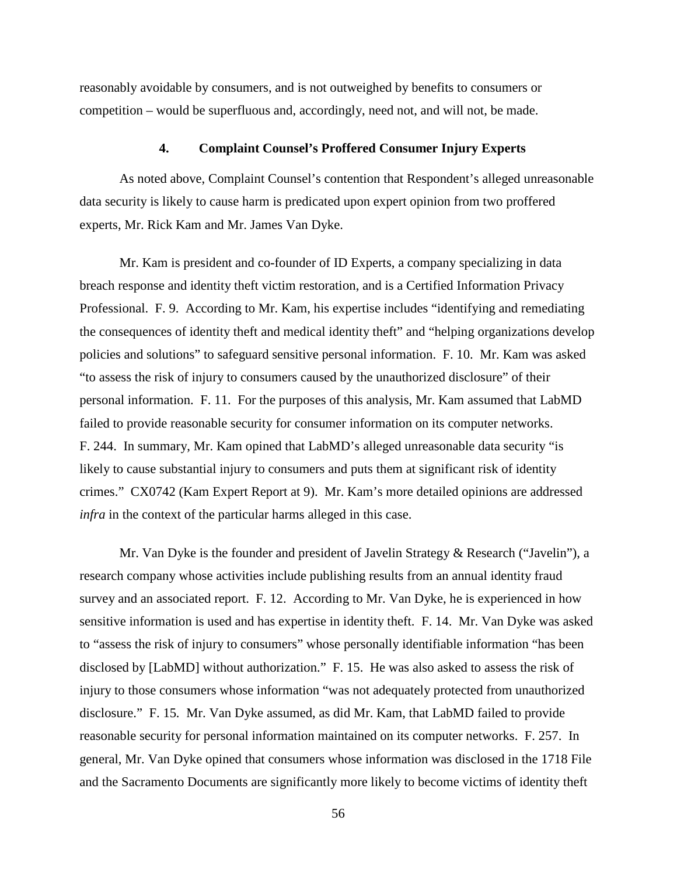reasonably avoidable by consumers, and is not outweighed by benefits to consumers or competition – would be superfluous and, accordingly, need not, and will not, be made.

## **4. Complaint Counsel's Proffered Consumer Injury Experts**

As noted above, Complaint Counsel's contention that Respondent's alleged unreasonable data security is likely to cause harm is predicated upon expert opinion from two proffered experts, Mr. Rick Kam and Mr. James Van Dyke.

Mr. Kam is president and co-founder of ID Experts, a company specializing in data breach response and identity theft victim restoration, and is a Certified Information Privacy Professional. F. 9. According to Mr. Kam, his expertise includes "identifying and remediating the consequences of identity theft and medical identity theft" and "helping organizations develop policies and solutions" to safeguard sensitive personal information. F. 10. Mr. Kam was asked "to assess the risk of injury to consumers caused by the unauthorized disclosure" of their personal information. F. 11. For the purposes of this analysis, Mr. Kam assumed that LabMD failed to provide reasonable security for consumer information on its computer networks. F. 244. In summary, Mr. Kam opined that LabMD's alleged unreasonable data security "is likely to cause substantial injury to consumers and puts them at significant risk of identity crimes." CX0742 (Kam Expert Report at 9). Mr. Kam's more detailed opinions are addressed *infra* in the context of the particular harms alleged in this case.

Mr. Van Dyke is the founder and president of Javelin Strategy & Research ("Javelin"), a research company whose activities include publishing results from an annual identity fraud survey and an associated report. F. 12. According to Mr. Van Dyke, he is experienced in how sensitive information is used and has expertise in identity theft. F. 14. Mr. Van Dyke was asked to "assess the risk of injury to consumers" whose personally identifiable information "has been disclosed by [LabMD] without authorization." F. 15. He was also asked to assess the risk of injury to those consumers whose information "was not adequately protected from unauthorized disclosure." F. 15*.* Mr. Van Dyke assumed, as did Mr. Kam, that LabMD failed to provide reasonable security for personal information maintained on its computer networks. F. 257. In general, Mr. Van Dyke opined that consumers whose information was disclosed in the 1718 File and the Sacramento Documents are significantly more likely to become victims of identity theft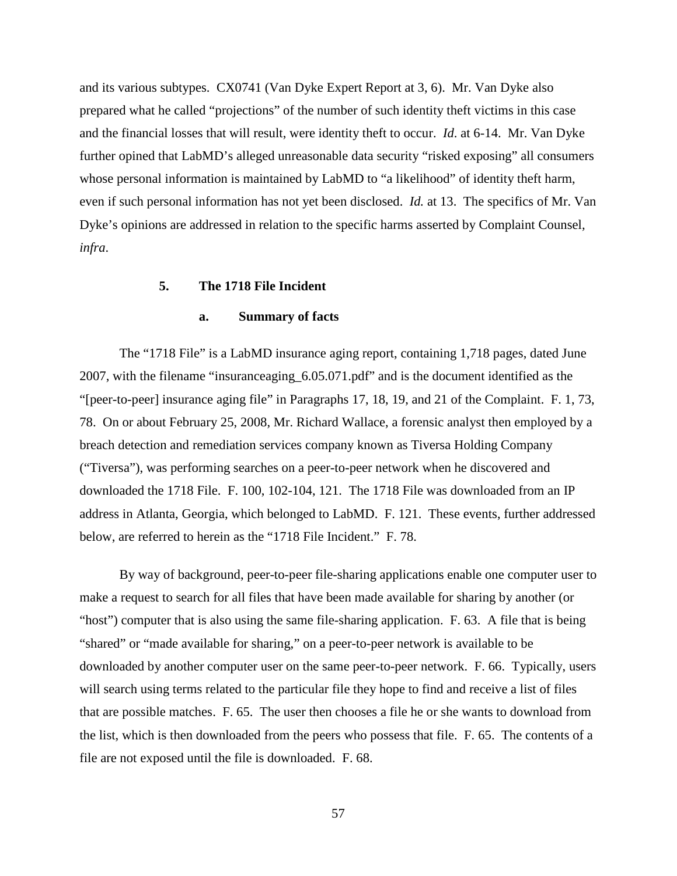and its various subtypes. CX0741 (Van Dyke Expert Report at 3, 6). Mr. Van Dyke also prepared what he called "projections" of the number of such identity theft victims in this case and the financial losses that will result, were identity theft to occur. *Id*. at 6-14. Mr. Van Dyke further opined that LabMD's alleged unreasonable data security "risked exposing" all consumers whose personal information is maintained by LabMD to "a likelihood" of identity theft harm, even if such personal information has not yet been disclosed. *Id.* at 13. The specifics of Mr. Van Dyke's opinions are addressed in relation to the specific harms asserted by Complaint Counsel*, infra*.

### **5. The 1718 File Incident**

#### **a. Summary of facts**

The "1718 File" is a LabMD insurance aging report, containing 1,718 pages, dated June 2007, with the filename "insuranceaging\_6.05.071.pdf" and is the document identified as the "[peer-to-peer] insurance aging file" in Paragraphs 17, 18, 19, and 21 of the Complaint. F. 1, 73, 78. On or about February 25, 2008, Mr. Richard Wallace, a forensic analyst then employed by a breach detection and remediation services company known as Tiversa Holding Company ("Tiversa"), was performing searches on a peer-to-peer network when he discovered and downloaded the 1718 File. F. 100, 102-104, 121. The 1718 File was downloaded from an IP address in Atlanta, Georgia, which belonged to LabMD. F. 121. These events, further addressed below, are referred to herein as the "1718 File Incident." F. 78.

By way of background, peer-to-peer file-sharing applications enable one computer user to make a request to search for all files that have been made available for sharing by another (or "host") computer that is also using the same file-sharing application. F. 63. A file that is being "shared" or "made available for sharing," on a peer-to-peer network is available to be downloaded by another computer user on the same peer-to-peer network. F. 66. Typically, users will search using terms related to the particular file they hope to find and receive a list of files that are possible matches. F. 65. The user then chooses a file he or she wants to download from the list, which is then downloaded from the peers who possess that file. F. 65. The contents of a file are not exposed until the file is downloaded. F. 68.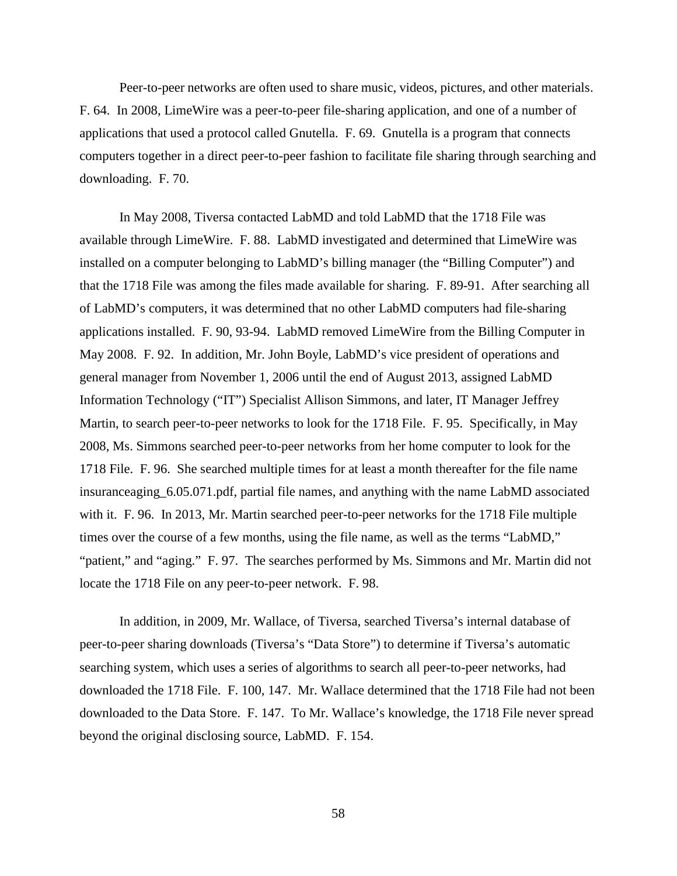Peer-to-peer networks are often used to share music, videos, pictures, and other materials. F. 64. In 2008, LimeWire was a peer-to-peer file-sharing application, and one of a number of applications that used a protocol called Gnutella. F. 69. Gnutella is a program that connects computers together in a direct peer-to-peer fashion to facilitate file sharing through searching and downloading. F. 70.

In May 2008, Tiversa contacted LabMD and told LabMD that the 1718 File was available through LimeWire. F. 88. LabMD investigated and determined that LimeWire was installed on a computer belonging to LabMD's billing manager (the "Billing Computer") and that the 1718 File was among the files made available for sharing. F. 89-91. After searching all of LabMD's computers, it was determined that no other LabMD computers had file-sharing applications installed. F. 90, 93-94. LabMD removed LimeWire from the Billing Computer in May 2008. F. 92. In addition, Mr. John Boyle, LabMD's vice president of operations and general manager from November 1, 2006 until the end of August 2013, assigned LabMD Information Technology ("IT") Specialist Allison Simmons, and later, IT Manager Jeffrey Martin, to search peer-to-peer networks to look for the 1718 File. F. 95. Specifically, in May 2008, Ms. Simmons searched peer-to-peer networks from her home computer to look for the 1718 File. F. 96. She searched multiple times for at least a month thereafter for the file name insuranceaging\_6.05.071.pdf, partial file names, and anything with the name LabMD associated with it. F. 96. In 2013, Mr. Martin searched peer-to-peer networks for the 1718 File multiple times over the course of a few months, using the file name, as well as the terms "LabMD," "patient," and "aging." F. 97. The searches performed by Ms. Simmons and Mr. Martin did not locate the 1718 File on any peer-to-peer network. F. 98.

In addition, in 2009, Mr. Wallace, of Tiversa, searched Tiversa's internal database of peer-to-peer sharing downloads (Tiversa's "Data Store") to determine if Tiversa's automatic searching system, which uses a series of algorithms to search all peer-to-peer networks, had downloaded the 1718 File. F. 100, 147. Mr. Wallace determined that the 1718 File had not been downloaded to the Data Store. F. 147. To Mr. Wallace's knowledge, the 1718 File never spread beyond the original disclosing source, LabMD. F. 154.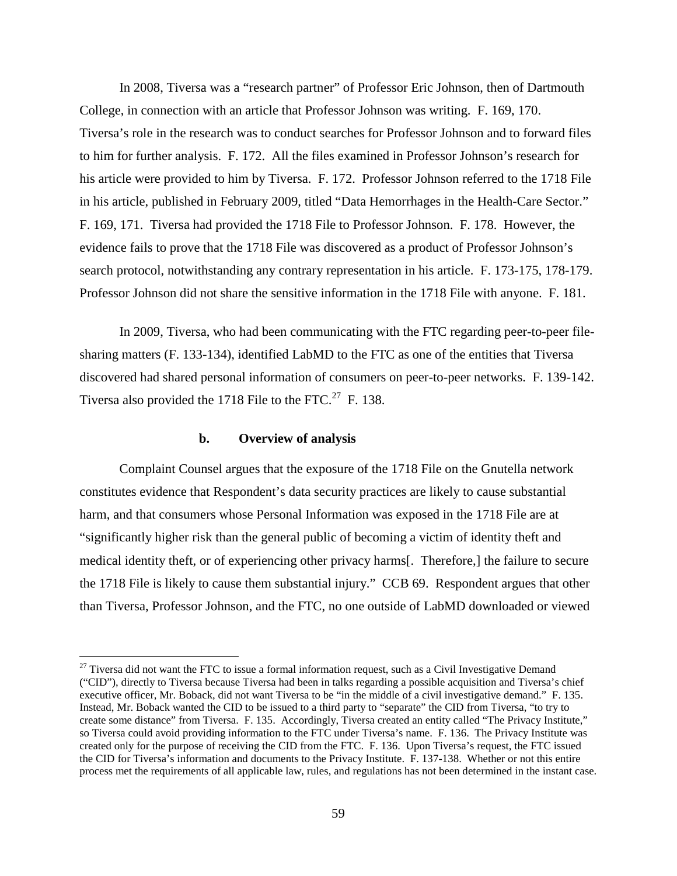In 2008, Tiversa was a "research partner" of Professor Eric Johnson, then of Dartmouth College, in connection with an article that Professor Johnson was writing. F. 169, 170. Tiversa's role in the research was to conduct searches for Professor Johnson and to forward files to him for further analysis. F. 172. All the files examined in Professor Johnson's research for his article were provided to him by Tiversa. F. 172. Professor Johnson referred to the 1718 File in his article, published in February 2009, titled "Data Hemorrhages in the Health-Care Sector." F. 169, 171. Tiversa had provided the 1718 File to Professor Johnson. F. 178. However, the evidence fails to prove that the 1718 File was discovered as a product of Professor Johnson's search protocol, notwithstanding any contrary representation in his article. F. 173-175, 178-179. Professor Johnson did not share the sensitive information in the 1718 File with anyone. F. 181.

In 2009, Tiversa, who had been communicating with the FTC regarding peer-to-peer filesharing matters (F. 133-134), identified LabMD to the FTC as one of the entities that Tiversa discovered had shared personal information of consumers on peer-to-peer networks. F. 139-142. Tiversa also provided the 1718 File to the FTC.<sup>27</sup> F. 138.

### **b. Overview of analysis**

Complaint Counsel argues that the exposure of the 1718 File on the Gnutella network constitutes evidence that Respondent's data security practices are likely to cause substantial harm, and that consumers whose Personal Information was exposed in the 1718 File are at "significantly higher risk than the general public of becoming a victim of identity theft and medical identity theft, or of experiencing other privacy harms[. Therefore,] the failure to secure the 1718 File is likely to cause them substantial injury." CCB 69. Respondent argues that other than Tiversa, Professor Johnson, and the FTC, no one outside of LabMD downloaded or viewed

<sup>&</sup>lt;sup>27</sup> Tiversa did not want the FTC to issue a formal information request, such as a Civil Investigative Demand ("CID"), directly to Tiversa because Tiversa had been in talks regarding a possible acquisition and Tiversa's chief executive officer, Mr. Boback, did not want Tiversa to be "in the middle of a civil investigative demand." F. 135. Instead, Mr. Boback wanted the CID to be issued to a third party to "separate" the CID from Tiversa, "to try to create some distance" from Tiversa. F. 135. Accordingly, Tiversa created an entity called "The Privacy Institute," so Tiversa could avoid providing information to the FTC under Tiversa's name. F. 136. The Privacy Institute was created only for the purpose of receiving the CID from the FTC. F. 136. Upon Tiversa's request, the FTC issued the CID for Tiversa's information and documents to the Privacy Institute. F. 137-138. Whether or not this entire process met the requirements of all applicable law, rules, and regulations has not been determined in the instant case.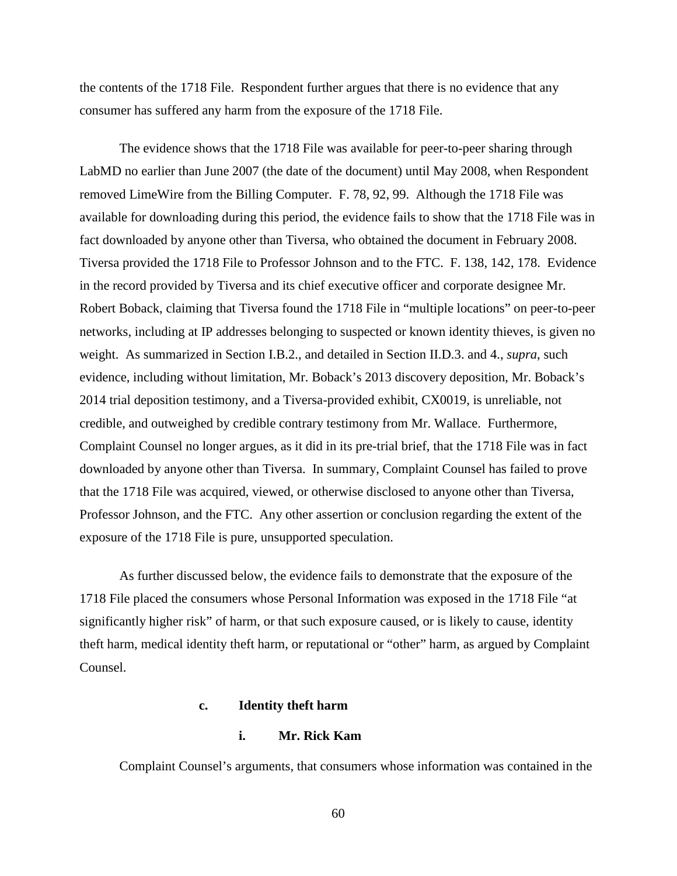the contents of the 1718 File. Respondent further argues that there is no evidence that any consumer has suffered any harm from the exposure of the 1718 File.

The evidence shows that the 1718 File was available for peer-to-peer sharing through LabMD no earlier than June 2007 (the date of the document) until May 2008, when Respondent removed LimeWire from the Billing Computer. F. 78, 92, 99. Although the 1718 File was available for downloading during this period, the evidence fails to show that the 1718 File was in fact downloaded by anyone other than Tiversa, who obtained the document in February 2008. Tiversa provided the 1718 File to Professor Johnson and to the FTC. F. 138, 142, 178. Evidence in the record provided by Tiversa and its chief executive officer and corporate designee Mr. Robert Boback, claiming that Tiversa found the 1718 File in "multiple locations" on peer-to-peer networks, including at IP addresses belonging to suspected or known identity thieves, is given no weight. As summarized in Section I.B.2., and detailed in Section II.D.3. and 4., *supra*, such evidence, including without limitation, Mr. Boback's 2013 discovery deposition, Mr. Boback's 2014 trial deposition testimony, and a Tiversa-provided exhibit, CX0019, is unreliable, not credible, and outweighed by credible contrary testimony from Mr. Wallace. Furthermore, Complaint Counsel no longer argues, as it did in its pre-trial brief, that the 1718 File was in fact downloaded by anyone other than Tiversa. In summary, Complaint Counsel has failed to prove that the 1718 File was acquired, viewed, or otherwise disclosed to anyone other than Tiversa, Professor Johnson, and the FTC. Any other assertion or conclusion regarding the extent of the exposure of the 1718 File is pure, unsupported speculation.

As further discussed below, the evidence fails to demonstrate that the exposure of the 1718 File placed the consumers whose Personal Information was exposed in the 1718 File "at significantly higher risk" of harm, or that such exposure caused, or is likely to cause, identity theft harm, medical identity theft harm, or reputational or "other" harm, as argued by Complaint Counsel.

## **c. Identity theft harm**

# **i. Mr. Rick Kam**

Complaint Counsel's arguments, that consumers whose information was contained in the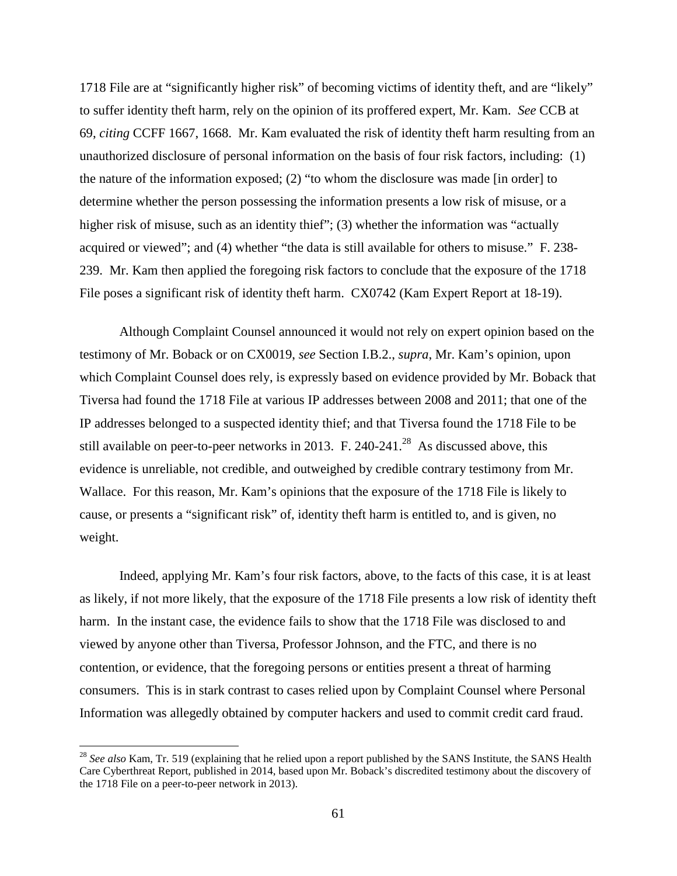1718 File are at "significantly higher risk" of becoming victims of identity theft, and are "likely" to suffer identity theft harm, rely on the opinion of its proffered expert, Mr. Kam. *See* CCB at 69, *citing* CCFF 1667, 1668. Mr. Kam evaluated the risk of identity theft harm resulting from an unauthorized disclosure of personal information on the basis of four risk factors, including: (1) the nature of the information exposed; (2) "to whom the disclosure was made [in order] to determine whether the person possessing the information presents a low risk of misuse, or a higher risk of misuse, such as an identity thief"; (3) whether the information was "actually acquired or viewed"; and (4) whether "the data is still available for others to misuse." F. 238- 239. Mr. Kam then applied the foregoing risk factors to conclude that the exposure of the 1718 File poses a significant risk of identity theft harm. CX0742 (Kam Expert Report at 18-19).

Although Complaint Counsel announced it would not rely on expert opinion based on the testimony of Mr. Boback or on CX0019, *see* Section I.B.2., *supra*, Mr. Kam's opinion, upon which Complaint Counsel does rely, is expressly based on evidence provided by Mr. Boback that Tiversa had found the 1718 File at various IP addresses between 2008 and 2011; that one of the IP addresses belonged to a suspected identity thief; and that Tiversa found the 1718 File to be still available on peer-to-peer networks in 2013. F. 240-241.<sup>28</sup> As discussed above, this evidence is unreliable, not credible, and outweighed by credible contrary testimony from Mr. Wallace. For this reason, Mr. Kam's opinions that the exposure of the 1718 File is likely to cause, or presents a "significant risk" of, identity theft harm is entitled to, and is given, no weight.

Indeed, applying Mr. Kam's four risk factors, above, to the facts of this case, it is at least as likely, if not more likely, that the exposure of the 1718 File presents a low risk of identity theft harm. In the instant case, the evidence fails to show that the 1718 File was disclosed to and viewed by anyone other than Tiversa, Professor Johnson, and the FTC, and there is no contention, or evidence, that the foregoing persons or entities present a threat of harming consumers. This is in stark contrast to cases relied upon by Complaint Counsel where Personal Information was allegedly obtained by computer hackers and used to commit credit card fraud.

<sup>&</sup>lt;sup>28</sup> See also Kam, Tr. 519 (explaining that he relied upon a report published by the SANS Institute, the SANS Health Care Cyberthreat Report, published in 2014, based upon Mr. Boback's discredited testimony about the discovery of the 1718 File on a peer-to-peer network in 2013).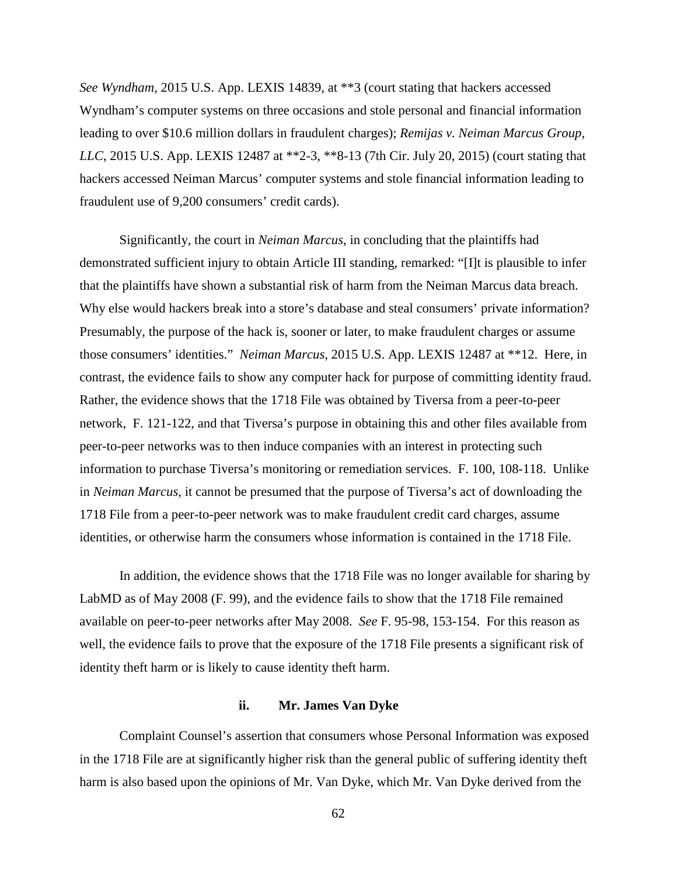*See Wyndham*, 2015 U.S. App. LEXIS 14839, at \*\*3 (court stating that hackers accessed Wyndham's computer systems on three occasions and stole personal and financial information leading to over \$10.6 million dollars in fraudulent charges); *Remijas v. Neiman Marcus Group, LLC*, 2015 U.S. App. LEXIS 12487 at \*\*2-3, \*\*8-13 (7th Cir. July 20, 2015) (court stating that hackers accessed Neiman Marcus' computer systems and stole financial information leading to fraudulent use of 9,200 consumers' credit cards).

Significantly, the court in *Neiman Marcus*, in concluding that the plaintiffs had demonstrated sufficient injury to obtain Article III standing, remarked: "[I]t is plausible to infer that the plaintiffs have shown a substantial risk of harm from the Neiman Marcus data breach. Why else would hackers break into a store's database and steal consumers' private information? Presumably, the purpose of the hack is, sooner or later, to make fraudulent charges or assume those consumers' identities." *Neiman Marcus*, 2015 U.S. App. LEXIS 12487 at \*\*12. Here, in contrast, the evidence fails to show any computer hack for purpose of committing identity fraud. Rather, the evidence shows that the 1718 File was obtained by Tiversa from a peer-to-peer network, F. 121-122, and that Tiversa's purpose in obtaining this and other files available from peer-to-peer networks was to then induce companies with an interest in protecting such information to purchase Tiversa's monitoring or remediation services. F. 100, 108-118. Unlike in *Neiman Marcus*, it cannot be presumed that the purpose of Tiversa's act of downloading the 1718 File from a peer-to-peer network was to make fraudulent credit card charges, assume identities, or otherwise harm the consumers whose information is contained in the 1718 File.

In addition, the evidence shows that the 1718 File was no longer available for sharing by LabMD as of May 2008 (F. 99), and the evidence fails to show that the 1718 File remained available on peer-to-peer networks after May 2008. *See* F. 95-98, 153-154. For this reason as well, the evidence fails to prove that the exposure of the 1718 File presents a significant risk of identity theft harm or is likely to cause identity theft harm.

## **ii. Mr. James Van Dyke**

Complaint Counsel's assertion that consumers whose Personal Information was exposed in the 1718 File are at significantly higher risk than the general public of suffering identity theft harm is also based upon the opinions of Mr. Van Dyke, which Mr. Van Dyke derived from the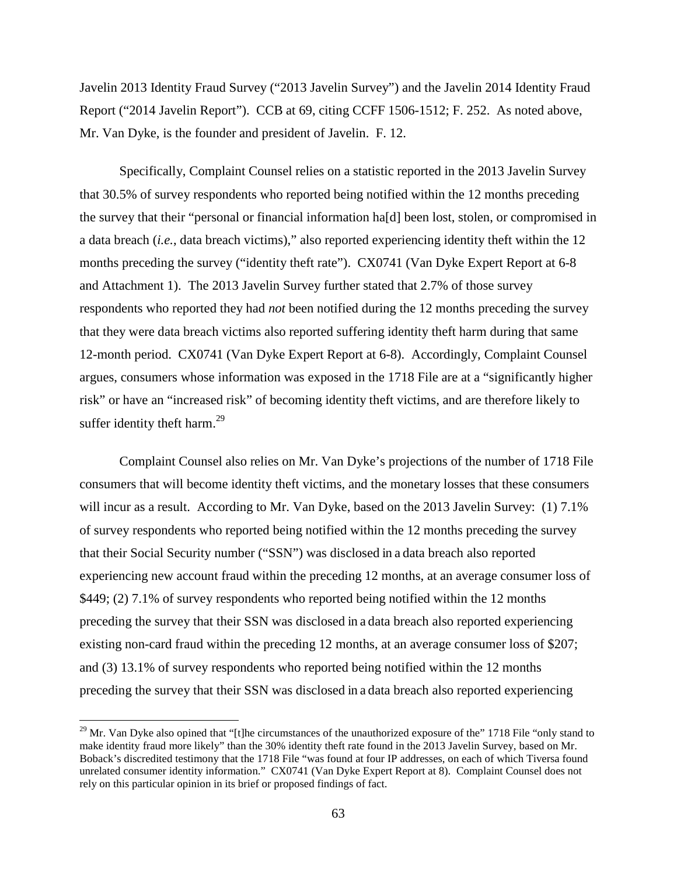Javelin 2013 Identity Fraud Survey ("2013 Javelin Survey") and the Javelin 2014 Identity Fraud Report ("2014 Javelin Report"). CCB at 69, citing CCFF 1506-1512; F. 252. As noted above, Mr. Van Dyke, is the founder and president of Javelin. F. 12.

Specifically, Complaint Counsel relies on a statistic reported in the 2013 Javelin Survey that 30.5% of survey respondents who reported being notified within the 12 months preceding the survey that their "personal or financial information ha[d] been lost, stolen, or compromised in a data breach (*i.e.*, data breach victims)," also reported experiencing identity theft within the 12 months preceding the survey ("identity theft rate"). CX0741 (Van Dyke Expert Report at 6-8 and Attachment 1). The 2013 Javelin Survey further stated that 2.7% of those survey respondents who reported they had *not* been notified during the 12 months preceding the survey that they were data breach victims also reported suffering identity theft harm during that same 12-month period. CX0741 (Van Dyke Expert Report at 6-8). Accordingly, Complaint Counsel argues, consumers whose information was exposed in the 1718 File are at a "significantly higher risk" or have an "increased risk" of becoming identity theft victims, and are therefore likely to suffer identity theft harm. $^{29}$ 

Complaint Counsel also relies on Mr. Van Dyke's projections of the number of 1718 File consumers that will become identity theft victims, and the monetary losses that these consumers will incur as a result. According to Mr. Van Dyke, based on the 2013 Javelin Survey: (1) 7.1% of survey respondents who reported being notified within the 12 months preceding the survey that their Social Security number ("SSN") was disclosed in a data breach also reported experiencing new account fraud within the preceding 12 months, at an average consumer loss of \$449; (2) 7.1% of survey respondents who reported being notified within the 12 months preceding the survey that their SSN was disclosed in a data breach also reported experiencing existing non-card fraud within the preceding 12 months, at an average consumer loss of \$207; and (3) 13.1% of survey respondents who reported being notified within the 12 months preceding the survey that their SSN was disclosed in a data breach also reported experiencing

 $^{29}$  Mr. Van Dyke also opined that "[t]he circumstances of the unauthorized exposure of the" 1718 File "only stand to make identity fraud more likely" than the 30% identity theft rate found in the 2013 Javelin Survey, based on Mr. Boback's discredited testimony that the 1718 File "was found at four IP addresses, on each of which Tiversa found unrelated consumer identity information." CX0741 (Van Dyke Expert Report at 8). Complaint Counsel does not rely on this particular opinion in its brief or proposed findings of fact.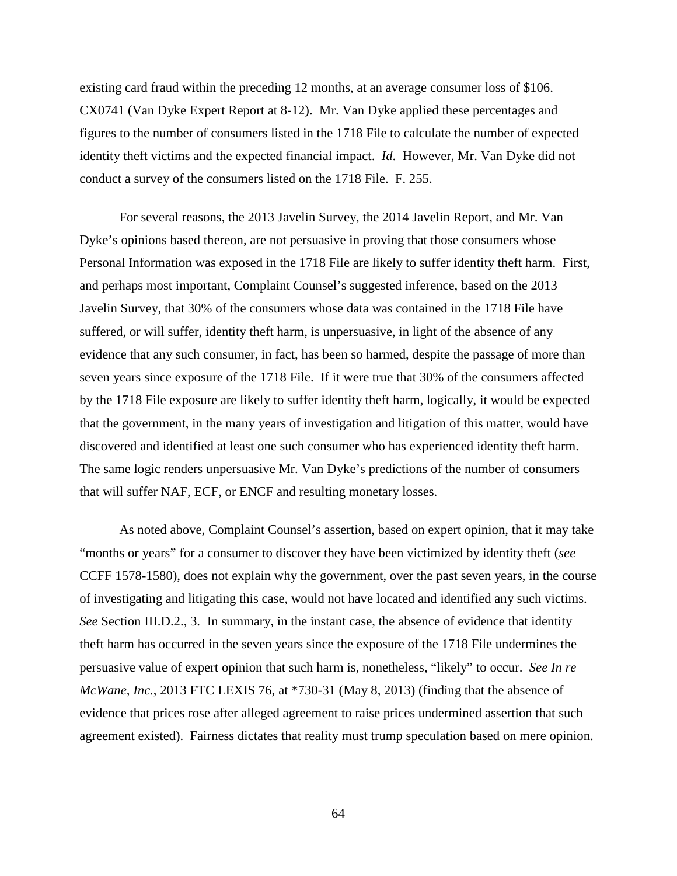existing card fraud within the preceding 12 months, at an average consumer loss of \$106. CX0741 (Van Dyke Expert Report at 8-12). Mr. Van Dyke applied these percentages and figures to the number of consumers listed in the 1718 File to calculate the number of expected identity theft victims and the expected financial impact. *Id*. However, Mr. Van Dyke did not conduct a survey of the consumers listed on the 1718 File. F. 255.

For several reasons, the 2013 Javelin Survey, the 2014 Javelin Report, and Mr. Van Dyke's opinions based thereon, are not persuasive in proving that those consumers whose Personal Information was exposed in the 1718 File are likely to suffer identity theft harm. First, and perhaps most important, Complaint Counsel's suggested inference, based on the 2013 Javelin Survey, that 30% of the consumers whose data was contained in the 1718 File have suffered, or will suffer, identity theft harm, is unpersuasive, in light of the absence of any evidence that any such consumer, in fact, has been so harmed, despite the passage of more than seven years since exposure of the 1718 File. If it were true that 30% of the consumers affected by the 1718 File exposure are likely to suffer identity theft harm, logically, it would be expected that the government, in the many years of investigation and litigation of this matter, would have discovered and identified at least one such consumer who has experienced identity theft harm. The same logic renders unpersuasive Mr. Van Dyke's predictions of the number of consumers that will suffer NAF, ECF, or ENCF and resulting monetary losses.

As noted above, Complaint Counsel's assertion, based on expert opinion, that it may take "months or years" for a consumer to discover they have been victimized by identity theft (*see*  CCFF 1578-1580), does not explain why the government, over the past seven years, in the course of investigating and litigating this case, would not have located and identified any such victims. *See* Section III.D.2., 3. In summary, in the instant case, the absence of evidence that identity theft harm has occurred in the seven years since the exposure of the 1718 File undermines the persuasive value of expert opinion that such harm is, nonetheless, "likely" to occur. *See In re McWane, Inc.*, 2013 FTC LEXIS 76, at \*730-31 (May 8, 2013) (finding that the absence of evidence that prices rose after alleged agreement to raise prices undermined assertion that such agreement existed). Fairness dictates that reality must trump speculation based on mere opinion.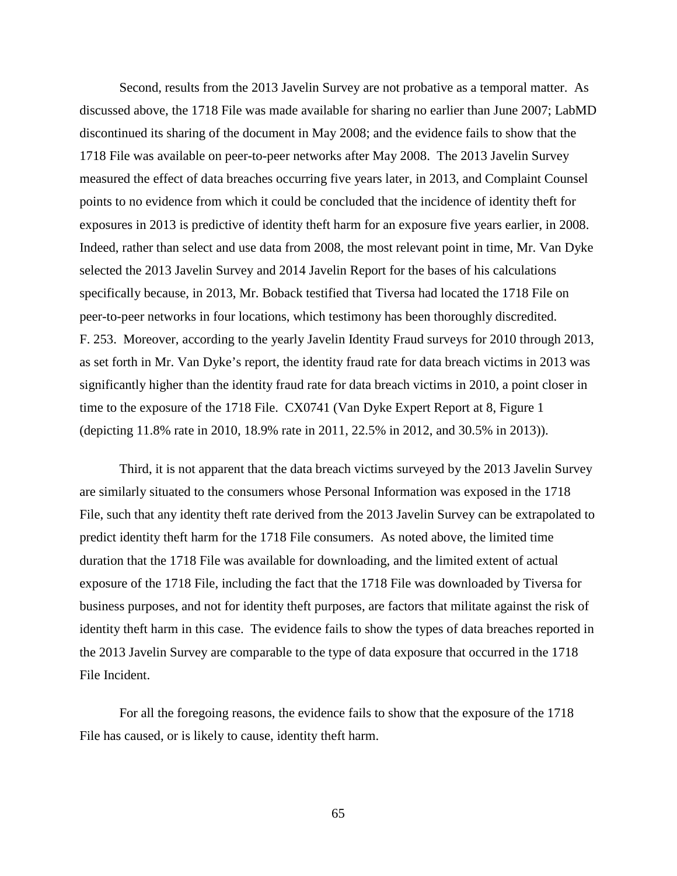Second, results from the 2013 Javelin Survey are not probative as a temporal matter. As discussed above, the 1718 File was made available for sharing no earlier than June 2007; LabMD discontinued its sharing of the document in May 2008; and the evidence fails to show that the 1718 File was available on peer-to-peer networks after May 2008. The 2013 Javelin Survey measured the effect of data breaches occurring five years later, in 2013, and Complaint Counsel points to no evidence from which it could be concluded that the incidence of identity theft for exposures in 2013 is predictive of identity theft harm for an exposure five years earlier, in 2008. Indeed, rather than select and use data from 2008, the most relevant point in time, Mr. Van Dyke selected the 2013 Javelin Survey and 2014 Javelin Report for the bases of his calculations specifically because, in 2013, Mr. Boback testified that Tiversa had located the 1718 File on peer-to-peer networks in four locations, which testimony has been thoroughly discredited. F. 253. Moreover, according to the yearly Javelin Identity Fraud surveys for 2010 through 2013, as set forth in Mr. Van Dyke's report, the identity fraud rate for data breach victims in 2013 was significantly higher than the identity fraud rate for data breach victims in 2010, a point closer in time to the exposure of the 1718 File. CX0741 (Van Dyke Expert Report at 8, Figure 1 (depicting 11.8% rate in 2010, 18.9% rate in 2011, 22.5% in 2012, and 30.5% in 2013)).

Third, it is not apparent that the data breach victims surveyed by the 2013 Javelin Survey are similarly situated to the consumers whose Personal Information was exposed in the 1718 File, such that any identity theft rate derived from the 2013 Javelin Survey can be extrapolated to predict identity theft harm for the 1718 File consumers. As noted above, the limited time duration that the 1718 File was available for downloading, and the limited extent of actual exposure of the 1718 File, including the fact that the 1718 File was downloaded by Tiversa for business purposes, and not for identity theft purposes, are factors that militate against the risk of identity theft harm in this case. The evidence fails to show the types of data breaches reported in the 2013 Javelin Survey are comparable to the type of data exposure that occurred in the 1718 File Incident.

For all the foregoing reasons, the evidence fails to show that the exposure of the 1718 File has caused, or is likely to cause, identity theft harm.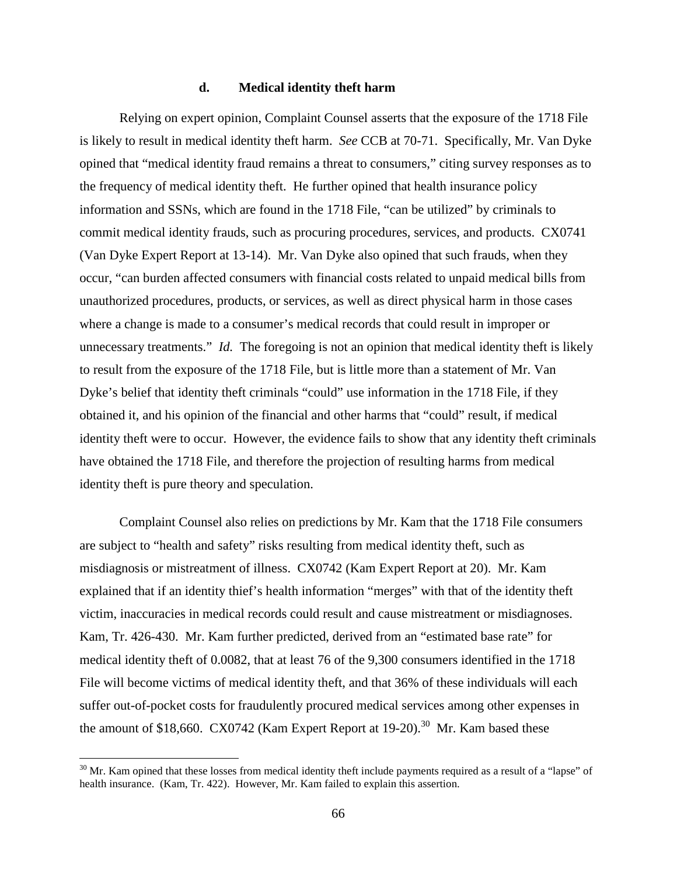#### **d. Medical identity theft harm**

Relying on expert opinion, Complaint Counsel asserts that the exposure of the 1718 File is likely to result in medical identity theft harm. *See* CCB at 70-71. Specifically, Mr. Van Dyke opined that "medical identity fraud remains a threat to consumers," citing survey responses as to the frequency of medical identity theft. He further opined that health insurance policy information and SSNs, which are found in the 1718 File, "can be utilized" by criminals to commit medical identity frauds, such as procuring procedures, services, and products. CX0741 (Van Dyke Expert Report at 13-14). Mr. Van Dyke also opined that such frauds, when they occur, "can burden affected consumers with financial costs related to unpaid medical bills from unauthorized procedures, products, or services, as well as direct physical harm in those cases where a change is made to a consumer's medical records that could result in improper or unnecessary treatments." *Id.* The foregoing is not an opinion that medical identity theft is likely to result from the exposure of the 1718 File, but is little more than a statement of Mr. Van Dyke's belief that identity theft criminals "could" use information in the 1718 File, if they obtained it, and his opinion of the financial and other harms that "could" result, if medical identity theft were to occur. However, the evidence fails to show that any identity theft criminals have obtained the 1718 File, and therefore the projection of resulting harms from medical identity theft is pure theory and speculation.

Complaint Counsel also relies on predictions by Mr. Kam that the 1718 File consumers are subject to "health and safety" risks resulting from medical identity theft, such as misdiagnosis or mistreatment of illness. CX0742 (Kam Expert Report at 20). Mr. Kam explained that if an identity thief's health information "merges" with that of the identity theft victim, inaccuracies in medical records could result and cause mistreatment or misdiagnoses. Kam, Tr. 426-430. Mr. Kam further predicted, derived from an "estimated base rate" for medical identity theft of 0.0082, that at least 76 of the 9,300 consumers identified in the 1718 File will become victims of medical identity theft, and that 36% of these individuals will each suffer out-of-pocket costs for fraudulently procured medical services among other expenses in the amount of \$18,660. CX0742 (Kam Expert Report at  $19-20$ ).<sup>30</sup> Mr. Kam based these

 $30$  Mr. Kam opined that these losses from medical identity theft include payments required as a result of a "lapse" of health insurance. (Kam, Tr. 422). However, Mr. Kam failed to explain this assertion.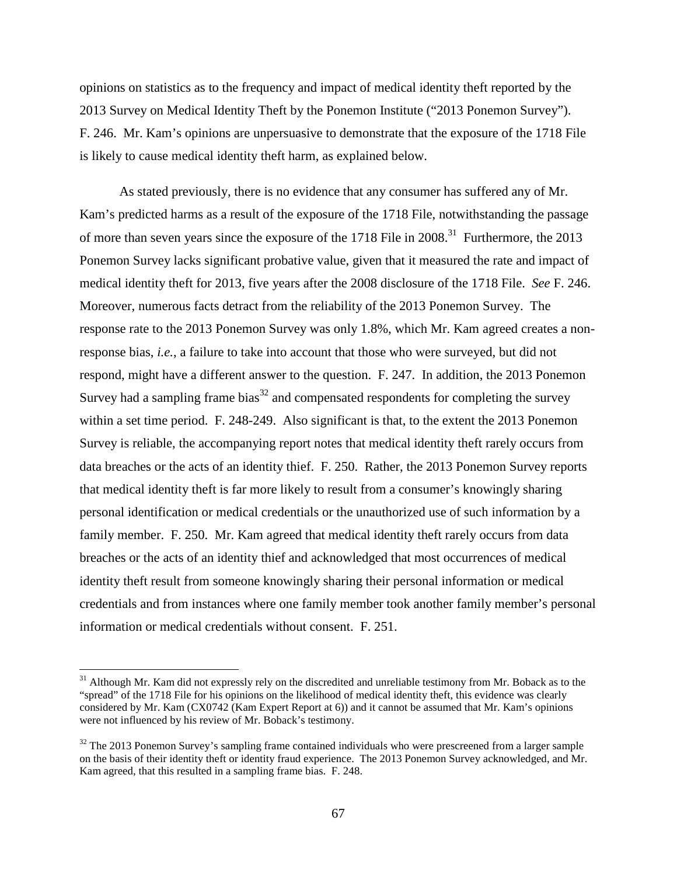opinions on statistics as to the frequency and impact of medical identity theft reported by the 2013 Survey on Medical Identity Theft by the Ponemon Institute ("2013 Ponemon Survey"). F. 246. Mr. Kam's opinions are unpersuasive to demonstrate that the exposure of the 1718 File is likely to cause medical identity theft harm, as explained below.

As stated previously, there is no evidence that any consumer has suffered any of Mr. Kam's predicted harms as a result of the exposure of the 1718 File, notwithstanding the passage of more than seven years since the exposure of the 1718 File in 2008.<sup>31</sup> Furthermore, the 2013 Ponemon Survey lacks significant probative value, given that it measured the rate and impact of medical identity theft for 2013, five years after the 2008 disclosure of the 1718 File. *See* F. 246. Moreover, numerous facts detract from the reliability of the 2013 Ponemon Survey. The response rate to the 2013 Ponemon Survey was only 1.8%, which Mr. Kam agreed creates a nonresponse bias, *i.e.*, a failure to take into account that those who were surveyed, but did not respond, might have a different answer to the question. F. 247. In addition, the 2013 Ponemon Survey had a sampling frame bias<sup>32</sup> and compensated respondents for completing the survey within a set time period. F. 248-249. Also significant is that, to the extent the 2013 Ponemon Survey is reliable, the accompanying report notes that medical identity theft rarely occurs from data breaches or the acts of an identity thief. F. 250. Rather, the 2013 Ponemon Survey reports that medical identity theft is far more likely to result from a consumer's knowingly sharing personal identification or medical credentials or the unauthorized use of such information by a family member. F. 250. Mr. Kam agreed that medical identity theft rarely occurs from data breaches or the acts of an identity thief and acknowledged that most occurrences of medical identity theft result from someone knowingly sharing their personal information or medical credentials and from instances where one family member took another family member's personal information or medical credentials without consent. F. 251.

<sup>&</sup>lt;sup>31</sup> Although Mr. Kam did not expressly rely on the discredited and unreliable testimony from Mr. Boback as to the "spread" of the 1718 File for his opinions on the likelihood of medical identity theft, this evidence was clearly considered by Mr. Kam (CX0742 (Kam Expert Report at 6)) and it cannot be assumed that Mr. Kam's opinions were not influenced by his review of Mr. Boback's testimony.

<sup>&</sup>lt;sup>32</sup> The 2013 Ponemon Survey's sampling frame contained individuals who were prescreened from a larger sample on the basis of their identity theft or identity fraud experience. The 2013 Ponemon Survey acknowledged, and Mr. Kam agreed, that this resulted in a sampling frame bias. F. 248.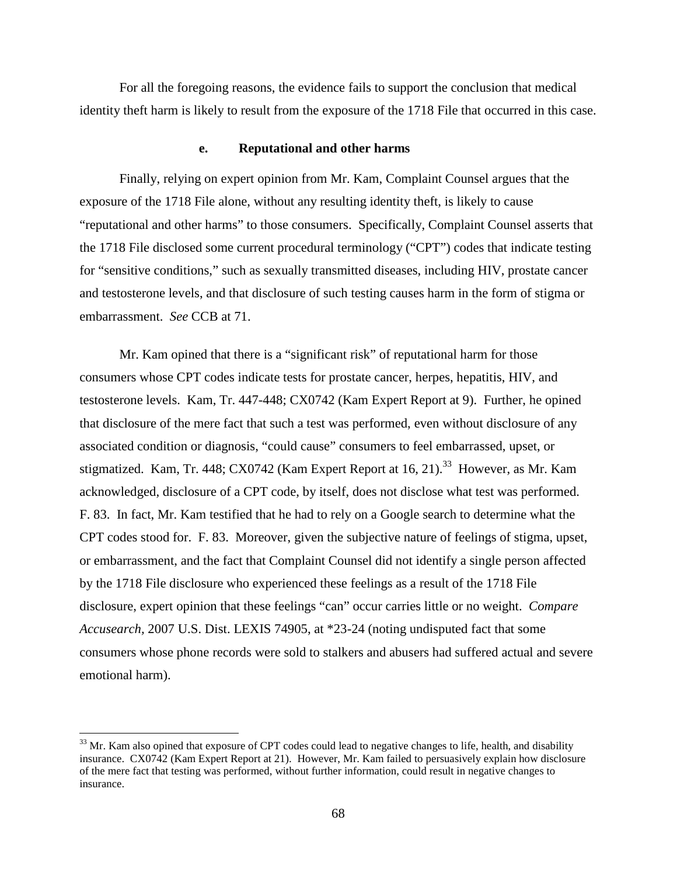For all the foregoing reasons, the evidence fails to support the conclusion that medical identity theft harm is likely to result from the exposure of the 1718 File that occurred in this case.

#### **e. Reputational and other harms**

Finally, relying on expert opinion from Mr. Kam, Complaint Counsel argues that the exposure of the 1718 File alone, without any resulting identity theft, is likely to cause "reputational and other harms" to those consumers. Specifically, Complaint Counsel asserts that the 1718 File disclosed some current procedural terminology ("CPT") codes that indicate testing for "sensitive conditions," such as sexually transmitted diseases, including HIV, prostate cancer and testosterone levels, and that disclosure of such testing causes harm in the form of stigma or embarrassment. *See* CCB at 71.

Mr. Kam opined that there is a "significant risk" of reputational harm for those consumers whose CPT codes indicate tests for prostate cancer, herpes, hepatitis, HIV, and testosterone levels. Kam, Tr. 447-448; CX0742 (Kam Expert Report at 9). Further, he opined that disclosure of the mere fact that such a test was performed, even without disclosure of any associated condition or diagnosis, "could cause" consumers to feel embarrassed, upset, or stigmatized. Kam, Tr. 448; CX0742 (Kam Expert Report at 16, 21).<sup>33</sup> However, as Mr. Kam acknowledged, disclosure of a CPT code, by itself, does not disclose what test was performed. F. 83. In fact, Mr. Kam testified that he had to rely on a Google search to determine what the CPT codes stood for. F. 83. Moreover, given the subjective nature of feelings of stigma, upset, or embarrassment, and the fact that Complaint Counsel did not identify a single person affected by the 1718 File disclosure who experienced these feelings as a result of the 1718 File disclosure, expert opinion that these feelings "can" occur carries little or no weight. *Compare Accusearch,* 2007 U.S. Dist. LEXIS 74905, at \*23-24 (noting undisputed fact that some consumers whose phone records were sold to stalkers and abusers had suffered actual and severe emotional harm).

 $33$  Mr. Kam also opined that exposure of CPT codes could lead to negative changes to life, health, and disability insurance. CX0742 (Kam Expert Report at 21). However, Mr. Kam failed to persuasively explain how disclosure of the mere fact that testing was performed, without further information, could result in negative changes to insurance.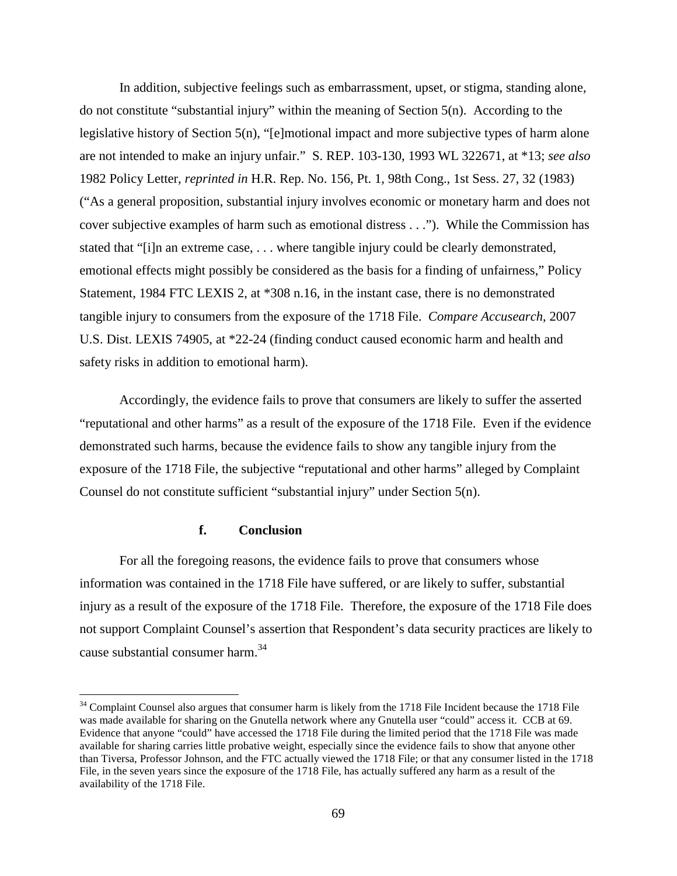In addition, subjective feelings such as embarrassment, upset, or stigma, standing alone, do not constitute "substantial injury" within the meaning of Section 5(n). According to the legislative history of Section 5(n), "[e]motional impact and more subjective types of harm alone are not intended to make an injury unfair." S. REP. 103-130, 1993 WL 322671, at \*13; *see also*  1982 Policy Letter, *reprinted in* H.R. Rep. No. 156, Pt. 1, 98th Cong., 1st Sess. 27, 32 (1983) ("As a general proposition, substantial injury involves economic or monetary harm and does not cover subjective examples of harm such as emotional distress . . ."). While the Commission has stated that "[i]n an extreme case, . . . where tangible injury could be clearly demonstrated, emotional effects might possibly be considered as the basis for a finding of unfairness," Policy Statement, 1984 FTC LEXIS 2, at \*308 n.16, in the instant case, there is no demonstrated tangible injury to consumers from the exposure of the 1718 File. *Compare Accusearch*, 2007 U.S. Dist. LEXIS 74905, at \*22-24 (finding conduct caused economic harm and health and safety risks in addition to emotional harm).

Accordingly, the evidence fails to prove that consumers are likely to suffer the asserted "reputational and other harms" as a result of the exposure of the 1718 File. Even if the evidence demonstrated such harms, because the evidence fails to show any tangible injury from the exposure of the 1718 File, the subjective "reputational and other harms" alleged by Complaint Counsel do not constitute sufficient "substantial injury" under Section 5(n).

### **f. Conclusion**

For all the foregoing reasons, the evidence fails to prove that consumers whose information was contained in the 1718 File have suffered, or are likely to suffer, substantial injury as a result of the exposure of the 1718 File. Therefore, the exposure of the 1718 File does not support Complaint Counsel's assertion that Respondent's data security practices are likely to cause substantial consumer harm.<sup>34</sup>

 $34$  Complaint Counsel also argues that consumer harm is likely from the 1718 File Incident because the 1718 File was made available for sharing on the Gnutella network where any Gnutella user "could" access it. CCB at 69. Evidence that anyone "could" have accessed the 1718 File during the limited period that the 1718 File was made available for sharing carries little probative weight, especially since the evidence fails to show that anyone other than Tiversa, Professor Johnson, and the FTC actually viewed the 1718 File; or that any consumer listed in the 1718 File, in the seven years since the exposure of the 1718 File, has actually suffered any harm as a result of the availability of the 1718 File.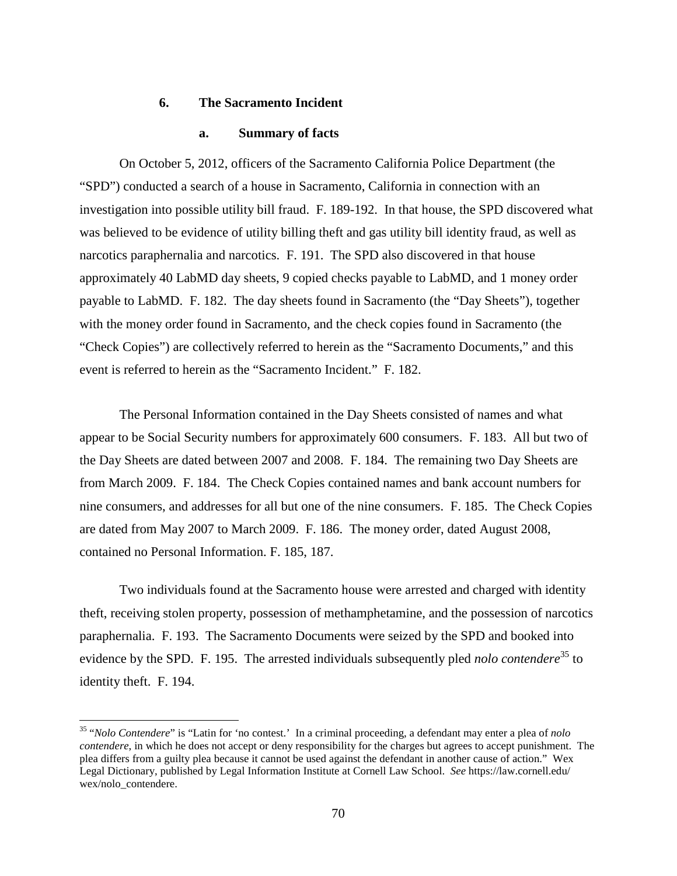## **6. The Sacramento Incident**

## **a. Summary of facts**

On October 5, 2012, officers of the Sacramento California Police Department (the "SPD") conducted a search of a house in Sacramento, California in connection with an investigation into possible utility bill fraud. F. 189-192. In that house, the SPD discovered what was believed to be evidence of utility billing theft and gas utility bill identity fraud, as well as narcotics paraphernalia and narcotics. F. 191. The SPD also discovered in that house approximately 40 LabMD day sheets, 9 copied checks payable to LabMD, and 1 money order payable to LabMD. F. 182. The day sheets found in Sacramento (the "Day Sheets"), together with the money order found in Sacramento, and the check copies found in Sacramento (the "Check Copies") are collectively referred to herein as the "Sacramento Documents," and this event is referred to herein as the "Sacramento Incident." F. 182.

The Personal Information contained in the Day Sheets consisted of names and what appear to be Social Security numbers for approximately 600 consumers. F. 183. All but two of the Day Sheets are dated between 2007 and 2008. F. 184. The remaining two Day Sheets are from March 2009. F. 184. The Check Copies contained names and bank account numbers for nine consumers, and addresses for all but one of the nine consumers. F. 185. The Check Copies are dated from May 2007 to March 2009. F. 186. The money order, dated August 2008, contained no Personal Information. F. 185, 187.

Two individuals found at the Sacramento house were arrested and charged with identity theft, receiving stolen property, possession of methamphetamine, and the possession of narcotics paraphernalia. F. 193. The Sacramento Documents were seized by the SPD and booked into evidence by the SPD. F. 195. The arrested individuals subsequently pled *nolo contendere*<sup>35</sup> to identity theft. F. 194.

 <sup>35</sup> "*Nolo Contendere*" is "Latin for 'no contest.' In a criminal proceeding, a defendant may enter a plea of *nolo contendere*, in which he does not accept or deny responsibility for the charges but agrees to accept punishment. The plea differs from a guilty plea because it cannot be used against the defendant in another cause of action." Wex Legal Dictionary, published by Legal Information Institute at Cornell Law School. *See* https://law.cornell.edu/ wex/nolo\_contendere.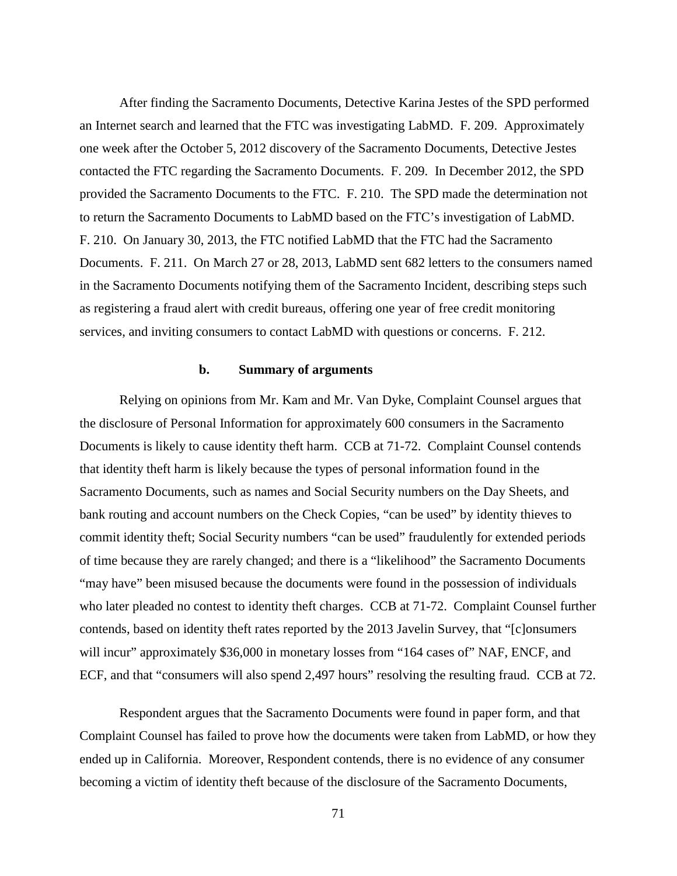After finding the Sacramento Documents, Detective Karina Jestes of the SPD performed an Internet search and learned that the FTC was investigating LabMD. F. 209. Approximately one week after the October 5, 2012 discovery of the Sacramento Documents, Detective Jestes contacted the FTC regarding the Sacramento Documents. F. 209. In December 2012, the SPD provided the Sacramento Documents to the FTC. F. 210. The SPD made the determination not to return the Sacramento Documents to LabMD based on the FTC's investigation of LabMD. F. 210. On January 30, 2013, the FTC notified LabMD that the FTC had the Sacramento Documents. F. 211. On March 27 or 28, 2013, LabMD sent 682 letters to the consumers named in the Sacramento Documents notifying them of the Sacramento Incident, describing steps such as registering a fraud alert with credit bureaus, offering one year of free credit monitoring services, and inviting consumers to contact LabMD with questions or concerns. F. 212.

#### **b. Summary of arguments**

Relying on opinions from Mr. Kam and Mr. Van Dyke, Complaint Counsel argues that the disclosure of Personal Information for approximately 600 consumers in the Sacramento Documents is likely to cause identity theft harm. CCB at 71-72. Complaint Counsel contends that identity theft harm is likely because the types of personal information found in the Sacramento Documents, such as names and Social Security numbers on the Day Sheets, and bank routing and account numbers on the Check Copies, "can be used" by identity thieves to commit identity theft; Social Security numbers "can be used" fraudulently for extended periods of time because they are rarely changed; and there is a "likelihood" the Sacramento Documents "may have" been misused because the documents were found in the possession of individuals who later pleaded no contest to identity theft charges. CCB at 71-72. Complaint Counsel further contends, based on identity theft rates reported by the 2013 Javelin Survey, that "[c]onsumers will incur" approximately \$36,000 in monetary losses from "164 cases of" NAF, ENCF, and ECF, and that "consumers will also spend 2,497 hours" resolving the resulting fraud. CCB at 72.

Respondent argues that the Sacramento Documents were found in paper form, and that Complaint Counsel has failed to prove how the documents were taken from LabMD, or how they ended up in California. Moreover, Respondent contends, there is no evidence of any consumer becoming a victim of identity theft because of the disclosure of the Sacramento Documents,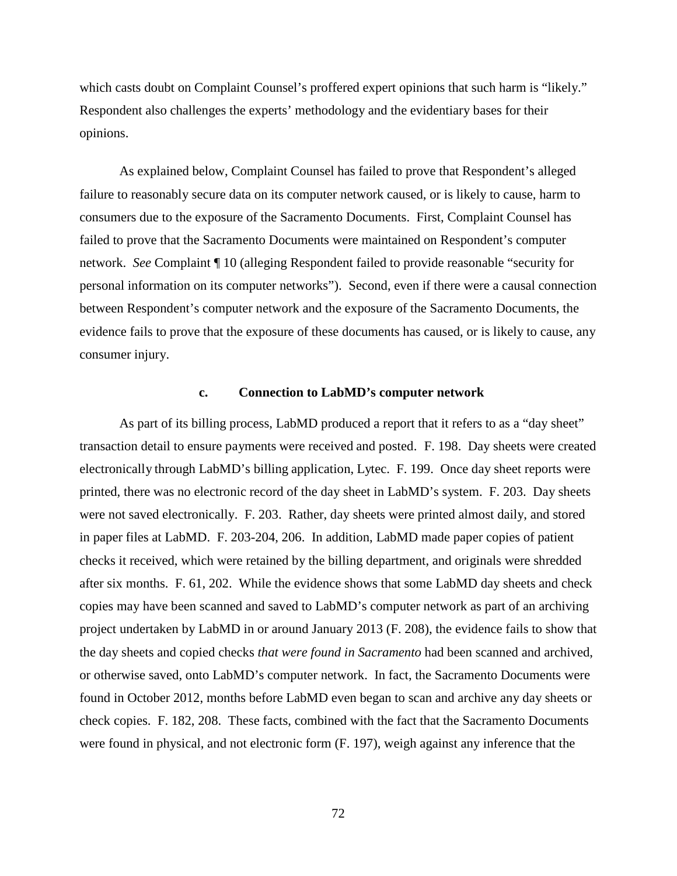which casts doubt on Complaint Counsel's proffered expert opinions that such harm is "likely." Respondent also challenges the experts' methodology and the evidentiary bases for their opinions.

As explained below, Complaint Counsel has failed to prove that Respondent's alleged failure to reasonably secure data on its computer network caused, or is likely to cause, harm to consumers due to the exposure of the Sacramento Documents. First, Complaint Counsel has failed to prove that the Sacramento Documents were maintained on Respondent's computer network. *See* Complaint ¶ 10 (alleging Respondent failed to provide reasonable "security for personal information on its computer networks"). Second, even if there were a causal connection between Respondent's computer network and the exposure of the Sacramento Documents, the evidence fails to prove that the exposure of these documents has caused, or is likely to cause, any consumer injury.

#### **c. Connection to LabMD's computer network**

As part of its billing process, LabMD produced a report that it refers to as a "day sheet" transaction detail to ensure payments were received and posted. F. 198. Day sheets were created electronically through LabMD's billing application, Lytec. F. 199. Once day sheet reports were printed, there was no electronic record of the day sheet in LabMD's system. F. 203. Day sheets were not saved electronically. F. 203. Rather, day sheets were printed almost daily, and stored in paper files at LabMD. F. 203-204, 206. In addition, LabMD made paper copies of patient checks it received, which were retained by the billing department, and originals were shredded after six months. F. 61, 202. While the evidence shows that some LabMD day sheets and check copies may have been scanned and saved to LabMD's computer network as part of an archiving project undertaken by LabMD in or around January 2013 (F. 208), the evidence fails to show that the day sheets and copied checks *that were found in Sacramento* had been scanned and archived, or otherwise saved, onto LabMD's computer network. In fact, the Sacramento Documents were found in October 2012, months before LabMD even began to scan and archive any day sheets or check copies. F. 182, 208. These facts, combined with the fact that the Sacramento Documents were found in physical, and not electronic form (F. 197), weigh against any inference that the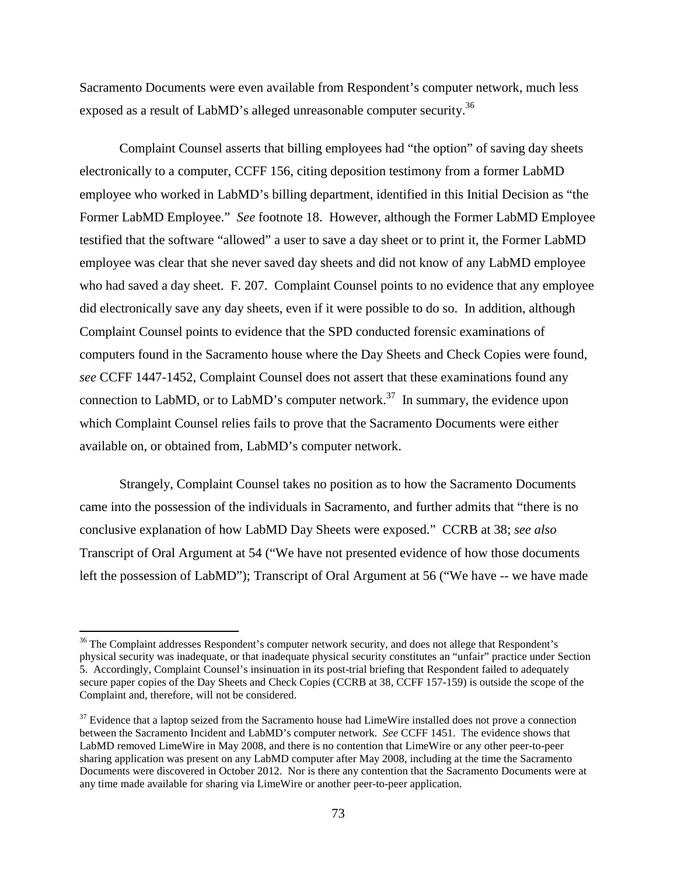Sacramento Documents were even available from Respondent's computer network, much less exposed as a result of LabMD's alleged unreasonable computer security.<sup>36</sup>

Complaint Counsel asserts that billing employees had "the option" of saving day sheets electronically to a computer, CCFF 156, citing deposition testimony from a former LabMD employee who worked in LabMD's billing department, identified in this Initial Decision as "the Former LabMD Employee." *See* footnote 18. However, although the Former LabMD Employee testified that the software "allowed" a user to save a day sheet or to print it, the Former LabMD employee was clear that she never saved day sheets and did not know of any LabMD employee who had saved a day sheet. F. 207. Complaint Counsel points to no evidence that any employee did electronically save any day sheets, even if it were possible to do so. In addition, although Complaint Counsel points to evidence that the SPD conducted forensic examinations of computers found in the Sacramento house where the Day Sheets and Check Copies were found, *see* CCFF 1447-1452, Complaint Counsel does not assert that these examinations found any connection to LabMD, or to LabMD's computer network.<sup>37</sup> In summary, the evidence upon which Complaint Counsel relies fails to prove that the Sacramento Documents were either available on, or obtained from, LabMD's computer network.

Strangely, Complaint Counsel takes no position as to how the Sacramento Documents came into the possession of the individuals in Sacramento, and further admits that "there is no conclusive explanation of how LabMD Day Sheets were exposed." CCRB at 38; *see also*  Transcript of Oral Argument at 54 ("We have not presented evidence of how those documents left the possession of LabMD"); Transcript of Oral Argument at 56 ("We have -- we have made

<sup>&</sup>lt;sup>36</sup> The Complaint addresses Respondent's computer network security, and does not allege that Respondent's physical security was inadequate, or that inadequate physical security constitutes an "unfair" practice under Section 5. Accordingly, Complaint Counsel's insinuation in its post-trial briefing that Respondent failed to adequately secure paper copies of the Day Sheets and Check Copies (CCRB at 38, CCFF 157-159) is outside the scope of the Complaint and, therefore, will not be considered.

<sup>&</sup>lt;sup>37</sup> Evidence that a laptop seized from the Sacramento house had LimeWire installed does not prove a connection between the Sacramento Incident and LabMD's computer network. *See* CCFF 1451. The evidence shows that LabMD removed LimeWire in May 2008, and there is no contention that LimeWire or any other peer-to-peer sharing application was present on any LabMD computer after May 2008, including at the time the Sacramento Documents were discovered in October 2012. Nor is there any contention that the Sacramento Documents were at any time made available for sharing via LimeWire or another peer-to-peer application.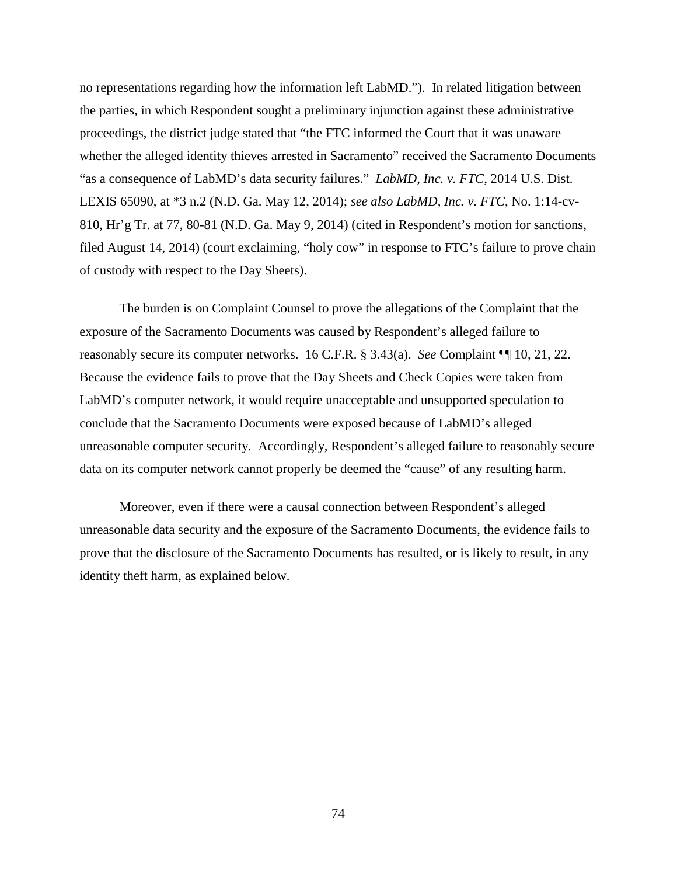no representations regarding how the information left LabMD."). In related litigation between the parties, in which Respondent sought a preliminary injunction against these administrative proceedings, the district judge stated that "the FTC informed the Court that it was unaware whether the alleged identity thieves arrested in Sacramento" received the Sacramento Documents "as a consequence of LabMD's data security failures." *LabMD, Inc. v. FTC*, 2014 U.S. Dist. LEXIS 65090, at \*3 n.2 (N.D. Ga. May 12, 2014); *see also LabMD, Inc. v. FTC*, No. 1:14-cv-810, Hr'g Tr. at 77, 80-81 (N.D. Ga. May 9, 2014) (cited in Respondent's motion for sanctions, filed August 14, 2014) (court exclaiming, "holy cow" in response to FTC's failure to prove chain of custody with respect to the Day Sheets).

The burden is on Complaint Counsel to prove the allegations of the Complaint that the exposure of the Sacramento Documents was caused by Respondent's alleged failure to reasonably secure its computer networks. 16 C.F.R. § 3.43(a). *See* Complaint ¶¶ 10, 21, 22. Because the evidence fails to prove that the Day Sheets and Check Copies were taken from LabMD's computer network, it would require unacceptable and unsupported speculation to conclude that the Sacramento Documents were exposed because of LabMD's alleged unreasonable computer security. Accordingly, Respondent's alleged failure to reasonably secure data on its computer network cannot properly be deemed the "cause" of any resulting harm.

Moreover, even if there were a causal connection between Respondent's alleged unreasonable data security and the exposure of the Sacramento Documents, the evidence fails to prove that the disclosure of the Sacramento Documents has resulted, or is likely to result, in any identity theft harm, as explained below.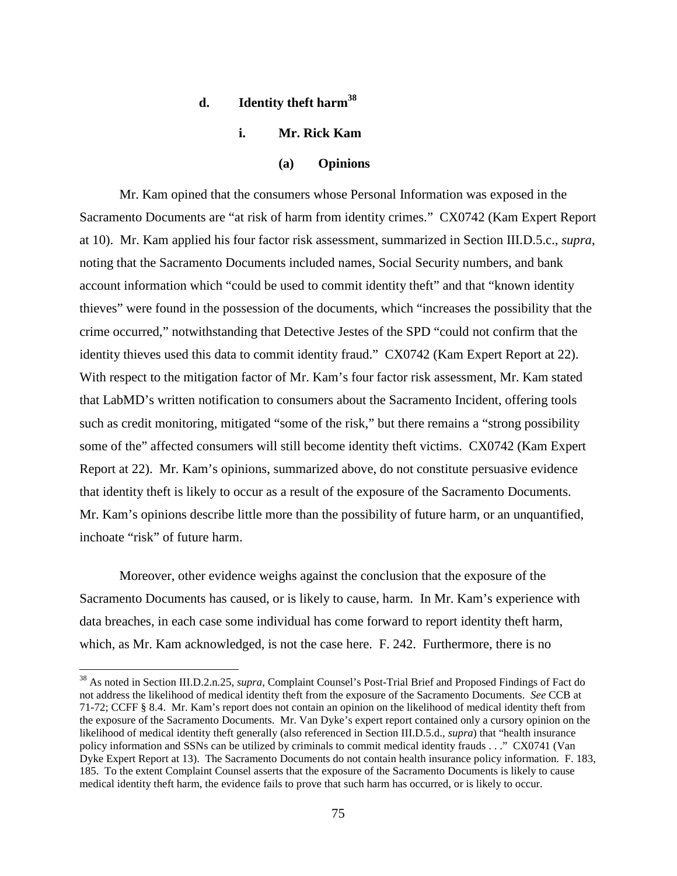# **d. Identity theft harm38**

# **i. Mr. Rick Kam**

#### **(a) Opinions**

Mr. Kam opined that the consumers whose Personal Information was exposed in the Sacramento Documents are "at risk of harm from identity crimes." CX0742 (Kam Expert Report at 10). Mr. Kam applied his four factor risk assessment, summarized in Section III.D.5.c., *supra*, noting that the Sacramento Documents included names, Social Security numbers, and bank account information which "could be used to commit identity theft" and that "known identity thieves" were found in the possession of the documents, which "increases the possibility that the crime occurred," notwithstanding that Detective Jestes of the SPD "could not confirm that the identity thieves used this data to commit identity fraud." CX0742 (Kam Expert Report at 22). With respect to the mitigation factor of Mr. Kam's four factor risk assessment, Mr. Kam stated that LabMD's written notification to consumers about the Sacramento Incident, offering tools such as credit monitoring, mitigated "some of the risk," but there remains a "strong possibility some of the" affected consumers will still become identity theft victims. CX0742 (Kam Expert Report at 22). Mr. Kam's opinions, summarized above, do not constitute persuasive evidence that identity theft is likely to occur as a result of the exposure of the Sacramento Documents. Mr. Kam's opinions describe little more than the possibility of future harm, or an unquantified, inchoate "risk" of future harm.

Moreover, other evidence weighs against the conclusion that the exposure of the Sacramento Documents has caused, or is likely to cause, harm. In Mr. Kam's experience with data breaches, in each case some individual has come forward to report identity theft harm, which, as Mr. Kam acknowledged, is not the case here. F. 242. Furthermore, there is no

 <sup>38</sup> As noted in Section III.D.2.n.25, *supra*, Complaint Counsel's Post-Trial Brief and Proposed Findings of Fact do not address the likelihood of medical identity theft from the exposure of the Sacramento Documents. *See* CCB at 71-72; CCFF § 8.4. Mr. Kam's report does not contain an opinion on the likelihood of medical identity theft from the exposure of the Sacramento Documents. Mr. Van Dyke's expert report contained only a cursory opinion on the likelihood of medical identity theft generally (also referenced in Section III.D.5.d., *supra*) that "health insurance policy information and SSNs can be utilized by criminals to commit medical identity frauds . . ." CX0741 (Van Dyke Expert Report at 13). The Sacramento Documents do not contain health insurance policy information. F. 183, 185. To the extent Complaint Counsel asserts that the exposure of the Sacramento Documents is likely to cause medical identity theft harm, the evidence fails to prove that such harm has occurred, or is likely to occur.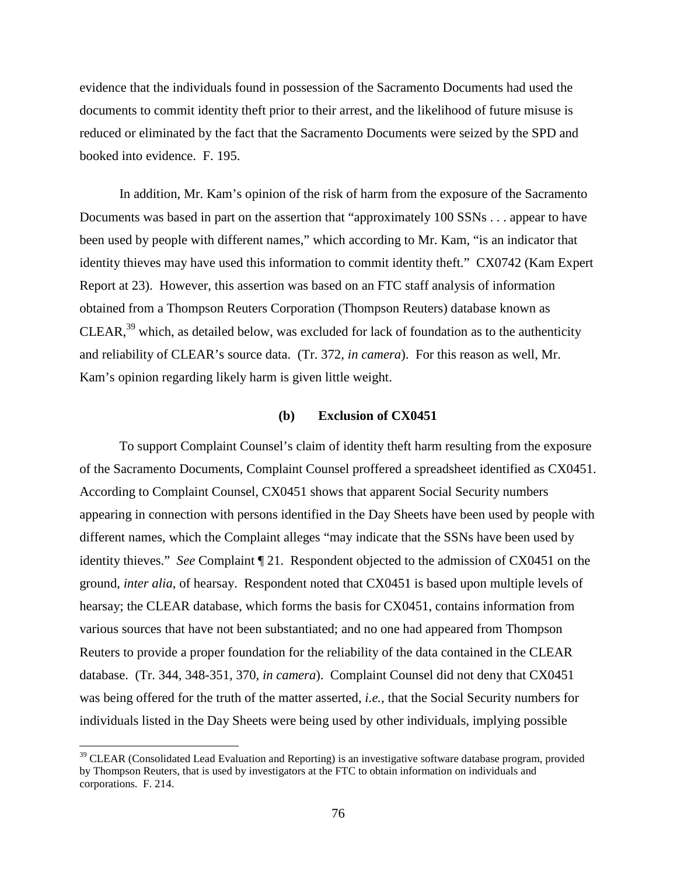evidence that the individuals found in possession of the Sacramento Documents had used the documents to commit identity theft prior to their arrest, and the likelihood of future misuse is reduced or eliminated by the fact that the Sacramento Documents were seized by the SPD and booked into evidence. F. 195.

In addition, Mr. Kam's opinion of the risk of harm from the exposure of the Sacramento Documents was based in part on the assertion that "approximately 100 SSNs . . . appear to have been used by people with different names," which according to Mr. Kam, "is an indicator that identity thieves may have used this information to commit identity theft." CX0742 (Kam Expert Report at 23). However, this assertion was based on an FTC staff analysis of information obtained from a Thompson Reuters Corporation (Thompson Reuters) database known as CLEAR,  $39$  which, as detailed below, was excluded for lack of foundation as to the authenticity and reliability of CLEAR's source data. (Tr. 372, *in camera*). For this reason as well, Mr. Kam's opinion regarding likely harm is given little weight.

#### **(b) Exclusion of CX0451**

To support Complaint Counsel's claim of identity theft harm resulting from the exposure of the Sacramento Documents, Complaint Counsel proffered a spreadsheet identified as CX0451. According to Complaint Counsel, CX0451 shows that apparent Social Security numbers appearing in connection with persons identified in the Day Sheets have been used by people with different names, which the Complaint alleges "may indicate that the SSNs have been used by identity thieves." *See* Complaint ¶ 21. Respondent objected to the admission of CX0451 on the ground, *inter alia*, of hearsay. Respondent noted that CX0451 is based upon multiple levels of hearsay; the CLEAR database, which forms the basis for CX0451, contains information from various sources that have not been substantiated; and no one had appeared from Thompson Reuters to provide a proper foundation for the reliability of the data contained in the CLEAR database. (Tr. 344, 348-351, 370, *in camera*). Complaint Counsel did not deny that CX0451 was being offered for the truth of the matter asserted, *i.e.*, that the Social Security numbers for individuals listed in the Day Sheets were being used by other individuals, implying possible

<sup>&</sup>lt;sup>39</sup> CLEAR (Consolidated Lead Evaluation and Reporting) is an investigative software database program, provided by Thompson Reuters, that is used by investigators at the FTC to obtain information on individuals and corporations. F. 214.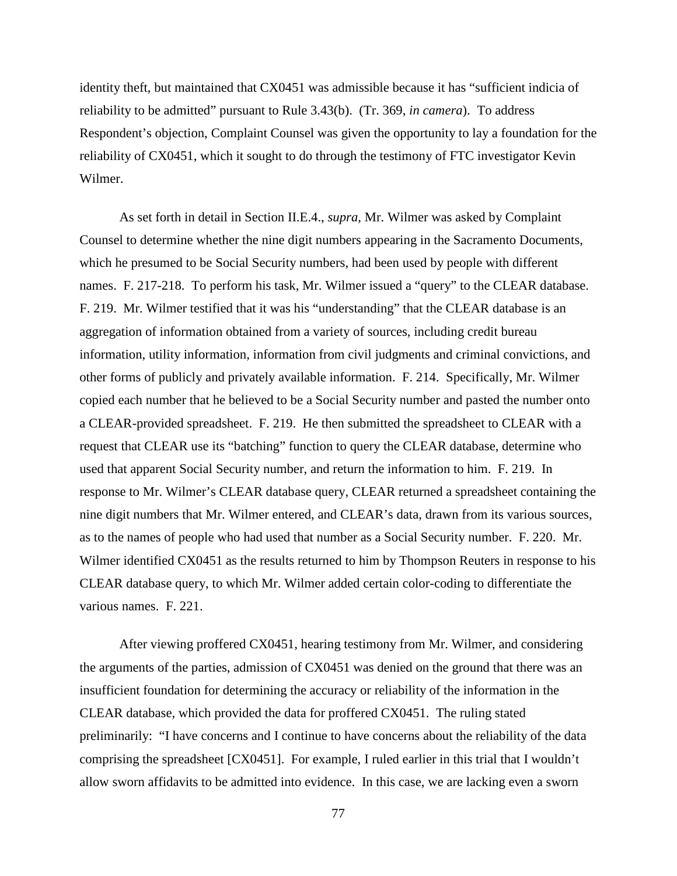identity theft, but maintained that CX0451 was admissible because it has "sufficient indicia of reliability to be admitted" pursuant to Rule 3.43(b). (Tr. 369, *in camera*). To address Respondent's objection, Complaint Counsel was given the opportunity to lay a foundation for the reliability of CX0451, which it sought to do through the testimony of FTC investigator Kevin Wilmer.

As set forth in detail in Section II.E.4., *supra*, Mr. Wilmer was asked by Complaint Counsel to determine whether the nine digit numbers appearing in the Sacramento Documents, which he presumed to be Social Security numbers, had been used by people with different names. F. 217-218. To perform his task, Mr. Wilmer issued a "query" to the CLEAR database. F. 219. Mr. Wilmer testified that it was his "understanding" that the CLEAR database is an aggregation of information obtained from a variety of sources, including credit bureau information, utility information, information from civil judgments and criminal convictions, and other forms of publicly and privately available information. F. 214. Specifically, Mr. Wilmer copied each number that he believed to be a Social Security number and pasted the number onto a CLEAR-provided spreadsheet. F. 219. He then submitted the spreadsheet to CLEAR with a request that CLEAR use its "batching" function to query the CLEAR database, determine who used that apparent Social Security number, and return the information to him. F. 219. In response to Mr. Wilmer's CLEAR database query, CLEAR returned a spreadsheet containing the nine digit numbers that Mr. Wilmer entered, and CLEAR's data, drawn from its various sources, as to the names of people who had used that number as a Social Security number. F. 220. Mr. Wilmer identified CX0451 as the results returned to him by Thompson Reuters in response to his CLEAR database query, to which Mr. Wilmer added certain color-coding to differentiate the various names. F. 221.

After viewing proffered CX0451, hearing testimony from Mr. Wilmer, and considering the arguments of the parties, admission of CX0451 was denied on the ground that there was an insufficient foundation for determining the accuracy or reliability of the information in the CLEAR database, which provided the data for proffered CX0451. The ruling stated preliminarily: "I have concerns and I continue to have concerns about the reliability of the data comprising the spreadsheet [CX0451]. For example, I ruled earlier in this trial that I wouldn't allow sworn affidavits to be admitted into evidence. In this case, we are lacking even a sworn

77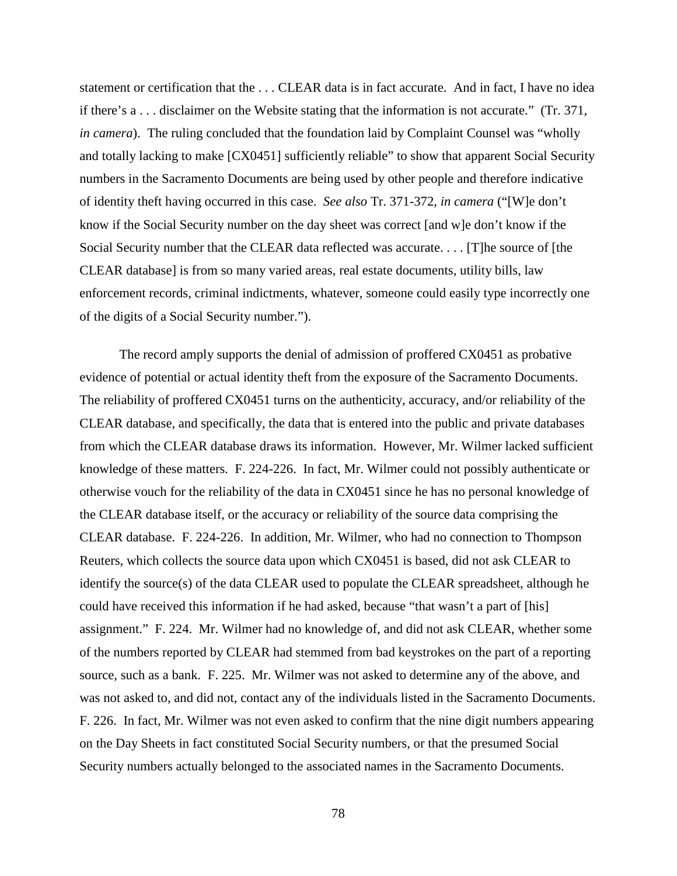statement or certification that the . . . CLEAR data is in fact accurate. And in fact, I have no idea if there's a . . . disclaimer on the Website stating that the information is not accurate." (Tr. 371, *in camera*). The ruling concluded that the foundation laid by Complaint Counsel was "wholly and totally lacking to make [CX0451] sufficiently reliable" to show that apparent Social Security numbers in the Sacramento Documents are being used by other people and therefore indicative of identity theft having occurred in this case. *See also* Tr. 371-372, *in camera* ("[W]e don't know if the Social Security number on the day sheet was correct [and w]e don't know if the Social Security number that the CLEAR data reflected was accurate. . . . [T]he source of [the CLEAR database] is from so many varied areas, real estate documents, utility bills, law enforcement records, criminal indictments, whatever, someone could easily type incorrectly one of the digits of a Social Security number.").

The record amply supports the denial of admission of proffered CX0451 as probative evidence of potential or actual identity theft from the exposure of the Sacramento Documents. The reliability of proffered CX0451 turns on the authenticity, accuracy, and/or reliability of the CLEAR database, and specifically, the data that is entered into the public and private databases from which the CLEAR database draws its information. However, Mr. Wilmer lacked sufficient knowledge of these matters. F. 224-226. In fact, Mr. Wilmer could not possibly authenticate or otherwise vouch for the reliability of the data in CX0451 since he has no personal knowledge of the CLEAR database itself, or the accuracy or reliability of the source data comprising the CLEAR database. F. 224-226. In addition, Mr. Wilmer, who had no connection to Thompson Reuters, which collects the source data upon which CX0451 is based, did not ask CLEAR to identify the source(s) of the data CLEAR used to populate the CLEAR spreadsheet, although he could have received this information if he had asked, because "that wasn't a part of [his] assignment." F. 224. Mr. Wilmer had no knowledge of, and did not ask CLEAR, whether some of the numbers reported by CLEAR had stemmed from bad keystrokes on the part of a reporting source, such as a bank. F. 225. Mr. Wilmer was not asked to determine any of the above, and was not asked to, and did not, contact any of the individuals listed in the Sacramento Documents. F. 226. In fact, Mr. Wilmer was not even asked to confirm that the nine digit numbers appearing on the Day Sheets in fact constituted Social Security numbers, or that the presumed Social Security numbers actually belonged to the associated names in the Sacramento Documents.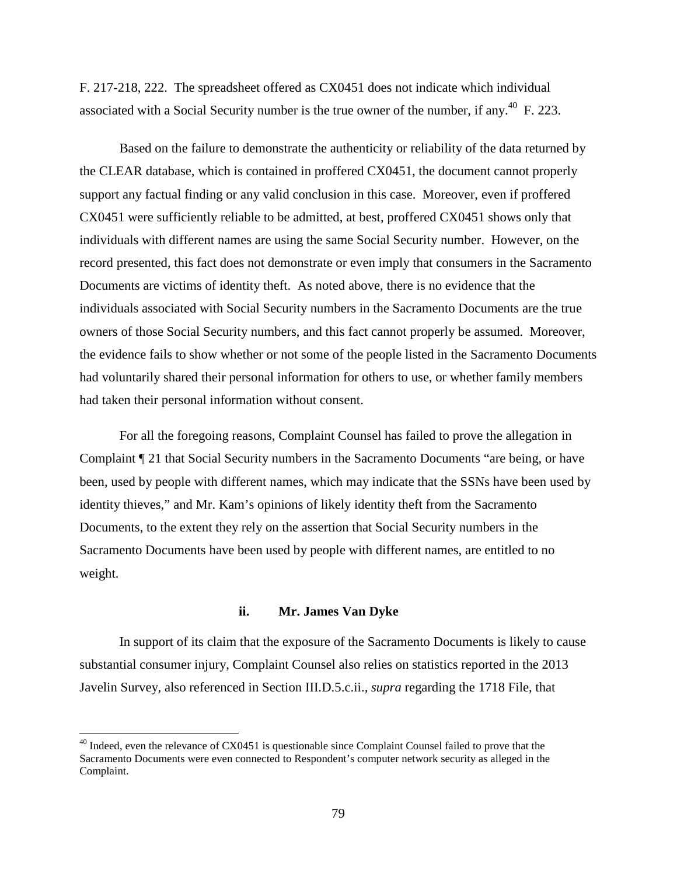F. 217-218, 222. The spreadsheet offered as CX0451 does not indicate which individual associated with a Social Security number is the true owner of the number, if any.<sup>40</sup> F. 223.

Based on the failure to demonstrate the authenticity or reliability of the data returned by the CLEAR database, which is contained in proffered CX0451, the document cannot properly support any factual finding or any valid conclusion in this case. Moreover, even if proffered CX0451 were sufficiently reliable to be admitted, at best, proffered CX0451 shows only that individuals with different names are using the same Social Security number. However, on the record presented, this fact does not demonstrate or even imply that consumers in the Sacramento Documents are victims of identity theft. As noted above, there is no evidence that the individuals associated with Social Security numbers in the Sacramento Documents are the true owners of those Social Security numbers, and this fact cannot properly be assumed. Moreover, the evidence fails to show whether or not some of the people listed in the Sacramento Documents had voluntarily shared their personal information for others to use, or whether family members had taken their personal information without consent.

For all the foregoing reasons, Complaint Counsel has failed to prove the allegation in Complaint ¶ 21 that Social Security numbers in the Sacramento Documents "are being, or have been, used by people with different names, which may indicate that the SSNs have been used by identity thieves," and Mr. Kam's opinions of likely identity theft from the Sacramento Documents, to the extent they rely on the assertion that Social Security numbers in the Sacramento Documents have been used by people with different names, are entitled to no weight.

#### **ii. Mr. James Van Dyke**

In support of its claim that the exposure of the Sacramento Documents is likely to cause substantial consumer injury, Complaint Counsel also relies on statistics reported in the 2013 Javelin Survey, also referenced in Section III.D.5.c.ii., *supra* regarding the 1718 File, that

 $^{40}$  Indeed, even the relevance of CX0451 is questionable since Complaint Counsel failed to prove that the Sacramento Documents were even connected to Respondent's computer network security as alleged in the Complaint.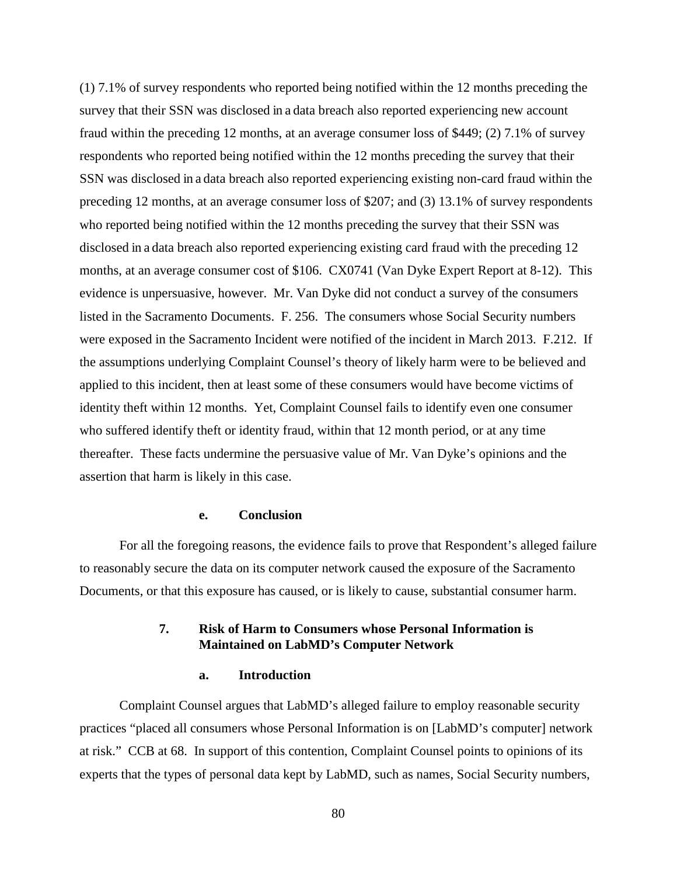(1) 7.1% of survey respondents who reported being notified within the 12 months preceding the survey that their SSN was disclosed in a data breach also reported experiencing new account fraud within the preceding 12 months, at an average consumer loss of \$449; (2) 7.1% of survey respondents who reported being notified within the 12 months preceding the survey that their SSN was disclosed in a data breach also reported experiencing existing non-card fraud within the preceding 12 months, at an average consumer loss of \$207; and (3) 13.1% of survey respondents who reported being notified within the 12 months preceding the survey that their SSN was disclosed in a data breach also reported experiencing existing card fraud with the preceding 12 months, at an average consumer cost of \$106. CX0741 (Van Dyke Expert Report at 8-12). This evidence is unpersuasive, however. Mr. Van Dyke did not conduct a survey of the consumers listed in the Sacramento Documents. F. 256. The consumers whose Social Security numbers were exposed in the Sacramento Incident were notified of the incident in March 2013. F.212. If the assumptions underlying Complaint Counsel's theory of likely harm were to be believed and applied to this incident, then at least some of these consumers would have become victims of identity theft within 12 months. Yet, Complaint Counsel fails to identify even one consumer who suffered identify theft or identity fraud, within that 12 month period, or at any time thereafter. These facts undermine the persuasive value of Mr. Van Dyke's opinions and the assertion that harm is likely in this case.

#### **e. Conclusion**

For all the foregoing reasons, the evidence fails to prove that Respondent's alleged failure to reasonably secure the data on its computer network caused the exposure of the Sacramento Documents, or that this exposure has caused, or is likely to cause, substantial consumer harm.

## **7. Risk of Harm to Consumers whose Personal Information is Maintained on LabMD's Computer Network**

#### **a. Introduction**

Complaint Counsel argues that LabMD's alleged failure to employ reasonable security practices "placed all consumers whose Personal Information is on [LabMD's computer] network at risk." CCB at 68. In support of this contention, Complaint Counsel points to opinions of its experts that the types of personal data kept by LabMD, such as names, Social Security numbers,

80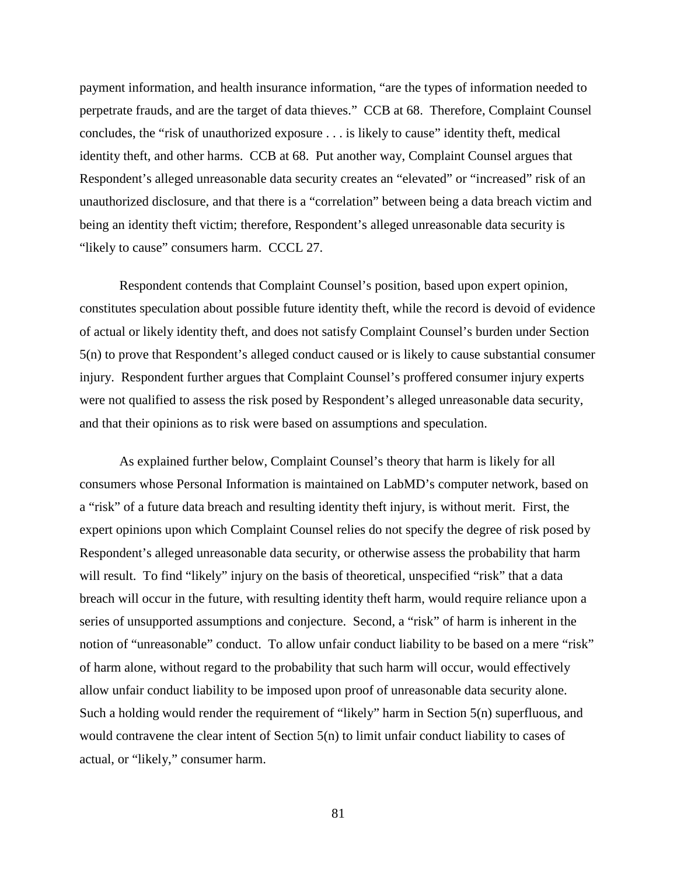payment information, and health insurance information, "are the types of information needed to perpetrate frauds, and are the target of data thieves." CCB at 68. Therefore, Complaint Counsel concludes, the "risk of unauthorized exposure . . . is likely to cause" identity theft, medical identity theft, and other harms. CCB at 68. Put another way, Complaint Counsel argues that Respondent's alleged unreasonable data security creates an "elevated" or "increased" risk of an unauthorized disclosure, and that there is a "correlation" between being a data breach victim and being an identity theft victim; therefore, Respondent's alleged unreasonable data security is "likely to cause" consumers harm. CCCL 27.

Respondent contends that Complaint Counsel's position, based upon expert opinion, constitutes speculation about possible future identity theft, while the record is devoid of evidence of actual or likely identity theft, and does not satisfy Complaint Counsel's burden under Section 5(n) to prove that Respondent's alleged conduct caused or is likely to cause substantial consumer injury. Respondent further argues that Complaint Counsel's proffered consumer injury experts were not qualified to assess the risk posed by Respondent's alleged unreasonable data security, and that their opinions as to risk were based on assumptions and speculation.

As explained further below, Complaint Counsel's theory that harm is likely for all consumers whose Personal Information is maintained on LabMD's computer network, based on a "risk" of a future data breach and resulting identity theft injury, is without merit. First, the expert opinions upon which Complaint Counsel relies do not specify the degree of risk posed by Respondent's alleged unreasonable data security, or otherwise assess the probability that harm will result. To find "likely" injury on the basis of theoretical, unspecified "risk" that a data breach will occur in the future, with resulting identity theft harm, would require reliance upon a series of unsupported assumptions and conjecture. Second, a "risk" of harm is inherent in the notion of "unreasonable" conduct. To allow unfair conduct liability to be based on a mere "risk" of harm alone, without regard to the probability that such harm will occur, would effectively allow unfair conduct liability to be imposed upon proof of unreasonable data security alone. Such a holding would render the requirement of "likely" harm in Section 5(n) superfluous, and would contravene the clear intent of Section 5(n) to limit unfair conduct liability to cases of actual, or "likely," consumer harm.

81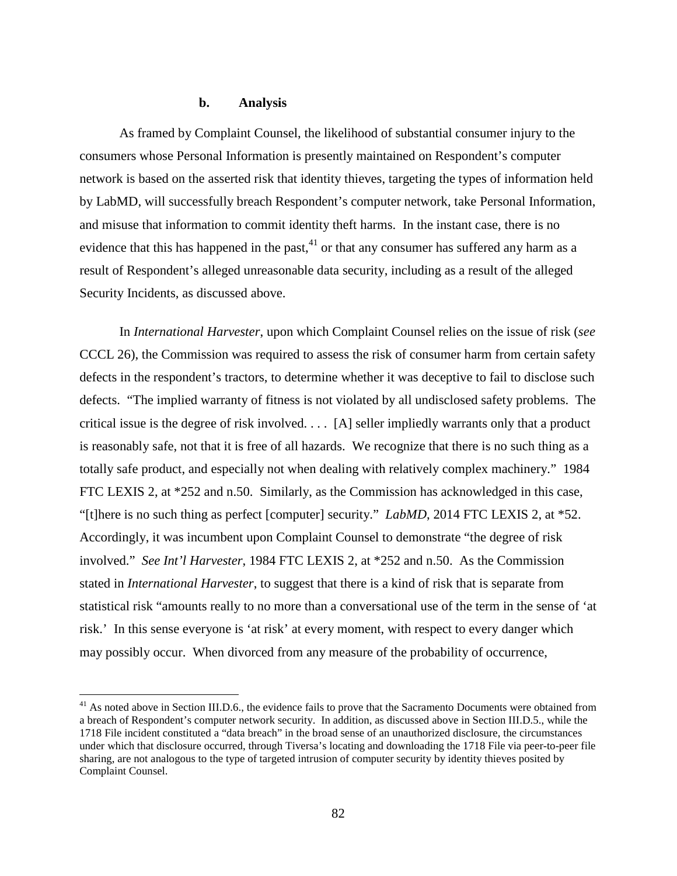## **b. Analysis**

As framed by Complaint Counsel, the likelihood of substantial consumer injury to the consumers whose Personal Information is presently maintained on Respondent's computer network is based on the asserted risk that identity thieves, targeting the types of information held by LabMD, will successfully breach Respondent's computer network, take Personal Information, and misuse that information to commit identity theft harms. In the instant case, there is no evidence that this has happened in the past, $41$  or that any consumer has suffered any harm as a result of Respondent's alleged unreasonable data security, including as a result of the alleged Security Incidents, as discussed above.

In *International Harvester*, upon which Complaint Counsel relies on the issue of risk (*see*  CCCL 26), the Commission was required to assess the risk of consumer harm from certain safety defects in the respondent's tractors, to determine whether it was deceptive to fail to disclose such defects. "The implied warranty of fitness is not violated by all undisclosed safety problems. The critical issue is the degree of risk involved. . . . [A] seller impliedly warrants only that a product is reasonably safe, not that it is free of all hazards. We recognize that there is no such thing as a totally safe product, and especially not when dealing with relatively complex machinery." 1984 FTC LEXIS 2, at \*252 and n.50. Similarly, as the Commission has acknowledged in this case, "[t]here is no such thing as perfect [computer] security." *LabMD*, 2014 FTC LEXIS 2, at \*52. Accordingly, it was incumbent upon Complaint Counsel to demonstrate "the degree of risk involved." *See Int'l Harvester*, 1984 FTC LEXIS 2, at \*252 and n.50. As the Commission stated in *International Harvester*, to suggest that there is a kind of risk that is separate from statistical risk "amounts really to no more than a conversational use of the term in the sense of 'at risk.' In this sense everyone is 'at risk' at every moment, with respect to every danger which may possibly occur. When divorced from any measure of the probability of occurrence,

<sup>&</sup>lt;sup>41</sup> As noted above in Section III.D.6., the evidence fails to prove that the Sacramento Documents were obtained from a breach of Respondent's computer network security. In addition, as discussed above in Section III.D.5., while the 1718 File incident constituted a "data breach" in the broad sense of an unauthorized disclosure, the circumstances under which that disclosure occurred, through Tiversa's locating and downloading the 1718 File via peer-to-peer file sharing, are not analogous to the type of targeted intrusion of computer security by identity thieves posited by Complaint Counsel.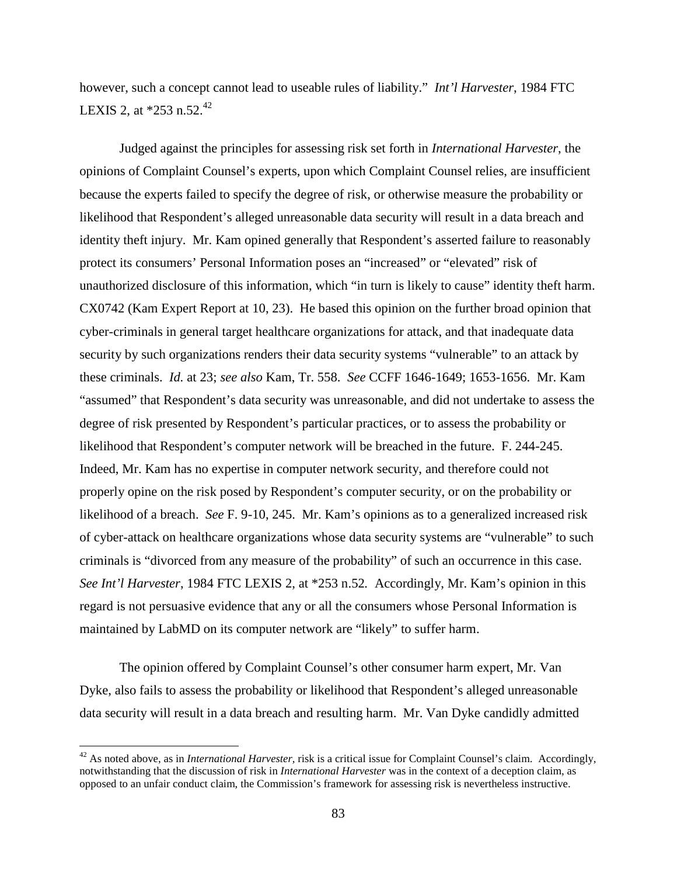however, such a concept cannot lead to useable rules of liability." *Int'l Harvester*, 1984 FTC LEXIS 2, at  $*253$  n.52.<sup>42</sup>

Judged against the principles for assessing risk set forth in *International Harvester*, the opinions of Complaint Counsel's experts, upon which Complaint Counsel relies, are insufficient because the experts failed to specify the degree of risk, or otherwise measure the probability or likelihood that Respondent's alleged unreasonable data security will result in a data breach and identity theft injury. Mr. Kam opined generally that Respondent's asserted failure to reasonably protect its consumers' Personal Information poses an "increased" or "elevated" risk of unauthorized disclosure of this information, which "in turn is likely to cause" identity theft harm. CX0742 (Kam Expert Report at 10, 23). He based this opinion on the further broad opinion that cyber-criminals in general target healthcare organizations for attack, and that inadequate data security by such organizations renders their data security systems "vulnerable" to an attack by these criminals. *Id.* at 23; *see also* Kam, Tr. 558. *See* CCFF 1646-1649; 1653-1656. Mr. Kam "assumed" that Respondent's data security was unreasonable, and did not undertake to assess the degree of risk presented by Respondent's particular practices, or to assess the probability or likelihood that Respondent's computer network will be breached in the future. F. 244-245. Indeed, Mr. Kam has no expertise in computer network security, and therefore could not properly opine on the risk posed by Respondent's computer security, or on the probability or likelihood of a breach. *See* F. 9-10, 245. Mr. Kam's opinions as to a generalized increased risk of cyber-attack on healthcare organizations whose data security systems are "vulnerable" to such criminals is "divorced from any measure of the probability" of such an occurrence in this case. *See Int'l Harvester*, 1984 FTC LEXIS 2, at \*253 n.52*.* Accordingly, Mr. Kam's opinion in this regard is not persuasive evidence that any or all the consumers whose Personal Information is maintained by LabMD on its computer network are "likely" to suffer harm.

The opinion offered by Complaint Counsel's other consumer harm expert, Mr. Van Dyke, also fails to assess the probability or likelihood that Respondent's alleged unreasonable data security will result in a data breach and resulting harm. Mr. Van Dyke candidly admitted

 <sup>42</sup> As noted above, as in *International Harvester,* risk is a critical issue for Complaint Counsel's claim. Accordingly, notwithstanding that the discussion of risk in *International Harvester* was in the context of a deception claim, as opposed to an unfair conduct claim, the Commission's framework for assessing risk is nevertheless instructive.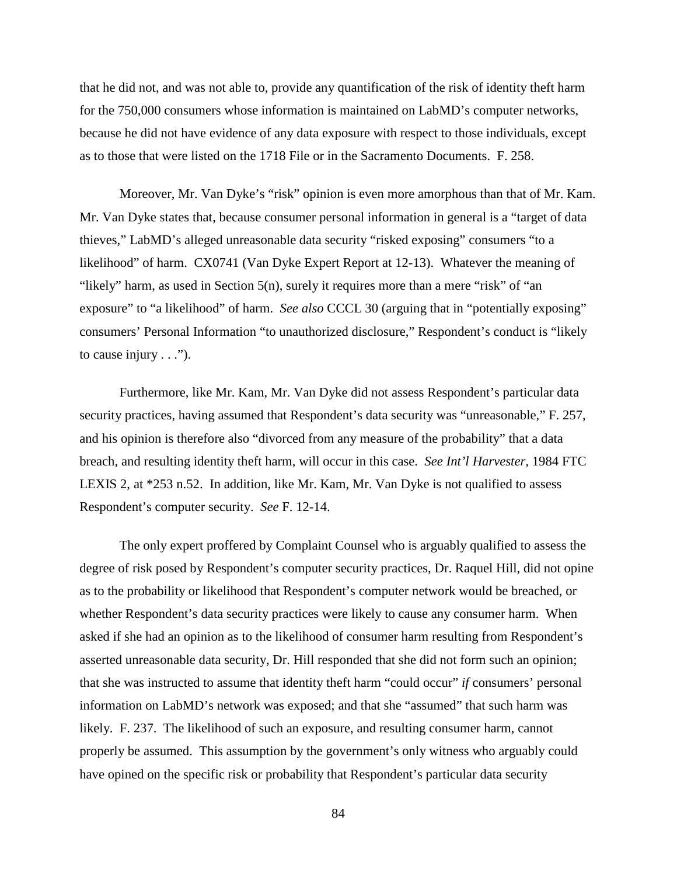that he did not, and was not able to, provide any quantification of the risk of identity theft harm for the 750,000 consumers whose information is maintained on LabMD's computer networks, because he did not have evidence of any data exposure with respect to those individuals, except as to those that were listed on the 1718 File or in the Sacramento Documents. F. 258.

Moreover, Mr. Van Dyke's "risk" opinion is even more amorphous than that of Mr. Kam. Mr. Van Dyke states that, because consumer personal information in general is a "target of data thieves," LabMD's alleged unreasonable data security "risked exposing" consumers "to a likelihood" of harm. CX0741 (Van Dyke Expert Report at 12-13). Whatever the meaning of "likely" harm, as used in Section 5(n), surely it requires more than a mere "risk" of "an exposure" to "a likelihood" of harm. *See also* CCCL 30 (arguing that in "potentially exposing" consumers' Personal Information "to unauthorized disclosure," Respondent's conduct is "likely to cause injury  $\dots$ ").

Furthermore, like Mr. Kam, Mr. Van Dyke did not assess Respondent's particular data security practices, having assumed that Respondent's data security was "unreasonable," F. 257, and his opinion is therefore also "divorced from any measure of the probability" that a data breach, and resulting identity theft harm, will occur in this case. *See Int'l Harvester,* 1984 FTC LEXIS 2, at \*253 n.52. In addition, like Mr. Kam, Mr. Van Dyke is not qualified to assess Respondent's computer security. *See* F. 12-14.

The only expert proffered by Complaint Counsel who is arguably qualified to assess the degree of risk posed by Respondent's computer security practices, Dr. Raquel Hill, did not opine as to the probability or likelihood that Respondent's computer network would be breached, or whether Respondent's data security practices were likely to cause any consumer harm. When asked if she had an opinion as to the likelihood of consumer harm resulting from Respondent's asserted unreasonable data security, Dr. Hill responded that she did not form such an opinion; that she was instructed to assume that identity theft harm "could occur" *if* consumers' personal information on LabMD's network was exposed; and that she "assumed" that such harm was likely. F. 237. The likelihood of such an exposure, and resulting consumer harm, cannot properly be assumed. This assumption by the government's only witness who arguably could have opined on the specific risk or probability that Respondent's particular data security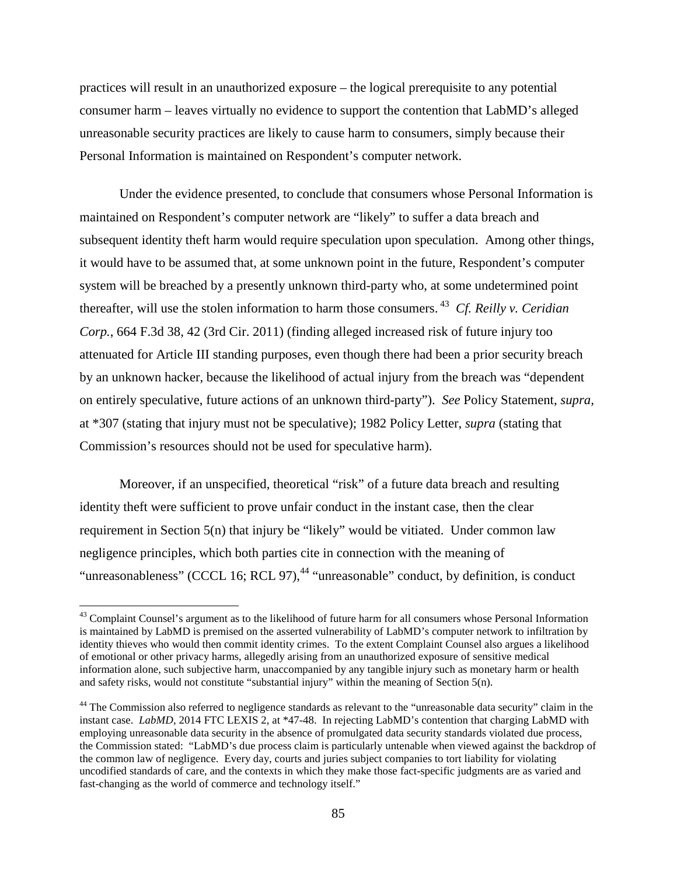practices will result in an unauthorized exposure – the logical prerequisite to any potential consumer harm – leaves virtually no evidence to support the contention that LabMD's alleged unreasonable security practices are likely to cause harm to consumers, simply because their Personal Information is maintained on Respondent's computer network.

Under the evidence presented, to conclude that consumers whose Personal Information is maintained on Respondent's computer network are "likely" to suffer a data breach and subsequent identity theft harm would require speculation upon speculation. Among other things, it would have to be assumed that, at some unknown point in the future, Respondent's computer system will be breached by a presently unknown third-party who, at some undetermined point thereafter, will use the stolen information to harm those consumers. <sup>43</sup> *Cf. Reilly v. Ceridian Corp.*, 664 F.3d 38, 42 (3rd Cir. 2011) (finding alleged increased risk of future injury too attenuated for Article III standing purposes, even though there had been a prior security breach by an unknown hacker, because the likelihood of actual injury from the breach was "dependent on entirely speculative, future actions of an unknown third-party"). *See* Policy Statement, *supra,* at \*307 (stating that injury must not be speculative); 1982 Policy Letter, *supra* (stating that Commission's resources should not be used for speculative harm).

Moreover, if an unspecified, theoretical "risk" of a future data breach and resulting identity theft were sufficient to prove unfair conduct in the instant case, then the clear requirement in Section 5(n) that injury be "likely" would be vitiated. Under common law negligence principles, which both parties cite in connection with the meaning of "unreasonableness" (CCCL 16; RCL 97), $44$  "unreasonable" conduct, by definition, is conduct

<sup>&</sup>lt;sup>43</sup> Complaint Counsel's argument as to the likelihood of future harm for all consumers whose Personal Information is maintained by LabMD is premised on the asserted vulnerability of LabMD's computer network to infiltration by identity thieves who would then commit identity crimes. To the extent Complaint Counsel also argues a likelihood of emotional or other privacy harms, allegedly arising from an unauthorized exposure of sensitive medical information alone, such subjective harm, unaccompanied by any tangible injury such as monetary harm or health and safety risks, would not constitute "substantial injury" within the meaning of Section 5(n).

<sup>&</sup>lt;sup>44</sup> The Commission also referred to negligence standards as relevant to the "unreasonable data security" claim in the instant case. *LabMD*, 2014 FTC LEXIS 2, at \*47-48. In rejecting LabMD's contention that charging LabMD with employing unreasonable data security in the absence of promulgated data security standards violated due process, the Commission stated: "LabMD's due process claim is particularly untenable when viewed against the backdrop of the common law of negligence. Every day, courts and juries subject companies to tort liability for violating uncodified standards of care, and the contexts in which they make those fact-specific judgments are as varied and fast-changing as the world of commerce and technology itself."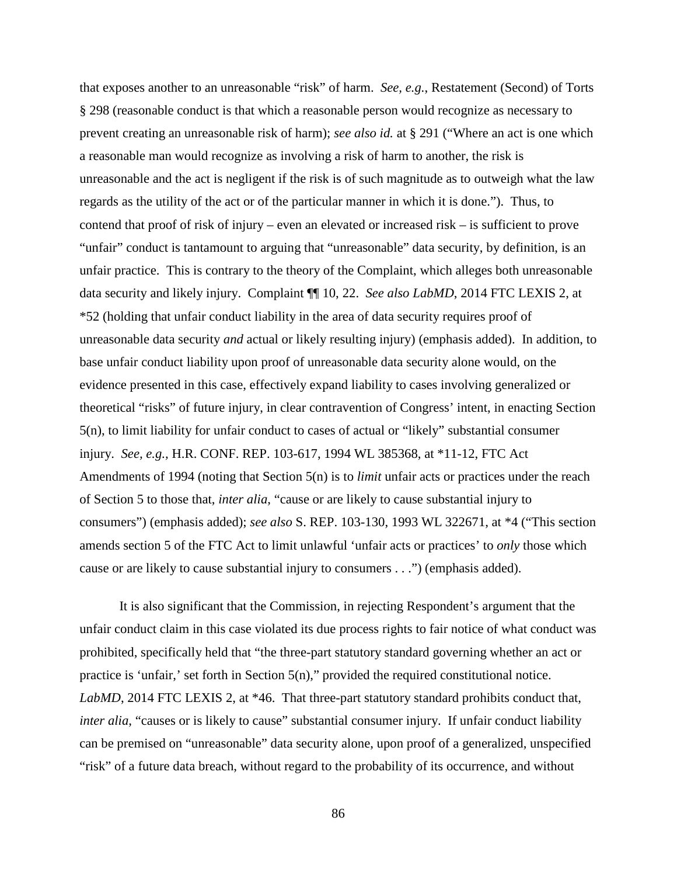that exposes another to an unreasonable "risk" of harm. *See, e.g.*, Restatement (Second) of Torts § 298 (reasonable conduct is that which a reasonable person would recognize as necessary to prevent creating an unreasonable risk of harm); *see also id.* at § 291 ("Where an act is one which a reasonable man would recognize as involving a risk of harm to another, the risk is unreasonable and the act is negligent if the risk is of such magnitude as to outweigh what the law regards as the utility of the act or of the particular manner in which it is done."). Thus, to contend that proof of risk of injury – even an elevated or increased risk – is sufficient to prove "unfair" conduct is tantamount to arguing that "unreasonable" data security, by definition, is an unfair practice. This is contrary to the theory of the Complaint, which alleges both unreasonable data security and likely injury. Complaint ¶¶ 10, 22. *See also LabMD*, 2014 FTC LEXIS 2, at \*52 (holding that unfair conduct liability in the area of data security requires proof of unreasonable data security *and* actual or likely resulting injury) (emphasis added). In addition, to base unfair conduct liability upon proof of unreasonable data security alone would, on the evidence presented in this case, effectively expand liability to cases involving generalized or theoretical "risks" of future injury, in clear contravention of Congress' intent, in enacting Section 5(n), to limit liability for unfair conduct to cases of actual or "likely" substantial consumer injury. *See, e.g.,* H.R. CONF. REP. 103-617, 1994 WL 385368, at \*11-12, FTC Act Amendments of 1994 (noting that Section 5(n) is to *limit* unfair acts or practices under the reach of Section 5 to those that, *inter alia*, "cause or are likely to cause substantial injury to consumers") (emphasis added); *see also* S. REP. 103-130, 1993 WL 322671, at \*4 ("This section amends section 5 of the FTC Act to limit unlawful 'unfair acts or practices' to *only* those which cause or are likely to cause substantial injury to consumers . . .") (emphasis added).

It is also significant that the Commission, in rejecting Respondent's argument that the unfair conduct claim in this case violated its due process rights to fair notice of what conduct was prohibited, specifically held that "the three-part statutory standard governing whether an act or practice is 'unfair,' set forth in Section 5(n)," provided the required constitutional notice. *LabMD*, 2014 FTC LEXIS 2, at \*46. That three-part statutory standard prohibits conduct that, *inter alia*, "causes or is likely to cause" substantial consumer injury. If unfair conduct liability can be premised on "unreasonable" data security alone, upon proof of a generalized, unspecified "risk" of a future data breach, without regard to the probability of its occurrence, and without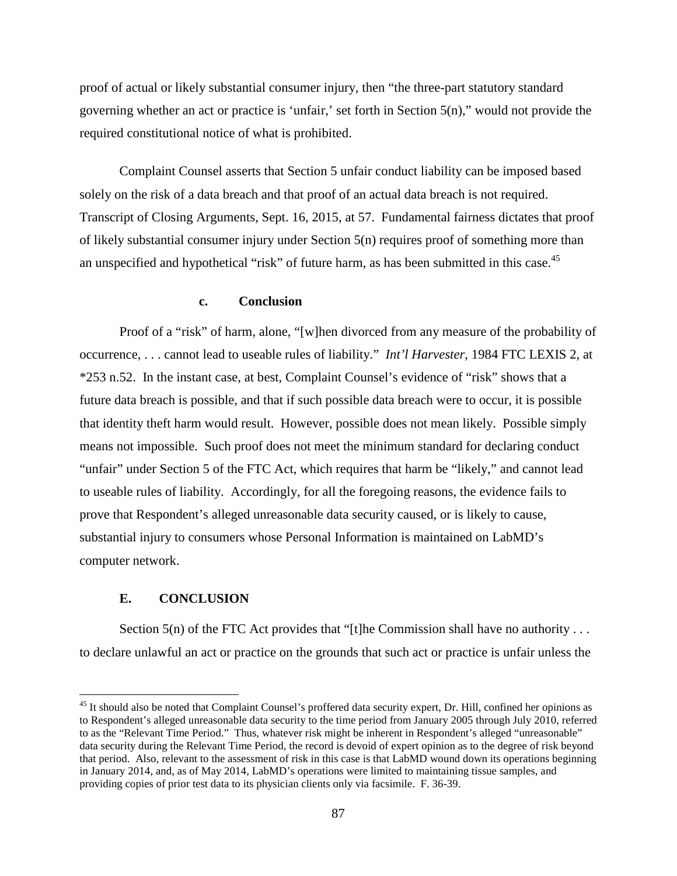proof of actual or likely substantial consumer injury, then "the three-part statutory standard governing whether an act or practice is 'unfair,' set forth in Section 5(n)," would not provide the required constitutional notice of what is prohibited.

Complaint Counsel asserts that Section 5 unfair conduct liability can be imposed based solely on the risk of a data breach and that proof of an actual data breach is not required. Transcript of Closing Arguments, Sept. 16, 2015, at 57. Fundamental fairness dictates that proof of likely substantial consumer injury under Section 5(n) requires proof of something more than an unspecified and hypothetical "risk" of future harm, as has been submitted in this case.<sup>45</sup>

## **c. Conclusion**

Proof of a "risk" of harm, alone, "[w]hen divorced from any measure of the probability of occurrence, . . . cannot lead to useable rules of liability." *Int'l Harvester*, 1984 FTC LEXIS 2, at \*253 n.52. In the instant case, at best, Complaint Counsel's evidence of "risk" shows that a future data breach is possible, and that if such possible data breach were to occur, it is possible that identity theft harm would result. However, possible does not mean likely. Possible simply means not impossible. Such proof does not meet the minimum standard for declaring conduct "unfair" under Section 5 of the FTC Act, which requires that harm be "likely," and cannot lead to useable rules of liability. Accordingly, for all the foregoing reasons, the evidence fails to prove that Respondent's alleged unreasonable data security caused, or is likely to cause, substantial injury to consumers whose Personal Information is maintained on LabMD's computer network.

#### **E. CONCLUSION**

Section  $5(n)$  of the FTC Act provides that "[t]he Commission shall have no authority ... to declare unlawful an act or practice on the grounds that such act or practice is unfair unless the

<sup>&</sup>lt;sup>45</sup> It should also be noted that Complaint Counsel's proffered data security expert, Dr. Hill, confined her opinions as to Respondent's alleged unreasonable data security to the time period from January 2005 through July 2010, referred to as the "Relevant Time Period." Thus, whatever risk might be inherent in Respondent's alleged "unreasonable" data security during the Relevant Time Period, the record is devoid of expert opinion as to the degree of risk beyond that period. Also, relevant to the assessment of risk in this case is that LabMD wound down its operations beginning in January 2014, and, as of May 2014, LabMD's operations were limited to maintaining tissue samples, and providing copies of prior test data to its physician clients only via facsimile. F. 36-39.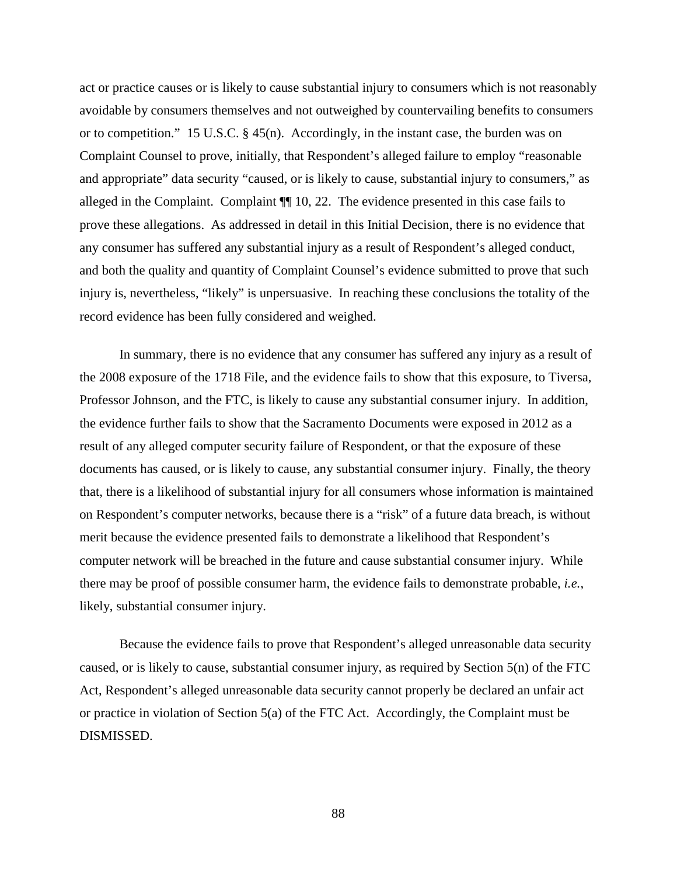act or practice causes or is likely to cause substantial injury to consumers which is not reasonably avoidable by consumers themselves and not outweighed by countervailing benefits to consumers or to competition." 15 U.S.C. § 45(n). Accordingly, in the instant case, the burden was on Complaint Counsel to prove, initially, that Respondent's alleged failure to employ "reasonable and appropriate" data security "caused, or is likely to cause, substantial injury to consumers," as alleged in the Complaint. Complaint ¶¶ 10, 22. The evidence presented in this case fails to prove these allegations. As addressed in detail in this Initial Decision, there is no evidence that any consumer has suffered any substantial injury as a result of Respondent's alleged conduct, and both the quality and quantity of Complaint Counsel's evidence submitted to prove that such injury is, nevertheless, "likely" is unpersuasive. In reaching these conclusions the totality of the record evidence has been fully considered and weighed.

In summary, there is no evidence that any consumer has suffered any injury as a result of the 2008 exposure of the 1718 File, and the evidence fails to show that this exposure, to Tiversa, Professor Johnson, and the FTC, is likely to cause any substantial consumer injury. In addition, the evidence further fails to show that the Sacramento Documents were exposed in 2012 as a result of any alleged computer security failure of Respondent, or that the exposure of these documents has caused, or is likely to cause, any substantial consumer injury. Finally, the theory that, there is a likelihood of substantial injury for all consumers whose information is maintained on Respondent's computer networks, because there is a "risk" of a future data breach, is without merit because the evidence presented fails to demonstrate a likelihood that Respondent's computer network will be breached in the future and cause substantial consumer injury. While there may be proof of possible consumer harm, the evidence fails to demonstrate probable, *i.e.*, likely, substantial consumer injury.

Because the evidence fails to prove that Respondent's alleged unreasonable data security caused, or is likely to cause, substantial consumer injury, as required by Section 5(n) of the FTC Act, Respondent's alleged unreasonable data security cannot properly be declared an unfair act or practice in violation of Section 5(a) of the FTC Act. Accordingly, the Complaint must be DISMISSED.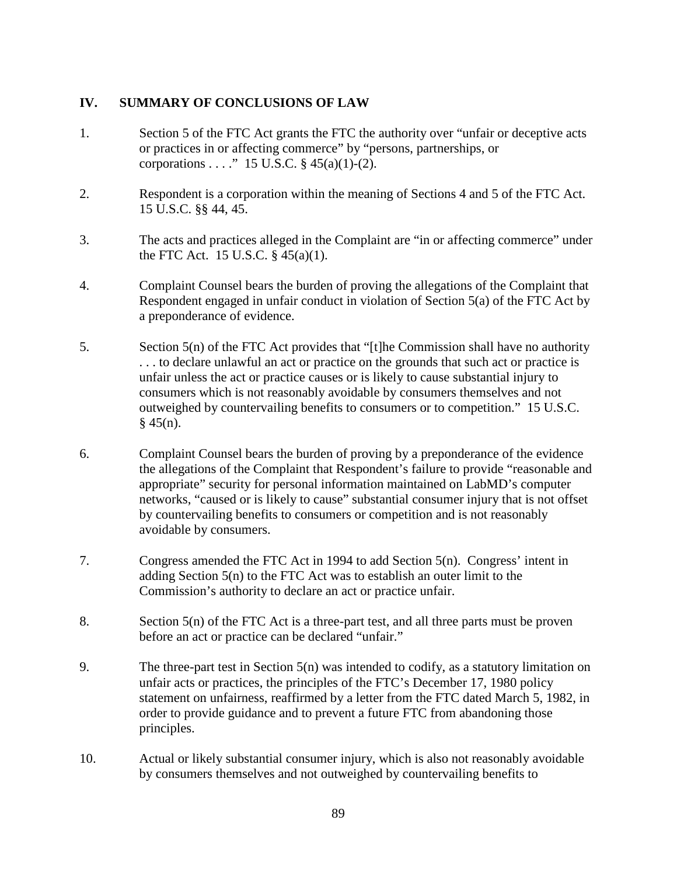# **IV. SUMMARY OF CONCLUSIONS OF LAW**

- 1. Section 5 of the FTC Act grants the FTC the authority over "unfair or deceptive acts or practices in or affecting commerce" by "persons, partnerships, or corporations . . . . " 15 U.S.C.  $\S$  45(a)(1)-(2).
- 2. Respondent is a corporation within the meaning of Sections 4 and 5 of the FTC Act. 15 U.S.C. §§ 44, 45.
- 3. The acts and practices alleged in the Complaint are "in or affecting commerce" under the FTC Act. 15 U.S.C. § 45(a)(1).
- 4. Complaint Counsel bears the burden of proving the allegations of the Complaint that Respondent engaged in unfair conduct in violation of Section 5(a) of the FTC Act by a preponderance of evidence.
- 5. Section 5(n) of the FTC Act provides that "[t]he Commission shall have no authority . . . to declare unlawful an act or practice on the grounds that such act or practice is unfair unless the act or practice causes or is likely to cause substantial injury to consumers which is not reasonably avoidable by consumers themselves and not outweighed by countervailing benefits to consumers or to competition." 15 U.S.C.  $§$  45(n).
- 6. Complaint Counsel bears the burden of proving by a preponderance of the evidence the allegations of the Complaint that Respondent's failure to provide "reasonable and appropriate" security for personal information maintained on LabMD's computer networks, "caused or is likely to cause" substantial consumer injury that is not offset by countervailing benefits to consumers or competition and is not reasonably avoidable by consumers.
- 7. Congress amended the FTC Act in 1994 to add Section 5(n). Congress' intent in adding Section 5(n) to the FTC Act was to establish an outer limit to the Commission's authority to declare an act or practice unfair.
- 8. Section 5(n) of the FTC Act is a three-part test, and all three parts must be proven before an act or practice can be declared "unfair."
- 9. The three-part test in Section 5(n) was intended to codify, as a statutory limitation on unfair acts or practices, the principles of the FTC's December 17, 1980 policy statement on unfairness, reaffirmed by a letter from the FTC dated March 5, 1982, in order to provide guidance and to prevent a future FTC from abandoning those principles.
- 10. Actual or likely substantial consumer injury, which is also not reasonably avoidable by consumers themselves and not outweighed by countervailing benefits to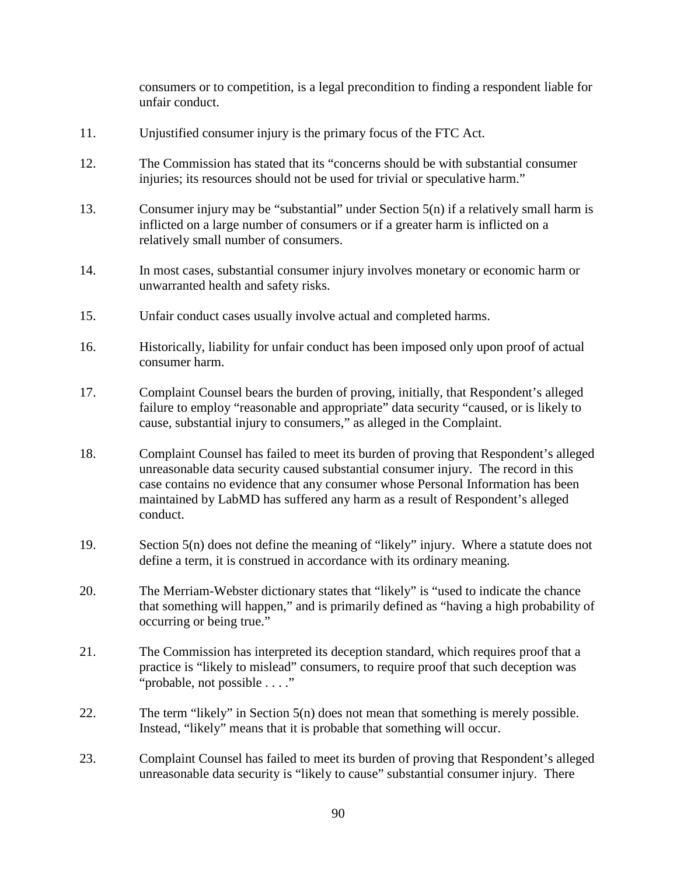consumers or to competition, is a legal precondition to finding a respondent liable for unfair conduct.

- 11. Unjustified consumer injury is the primary focus of the FTC Act.
- 12. The Commission has stated that its "concerns should be with substantial consumer injuries; its resources should not be used for trivial or speculative harm."
- 13. Consumer injury may be "substantial" under Section 5(n) if a relatively small harm is inflicted on a large number of consumers or if a greater harm is inflicted on a relatively small number of consumers.
- 14. In most cases, substantial consumer injury involves monetary or economic harm or unwarranted health and safety risks.
- 15. Unfair conduct cases usually involve actual and completed harms.
- 16. Historically, liability for unfair conduct has been imposed only upon proof of actual consumer harm.
- 17. Complaint Counsel bears the burden of proving, initially, that Respondent's alleged failure to employ "reasonable and appropriate" data security "caused, or is likely to cause, substantial injury to consumers," as alleged in the Complaint.
- 18. Complaint Counsel has failed to meet its burden of proving that Respondent's alleged unreasonable data security caused substantial consumer injury. The record in this case contains no evidence that any consumer whose Personal Information has been maintained by LabMD has suffered any harm as a result of Respondent's alleged conduct.
- 19. Section 5(n) does not define the meaning of "likely" injury. Where a statute does not define a term, it is construed in accordance with its ordinary meaning.
- 20. The Merriam-Webster dictionary states that "likely" is "used to indicate the chance that something will happen," and is primarily defined as "having a high probability of occurring or being true."
- 21. The Commission has interpreted its deception standard, which requires proof that a practice is "likely to mislead" consumers, to require proof that such deception was "probable, not possible . . . ."
- 22. The term "likely" in Section 5(n) does not mean that something is merely possible. Instead, "likely" means that it is probable that something will occur.
- 23. Complaint Counsel has failed to meet its burden of proving that Respondent's alleged unreasonable data security is "likely to cause" substantial consumer injury. There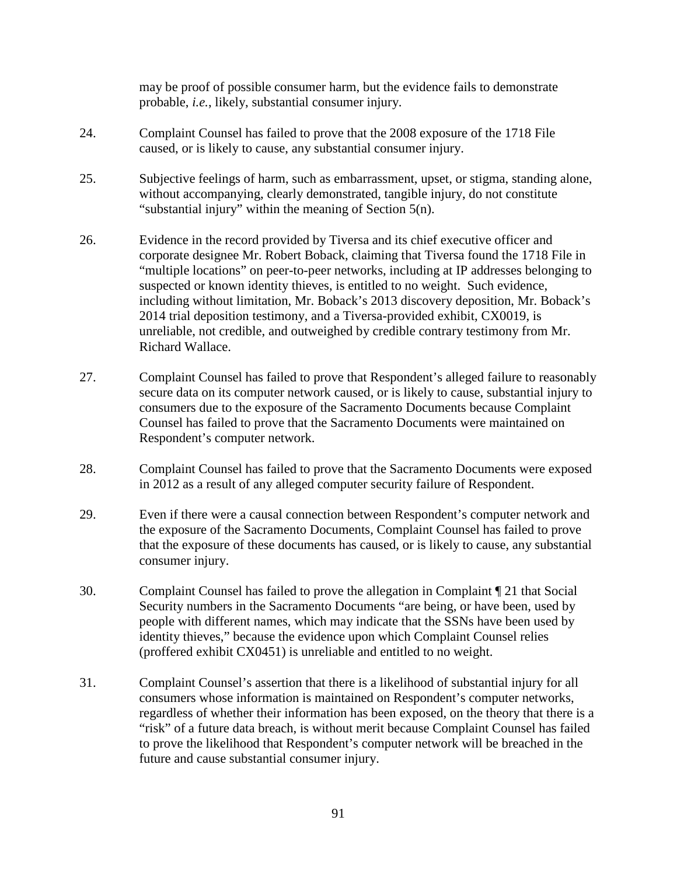may be proof of possible consumer harm, but the evidence fails to demonstrate probable, *i.e.*, likely, substantial consumer injury.

- 24. Complaint Counsel has failed to prove that the 2008 exposure of the 1718 File caused, or is likely to cause, any substantial consumer injury.
- 25. Subjective feelings of harm, such as embarrassment, upset, or stigma, standing alone, without accompanying, clearly demonstrated, tangible injury, do not constitute "substantial injury" within the meaning of Section 5(n).
- 26. Evidence in the record provided by Tiversa and its chief executive officer and corporate designee Mr. Robert Boback, claiming that Tiversa found the 1718 File in "multiple locations" on peer-to-peer networks, including at IP addresses belonging to suspected or known identity thieves, is entitled to no weight. Such evidence, including without limitation, Mr. Boback's 2013 discovery deposition, Mr. Boback's 2014 trial deposition testimony, and a Tiversa-provided exhibit, CX0019, is unreliable, not credible, and outweighed by credible contrary testimony from Mr. Richard Wallace.
- 27. Complaint Counsel has failed to prove that Respondent's alleged failure to reasonably secure data on its computer network caused, or is likely to cause, substantial injury to consumers due to the exposure of the Sacramento Documents because Complaint Counsel has failed to prove that the Sacramento Documents were maintained on Respondent's computer network.
- 28. Complaint Counsel has failed to prove that the Sacramento Documents were exposed in 2012 as a result of any alleged computer security failure of Respondent.
- 29. Even if there were a causal connection between Respondent's computer network and the exposure of the Sacramento Documents, Complaint Counsel has failed to prove that the exposure of these documents has caused, or is likely to cause, any substantial consumer injury.
- 30. Complaint Counsel has failed to prove the allegation in Complaint ¶ 21 that Social Security numbers in the Sacramento Documents "are being, or have been, used by people with different names, which may indicate that the SSNs have been used by identity thieves," because the evidence upon which Complaint Counsel relies (proffered exhibit CX0451) is unreliable and entitled to no weight.
- 31. Complaint Counsel's assertion that there is a likelihood of substantial injury for all consumers whose information is maintained on Respondent's computer networks, regardless of whether their information has been exposed, on the theory that there is a "risk" of a future data breach, is without merit because Complaint Counsel has failed to prove the likelihood that Respondent's computer network will be breached in the future and cause substantial consumer injury.